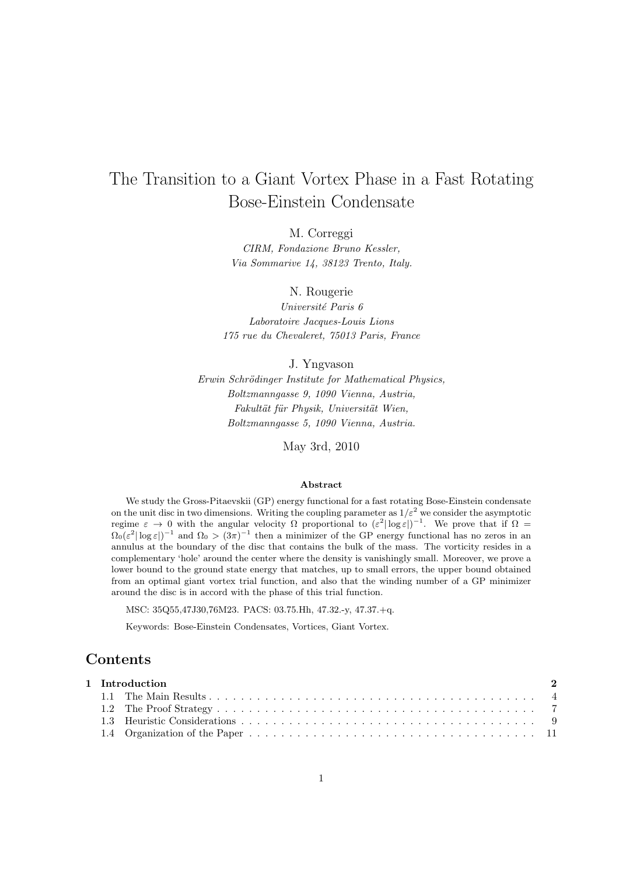# The Transition to a Giant Vortex Phase in a Fast Rotating Bose-Einstein Condensate

M. Correggi

CIRM, Fondazione Bruno Kessler, Via Sommarive 14, 38123 Trento, Italy.

N. Rougerie

Université Paris 6 Laboratoire Jacques-Louis Lions 175 rue du Chevaleret, 75013 Paris, France

J. Yngvason

Erwin Schrödinger Institute for Mathematical Physics, Boltzmanngasse 9, 1090 Vienna, Austria, Fakultät für Physik, Universität Wien, Boltzmanngasse 5, 1090 Vienna, Austria.

May 3rd, 2010

#### Abstract

We study the Gross-Pitaevskii (GP) energy functional for a fast rotating Bose-Einstein condensate on the unit disc in two dimensions. Writing the coupling parameter as  $1/\varepsilon^2$  we consider the asymptotic regime  $\varepsilon \to 0$  with the angular velocity  $\Omega$  proportional to  $(\varepsilon^2 |\log \varepsilon|)^{-1}$ . We prove that if  $\Omega =$  $\Omega_0(\varepsilon^2 |\log \varepsilon|)^{-1}$  and  $\Omega_0 > (3\pi)^{-1}$  then a minimizer of the GP energy functional has no zeros in an annulus at the boundary of the disc that contains the bulk of the mass. The vorticity resides in a complementary 'hole' around the center where the density is vanishingly small. Moreover, we prove a lower bound to the ground state energy that matches, up to small errors, the upper bound obtained from an optimal giant vortex trial function, and also that the winding number of a GP minimizer around the disc is in accord with the phase of this trial function.

MSC: 35Q55,47J30,76M23. PACS: 03.75.Hh, 47.32.-y, 47.37.+q.

Keywords: Bose-Einstein Condensates, Vortices, Giant Vortex.

# Contents

|  | 1 Introduction | $\overline{2}$ |
|--|----------------|----------------|
|  |                |                |
|  |                |                |
|  |                |                |
|  |                |                |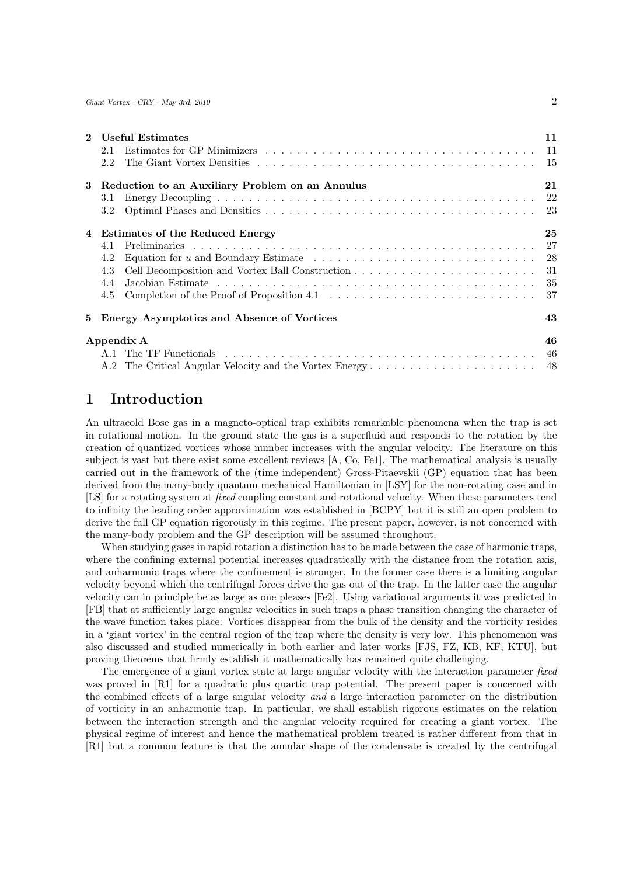|   | 2 Useful Estimates<br>2.1<br>$2.2^{\circ}$                                                                         | 11 |
|---|--------------------------------------------------------------------------------------------------------------------|----|
| 3 | Reduction to an Auxiliary Problem on an Annulus                                                                    | 21 |
|   | 3.1                                                                                                                |    |
|   | 3.2 <sub>1</sub>                                                                                                   |    |
| 4 | Estimates of the Reduced Energy                                                                                    | 25 |
|   | 4.1                                                                                                                |    |
|   | Equation for u and Boundary Estimate $\dots \dots \dots \dots \dots \dots \dots \dots \dots \dots \dots$ 28<br>4.2 |    |
|   | 4.3                                                                                                                |    |
|   | 4.4                                                                                                                |    |
|   | 4.5                                                                                                                |    |
|   | 5 Energy Asymptotics and Absence of Vortices                                                                       | 43 |
|   | Appendix A                                                                                                         | 46 |
|   |                                                                                                                    |    |
|   |                                                                                                                    |    |

# 1 Introduction

An ultracold Bose gas in a magneto-optical trap exhibits remarkable phenomena when the trap is set in rotational motion. In the ground state the gas is a superfluid and responds to the rotation by the creation of quantized vortices whose number increases with the angular velocity. The literature on this subject is vast but there exist some excellent reviews [A, Co, Fe1]. The mathematical analysis is usually carried out in the framework of the (time independent) Gross-Pitaevskii (GP) equation that has been derived from the many-body quantum mechanical Hamiltonian in [LSY] for the non-rotating case and in [LS] for a rotating system at fixed coupling constant and rotational velocity. When these parameters tend to infinity the leading order approximation was established in [BCPY] but it is still an open problem to derive the full GP equation rigorously in this regime. The present paper, however, is not concerned with the many-body problem and the GP description will be assumed throughout.

When studying gases in rapid rotation a distinction has to be made between the case of harmonic traps, where the confining external potential increases quadratically with the distance from the rotation axis, and anharmonic traps where the confinement is stronger. In the former case there is a limiting angular velocity beyond which the centrifugal forces drive the gas out of the trap. In the latter case the angular velocity can in principle be as large as one pleases [Fe2]. Using variational arguments it was predicted in [FB] that at sufficiently large angular velocities in such traps a phase transition changing the character of the wave function takes place: Vortices disappear from the bulk of the density and the vorticity resides in a 'giant vortex' in the central region of the trap where the density is very low. This phenomenon was also discussed and studied numerically in both earlier and later works [FJS, FZ, KB, KF, KTU], but proving theorems that firmly establish it mathematically has remained quite challenging.

The emergence of a giant vortex state at large angular velocity with the interaction parameter fixed was proved in [R1] for a quadratic plus quartic trap potential. The present paper is concerned with the combined effects of a large angular velocity and a large interaction parameter on the distribution of vorticity in an anharmonic trap. In particular, we shall establish rigorous estimates on the relation between the interaction strength and the angular velocity required for creating a giant vortex. The physical regime of interest and hence the mathematical problem treated is rather different from that in [R1] but a common feature is that the annular shape of the condensate is created by the centrifugal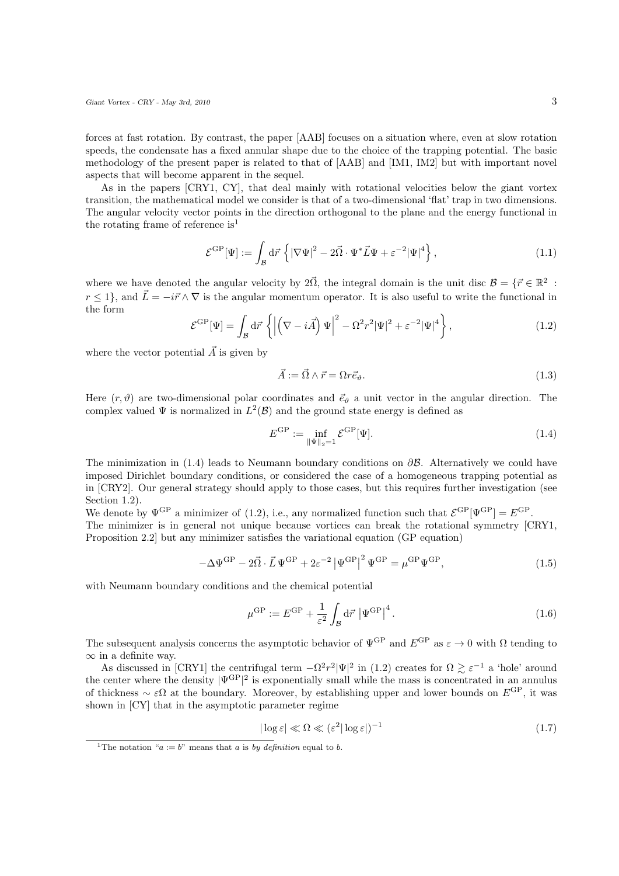forces at fast rotation. By contrast, the paper [AAB] focuses on a situation where, even at slow rotation speeds, the condensate has a fixed annular shape due to the choice of the trapping potential. The basic methodology of the present paper is related to that of [AAB] and [IM1, IM2] but with important novel aspects that will become apparent in the sequel.

As in the papers [CRY1, CY], that deal mainly with rotational velocities below the giant vortex transition, the mathematical model we consider is that of a two-dimensional 'flat' trap in two dimensions. The angular velocity vector points in the direction orthogonal to the plane and the energy functional in the rotating frame of reference is<sup>1</sup>

$$
\mathcal{E}^{\rm GP}[\Psi] := \int_{\mathcal{B}} d\vec{r} \left\{ |\nabla \Psi|^2 - 2\vec{\Omega} \cdot \Psi^* \vec{L} \Psi + \varepsilon^{-2} |\Psi|^4 \right\},\tag{1.1}
$$

where we have denoted the angular velocity by  $2\vec{\Omega}$ , the integral domain is the unit disc  $\mathcal{B} = \{\vec{r} \in \mathbb{R}^2$ :  $r \leq 1$ , and  $\vec{L} = -i\vec{r} \wedge \nabla$  is the angular momentum operator. It is also useful to write the functional in the form

$$
\mathcal{E}^{\rm GP}[\Psi] = \int_{\mathcal{B}} d\vec{r} \left\{ \left| \left( \nabla - i\vec{A} \right) \Psi \right|^2 - \Omega^2 r^2 |\Psi|^2 + \varepsilon^{-2} |\Psi|^4 \right\},\tag{1.2}
$$

where the vector potential  $\vec{A}$  is given by

$$
\vec{A} := \vec{\Omega} \wedge \vec{r} = \Omega r \vec{e}_{\vartheta}.
$$
\n(1.3)

Here  $(r, \vartheta)$  are two-dimensional polar coordinates and  $\vec{e}_{\vartheta}$  a unit vector in the angular direction. The complex valued  $\Psi$  is normalized in  $L^2(\mathcal{B})$  and the ground state energy is defined as

$$
E^{\rm GP} := \inf_{\|\Psi\|_2 = 1} \mathcal{E}^{\rm GP}[\Psi]. \tag{1.4}
$$

The minimization in (1.4) leads to Neumann boundary conditions on  $\partial \mathcal{B}$ . Alternatively we could have imposed Dirichlet boundary conditions, or considered the case of a homogeneous trapping potential as in [CRY2]. Our general strategy should apply to those cases, but this requires further investigation (see Section 1.2).

We denote by  $\Psi^{\text{GP}}$  a minimizer of (1.2), i.e., any normalized function such that  $\mathcal{E}^{\text{GP}}[\Psi^{\text{GP}}] = E^{\text{GP}}$ .

The minimizer is in general not unique because vortices can break the rotational symmetry [CRY1, Proposition 2.2] but any minimizer satisfies the variational equation (GP equation)

$$
-\Delta\Psi^{\rm GP} - 2\vec{\Omega} \cdot \vec{L}\Psi^{\rm GP} + 2\varepsilon^{-2} |\Psi^{\rm GP}|^2 \Psi^{\rm GP} = \mu^{\rm GP}\Psi^{\rm GP},\tag{1.5}
$$

with Neumann boundary conditions and the chemical potential

$$
\mu^{\rm GP} := E^{\rm GP} + \frac{1}{\varepsilon^2} \int_{\mathcal{B}} d\vec{r} \left| \Psi^{\rm GP} \right|^4.
$$
\n(1.6)

The subsequent analysis concerns the asymptotic behavior of  $\Psi^{\text{GP}}$  and  $E^{\text{GP}}$  as  $\varepsilon \to 0$  with  $\Omega$  tending to  $\infty$  in a definite way.

As discussed in [CRY1] the centrifugal term  $-\Omega^2 r^2 |\Psi|^2$  in (1.2) creates for  $\Omega \gtrsim \varepsilon^{-1}$  a 'hole' around the center where the density  $|\Psi^{\text{GP}}|^{2}$  is exponentially small while the mass is concentrated in an annulus of thickness  $\sim \varepsilon \Omega$  at the boundary. Moreover, by establishing upper and lower bounds on  $E^{GP}$ , it was shown in [CY] that in the asymptotic parameter regime

$$
|\log \varepsilon| \ll \Omega \ll (\varepsilon^2 |\log \varepsilon|)^{-1} \tag{1.7}
$$

<sup>&</sup>lt;sup>1</sup>The notation " $a := b$ " means that a is by definition equal to b.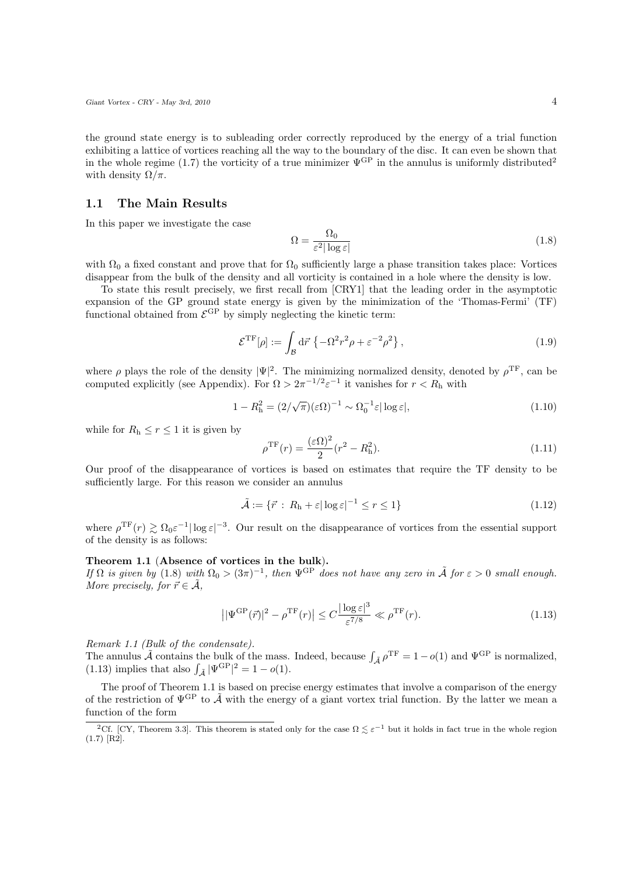the ground state energy is to subleading order correctly reproduced by the energy of a trial function exhibiting a lattice of vortices reaching all the way to the boundary of the disc. It can even be shown that in the whole regime (1.7) the vorticity of a true minimizer  $\Psi^{\text{GP}}$  in the annulus is uniformly distributed<sup>2</sup> with density  $\Omega/\pi$ .

### 1.1 The Main Results

In this paper we investigate the case

$$
\Omega = \frac{\Omega_0}{\varepsilon^2 |\log \varepsilon|} \tag{1.8}
$$

with  $\Omega_0$  a fixed constant and prove that for  $\Omega_0$  sufficiently large a phase transition takes place: Vortices disappear from the bulk of the density and all vorticity is contained in a hole where the density is low.

To state this result precisely, we first recall from [CRY1] that the leading order in the asymptotic expansion of the GP ground state energy is given by the minimization of the 'Thomas-Fermi' (TF) functional obtained from  $\mathcal{E}^{\text{GP}}$  by simply neglecting the kinetic term:

$$
\mathcal{E}^{\rm TF}[\rho] := \int_{\mathcal{B}} d\vec{r} \left\{ -\Omega^2 r^2 \rho + \varepsilon^{-2} \rho^2 \right\},\tag{1.9}
$$

where  $\rho$  plays the role of the density  $|\Psi|^2$ . The minimizing normalized density, denoted by  $\rho^{\text{TF}}$ , can be computed explicitly (see Appendix). For  $\Omega > 2\pi^{-1/2} \varepsilon^{-1}$  it vanishes for  $r < R_h$  with

$$
1 - R_h^2 = (2/\sqrt{\pi})(\varepsilon \Omega)^{-1} \sim \Omega_0^{-1} \varepsilon |\log \varepsilon|,
$$
\n(1.10)

while for  $R_h \le r \le 1$  it is given by

$$
\rho^{\rm TF}(r) = \frac{(\varepsilon \Omega)^2}{2} (r^2 - R_{\rm h}^2). \tag{1.11}
$$

Our proof of the disappearance of vortices is based on estimates that require the TF density to be sufficiently large. For this reason we consider an annulus

$$
\tilde{\mathcal{A}} := \{ \vec{r} : R_{\mathrm{h}} + \varepsilon |\log \varepsilon|^{-1} \le r \le 1 \} \tag{1.12}
$$

where  $\rho^{\rm TF}(r) \gtrsim \Omega_0 \varepsilon^{-1} |\log \varepsilon|^{-3}$ . Our result on the disappearance of vortices from the essential support of the density is as follows:

#### Theorem 1.1 (Absence of vortices in the bulk).

If  $\Omega$  is given by (1.8) with  $\Omega_0 > (3\pi)^{-1}$ , then  $\Psi^{\text{GP}}$  does not have any zero in  $\tilde{\mathcal{A}}$  for  $\varepsilon > 0$  small enough. More precisely, for  $\vec{r} \in \tilde{\mathcal{A}}$ ,

$$
\left| |\Psi^{\rm GP}(\vec{r})|^2 - \rho^{\rm TF}(r) \right| \le C \frac{|\log \varepsilon|^3}{\varepsilon^{7/8}} \ll \rho^{\rm TF}(r). \tag{1.13}
$$

Remark 1.1 (Bulk of the condensate).

The annulus  $\tilde{\mathcal{A}}$  contains the bulk of the mass. Indeed, because  $\int_{\tilde{\mathcal{A}}} \rho^{\text{TF}} = 1 - o(1)$  and  $\Psi^{\text{GP}}$  is normalized, (1.13) implies that also  $\int_{\tilde{\mathcal{A}}} |\Psi^{\mathrm{GP}}|^2 = 1 - o(1)$ .

The proof of Theorem 1.1 is based on precise energy estimates that involve a comparison of the energy of the restriction of  $\Psi^{\text{GP}}$  to  $\tilde{\mathcal{A}}$  with the energy of a giant vortex trial function. By the latter we mean a function of the form

<sup>&</sup>lt;sup>2</sup>Cf. [CY, Theorem 3.3]. This theorem is stated only for the case  $\Omega \leq \varepsilon^{-1}$  but it holds in fact true in the whole region  $(1.7)$  [R2].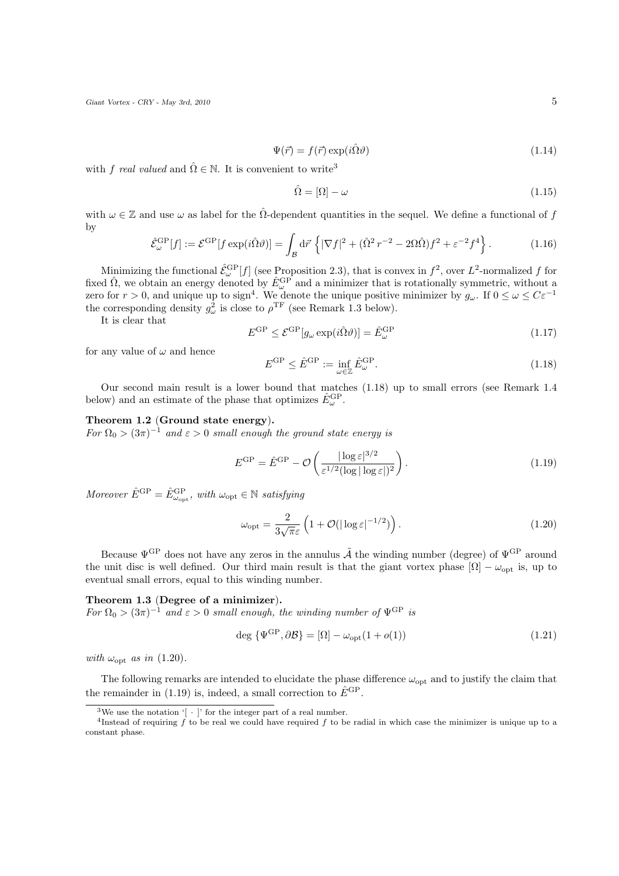$$
\Psi(\vec{r}) = f(\vec{r}) \exp(i\hat{\Omega}\vartheta) \tag{1.14}
$$

with f real valued and  $\hat{\Omega} \in \mathbb{N}$ . It is convenient to write<sup>3</sup>

$$
\hat{\Omega} = [\Omega] - \omega \tag{1.15}
$$

with  $\omega \in \mathbb{Z}$  and use  $\omega$  as label for the  $\hat{\Omega}$ -dependent quantities in the sequel. We define a functional of f by

$$
\hat{\mathcal{E}}_{\omega}^{\text{GP}}[f] := \mathcal{E}^{\text{GP}}[f \exp(i\hat{\Omega}\vartheta)] = \int_{\mathcal{B}} d\vec{r} \left\{ |\nabla f|^2 + (\hat{\Omega}^2 r^{-2} - 2\Omega \hat{\Omega}) f^2 + \varepsilon^{-2} f^4 \right\}.
$$
 (1.16)

Minimizing the functional  $\hat{\mathcal{E}}_{\omega}^{\text{GP}}[f]$  (see Proposition 2.3), that is convex in  $f^2$ , over  $L^2$ -normalized f for fixed  $\hat{\Omega}$ , we obtain an energy denoted by  $\hat{E}_{\omega}^{\text{GP}}$  and a minimizer that is rotationally symmetric, without a zero for  $r > 0$ , and unique up to sign<sup>4</sup>. We denote the unique positive minimizer by  $g_{\omega}$ . If  $0 \le \omega \le C\varepsilon^{-1}$ the corresponding density  $g_{\omega}^2$  is close to  $\rho^{\text{TF}}$  (see Remark 1.3 below).

It is clear that

$$
E^{\rm GP} \le \mathcal{E}^{\rm GP}[g_\omega \exp(i\hat{\Omega}\vartheta)] = \hat{E}^{\rm GP}_{\omega} \tag{1.17}
$$

for any value of  $\omega$  and hence

$$
E^{\rm GP} \le \hat{E}^{\rm GP} := \inf_{\omega \in \mathbb{Z}} \hat{E}_{\omega}^{\rm GP}.
$$
\n(1.18)

Our second main result is a lower bound that matches (1.18) up to small errors (see Remark 1.4 below) and an estimate of the phase that optimizes  $\hat{E}^{\text{GP}}_{\omega}$ .

# Theorem 1.2 (Ground state energy).

For  $\Omega_0 > (3\pi)^{-1}$  and  $\varepsilon > 0$  small enough the ground state energy is

$$
E^{\rm GP} = \hat{E}^{\rm GP} - \mathcal{O}\left(\frac{|\log \varepsilon|^{3/2}}{\varepsilon^{1/2} (\log |\log \varepsilon|)^2}\right). \tag{1.19}
$$

Moreover  $\hat{E}^{\text{GP}} = \hat{E}^{\text{GP}}_{\omega_{\text{opt}}}, \text{ with } \omega_{\text{opt}} \in \mathbb{N} \text{ satisfying}$ 

$$
\omega_{\rm opt} = \frac{2}{3\sqrt{\pi\varepsilon}} \left( 1 + \mathcal{O}(|\log \varepsilon|^{-1/2}) \right). \tag{1.20}
$$

Because  $\Psi^{\text{GP}}$  does not have any zeros in the annulus  $\tilde{\mathcal{A}}$  the winding number (degree) of  $\Psi^{\text{GP}}$  around the unit disc is well defined. Our third main result is that the giant vortex phase  $\left[\Omega\right] - \omega_{\text{opt}}$  is, up to eventual small errors, equal to this winding number.

#### Theorem 1.3 (Degree of a minimizer).

For  $\Omega_0 > (3\pi)^{-1}$  and  $\varepsilon > 0$  small enough, the winding number of  $\Psi^{\text{GP}}$  is

$$
\deg\left\{\Psi^{\text{GP}},\partial\mathcal{B}\right\} = [\Omega] - \omega_{\text{opt}}(1 + o(1))\tag{1.21}
$$

with  $\omega_{\text{opt}}$  as in (1.20).

The following remarks are intended to elucidate the phase difference  $\omega_{\text{opt}}$  and to justify the claim that the remainder in (1.19) is, indeed, a small correction to  $\hat{E}^{\text{GP}}$ .

<sup>&</sup>lt;sup>3</sup>We use the notation '[ $\cdot$ ]' for the integer part of a real number.

<sup>&</sup>lt;sup>4</sup>Instead of requiring f to be real we could have required f to be radial in which case the minimizer is unique up to a constant phase.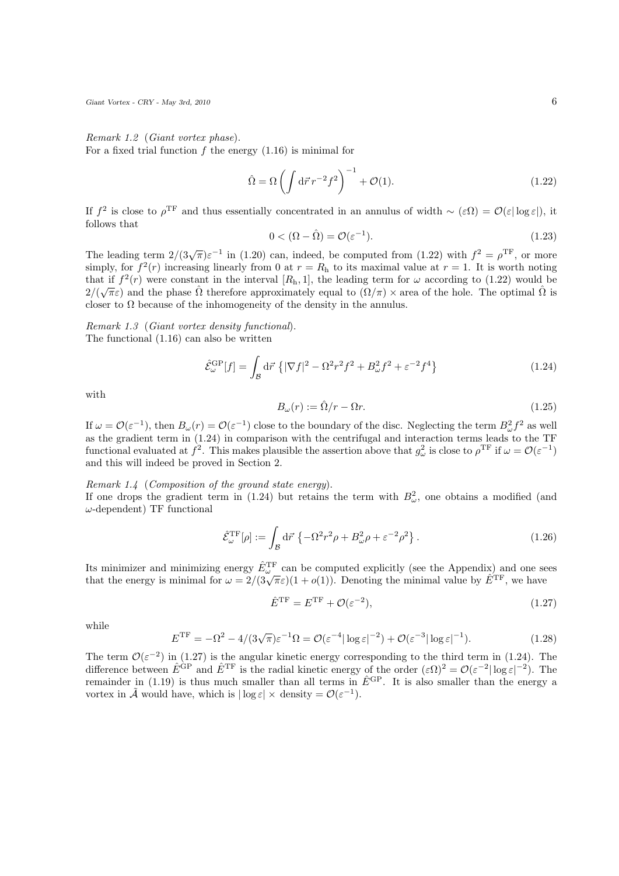Remark 1.2 (Giant vortex phase).

For a fixed trial function  $f$  the energy  $(1.16)$  is minimal for

$$
\hat{\Omega} = \Omega \left( \int d\vec{r} \, r^{-2} f^2 \right)^{-1} + \mathcal{O}(1). \tag{1.22}
$$

If  $f^2$  is close to  $\rho^{\text{TF}}$  and thus essentially concentrated in an annulus of width ~  $(\varepsilon \Omega) = \mathcal{O}(\varepsilon |\log \varepsilon|)$ , it follows that

$$
0 < (\Omega - \hat{\Omega}) = \mathcal{O}(\varepsilon^{-1}).\tag{1.23}
$$

The leading term  $2/(3\sqrt{\pi})\varepsilon^{-1}$  in (1.20) can, indeed, be computed from (1.22) with  $f^2 = \rho^{\text{TF}}$ , or more simply, for  $f^2(r)$  increasing linearly from 0 at  $r = R<sub>h</sub>$  to its maximal value at  $r = 1$ . It is worth noting that if  $f^2(r)$  were constant in the interval  $[R_h, 1]$ , the leading term for  $\omega$  according to (1.22) would be  $2/(\sqrt{\pi}\varepsilon)$  and the phase  $\hat{\Omega}$  therefore approximately equal to  $(\Omega/\pi) \times$  area of the hole. The optimal  $\hat{\Omega}$  is closer to  $\Omega$  because of the inhomogeneity of the density in the annulus.

Remark 1.3 (Giant vortex density functional). The functional (1.16) can also be written

$$
\hat{\mathcal{E}}_{\omega}^{\text{GP}}[f] = \int_{\mathcal{B}} d\vec{r} \left\{ |\nabla f|^2 - \Omega^2 r^2 f^2 + B_{\omega}^2 f^2 + \varepsilon^{-2} f^4 \right\} \tag{1.24}
$$

with

$$
B_{\omega}(r) := \hat{\Omega}/r - \Omega r. \tag{1.25}
$$

If  $\omega = \mathcal{O}(\varepsilon^{-1})$ , then  $B_{\omega}(r) = \mathcal{O}(\varepsilon^{-1})$  close to the boundary of the disc. Neglecting the term  $B_{\omega}^2 f^2$  as well as the gradient term in  $(1.24)$  in comparison with the centrifugal and interaction terms leads to the TF functional evaluated at  $f^2$ . This makes plausible the assertion above that  $g^2_\omega$  is close to  $\rho^{\text{TF}}$  if  $\omega = \mathcal{O}(\varepsilon^{-1})$ and this will indeed be proved in Section 2.

### Remark 1.4 (Composition of the ground state energy).

If one drops the gradient term in (1.24) but retains the term with  $B_{\omega}^2$ , one obtains a modified (and  $\omega$ -dependent) TF functional

$$
\hat{\mathcal{E}}_{\omega}^{\mathrm{TF}}[\rho] := \int_{\mathcal{B}} d\vec{r} \left\{ -\Omega^2 r^2 \rho + B_{\omega}^2 \rho + \varepsilon^{-2} \rho^2 \right\}.
$$
\n(1.26)

Its minimizer and minimizing energy  $\hat{E}_{\omega}^{\text{TF}}$  can be computed explicitly (see the Appendix) and one sees that the energy is minimal for  $\omega = 2/(3\sqrt{\pi}\epsilon)(1 + o(1))$ . Denoting the minimal value by  $\hat{E}^{\text{TF}}$ , we have

$$
\hat{E}^{\rm TF} = E^{\rm TF} + \mathcal{O}(\varepsilon^{-2}),\tag{1.27}
$$

while

$$
ETF = -\Omega^2 - 4/(3\sqrt{\pi})\varepsilon^{-1}\Omega = \mathcal{O}(\varepsilon^{-4}|\log \varepsilon|^{-2}) + \mathcal{O}(\varepsilon^{-3}|\log \varepsilon|^{-1}).
$$
 (1.28)

The term  $\mathcal{O}(\varepsilon^{-2})$  in (1.27) is the angular kinetic energy corresponding to the third term in (1.24). The difference between  $\hat{E}^{\text{GP}}$  and  $\hat{E}^{\text{TF}}$  is the radial kinetic energy of the order  $(\varepsilon \Omega)^2 = \mathcal{O}(\varepsilon^{-2} |\log \varepsilon|^{-2})$ . The remainder in  $(1.19)$  is thus much smaller than all terms in  $\hat{E}$ <sup>GP</sup>. It is also smaller than the energy a vortex in  $\tilde{\mathcal{A}}$  would have, which is  $|\log \varepsilon| \times$  density =  $\mathcal{O}(\varepsilon^{-1})$ .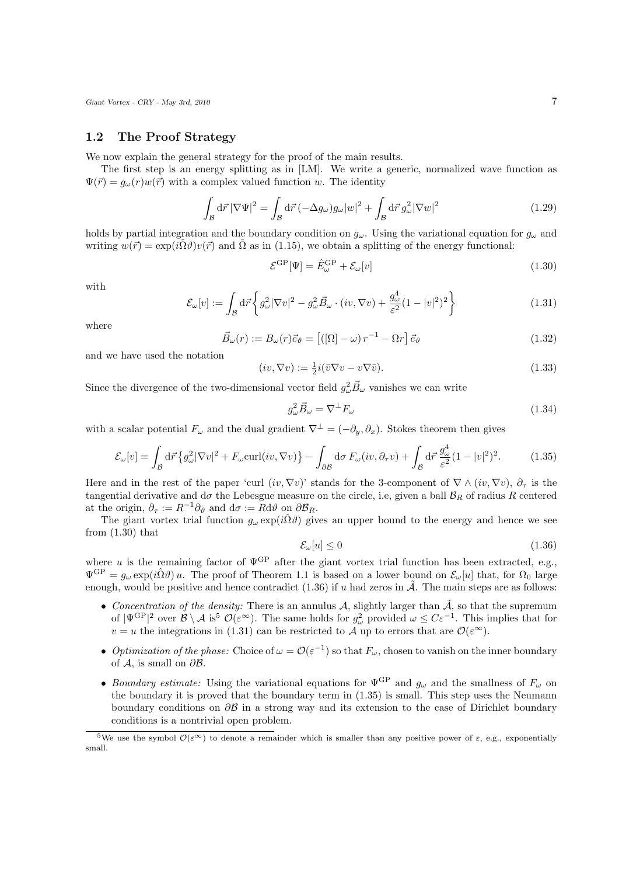### 1.2 The Proof Strategy

We now explain the general strategy for the proof of the main results.

The first step is an energy splitting as in [LM]. We write a generic, normalized wave function as  $\Psi(\vec{r}) = g_{\omega}(r)w(\vec{r})$  with a complex valued function w. The identity

$$
\int_{\mathcal{B}} d\vec{r} \, |\nabla \Psi|^2 = \int_{\mathcal{B}} d\vec{r} \, (-\Delta g_{\omega}) g_{\omega} |w|^2 + \int_{\mathcal{B}} d\vec{r} \, g_{\omega}^2 |\nabla w|^2 \tag{1.29}
$$

holds by partial integration and the boundary condition on  $g_{\omega}$ . Using the variational equation for  $g_{\omega}$  and writing  $w(\vec{r}) = \exp(i\hat{\Omega}\vartheta)v(\vec{r})$  and  $\hat{\Omega}$  as in (1.15), we obtain a splitting of the energy functional:

$$
\mathcal{E}^{\rm GP}[\Psi] = \hat{E}_{\omega}^{\rm GP} + \mathcal{E}_{\omega}[v] \tag{1.30}
$$

with

$$
\mathcal{E}_{\omega}[v] := \int_{\mathcal{B}} d\vec{r} \left\{ g_{\omega}^2 |\nabla v|^2 - g_{\omega}^2 \vec{B}_{\omega} \cdot (iv, \nabla v) + \frac{g_{\omega}^4}{\varepsilon^2} (1 - |v|^2)^2 \right\} \tag{1.31}
$$

where

$$
\vec{B}_{\omega}(r) := B_{\omega}(r)\vec{e}_{\vartheta} = \left[ \left( [\Omega] - \omega \right) r^{-1} - \Omega r \right] \vec{e}_{\vartheta} \tag{1.32}
$$

and we have used the notation

$$
(iv, \nabla v) := \frac{1}{2} i (\bar{v} \nabla v - v \nabla \bar{v}). \tag{1.33}
$$

Since the divergence of the two-dimensional vector field  $g_{\omega}^2 \vec{B}_{\omega}$  vanishes we can write

$$
g_{\omega}^{2} \vec{B}_{\omega} = \nabla^{\perp} F_{\omega} \tag{1.34}
$$

with a scalar potential  $F_{\omega}$  and the dual gradient  $\nabla^{\perp} = (-\partial_y, \partial_x)$ . Stokes theorem then gives

$$
\mathcal{E}_{\omega}[v] = \int_{\mathcal{B}} d\vec{r} \left\{ g_{\omega}^2 |\nabla v|^2 + F_{\omega} \text{curl}(iv, \nabla v) \right\} - \int_{\partial \mathcal{B}} d\sigma \, F_{\omega}(iv, \partial_{\tau} v) + \int_{\mathcal{B}} d\vec{r} \, \frac{g_{\omega}^4}{\varepsilon^2} (1 - |v|^2)^2. \tag{1.35}
$$

Here and in the rest of the paper 'curl  $(iv, \nabla v)$ ' stands for the 3-component of  $\nabla \wedge (iv, \nabla v)$ ,  $\partial_{\tau}$  is the tangential derivative and d $\sigma$  the Lebesgue measure on the circle, i.e, given a ball  $\mathcal{B}_R$  of radius R centered at the origin,  $\partial_{\tau} := R^{-1} \partial_{\vartheta}$  and  $d\sigma := R d\vartheta$  on  $\partial \mathcal{B}_R$ .

The giant vortex trial function  $q_{\omega} \exp(i\hat{\Omega} \vartheta)$  gives an upper bound to the energy and hence we see from  $(1.30)$  that

$$
\mathcal{E}_{\omega}[u] \le 0 \tag{1.36}
$$

where u is the remaining factor of  $\Psi^{\text{GP}}$  after the giant vortex trial function has been extracted, e.g.,  $\Psi^{\text{GP}} = g_{\omega} \exp(i\hat{\Omega}\vartheta) u$ . The proof of Theorem 1.1 is based on a lower bound on  $\mathcal{E}_{\omega}[u]$  that, for  $\Omega_0$  large enough, would be positive and hence contradict (1.36) if u had zeros in  $\tilde{A}$ . The main steps are as follows:

- Concentration of the density: There is an annulus A, slightly larger than  $\tilde{A}$ , so that the supremum of  $|\Psi^{\text{GP}}|^{2}$  over  $\mathcal{B} \setminus \mathcal{A}$  is<sup>5</sup>  $\mathcal{O}(\varepsilon^{\infty})$ . The same holds for  $g_{\omega}^{2}$  provided  $\omega \leq C \varepsilon^{-1}$ . This implies that for  $v = u$  the integrations in (1.31) can be restricted to A up to errors that are  $\mathcal{O}(\varepsilon^{\infty})$ .
- Optimization of the phase: Choice of  $\omega = \mathcal{O}(\varepsilon^{-1})$  so that  $F_{\omega}$ , chosen to vanish on the inner boundary of  $\mathcal A$ , is small on  $\partial \mathcal B$ .
- Boundary estimate: Using the variational equations for  $\Psi^{\text{GP}}$  and  $g_{\omega}$  and the smallness of  $F_{\omega}$  on the boundary it is proved that the boundary term in (1.35) is small. This step uses the Neumann boundary conditions on ∂B in a strong way and its extension to the case of Dirichlet boundary conditions is a nontrivial open problem.

<sup>&</sup>lt;sup>5</sup>We use the symbol  $\mathcal{O}(\varepsilon^{\infty})$  to denote a remainder which is smaller than any positive power of  $\varepsilon$ , e.g., exponentially small.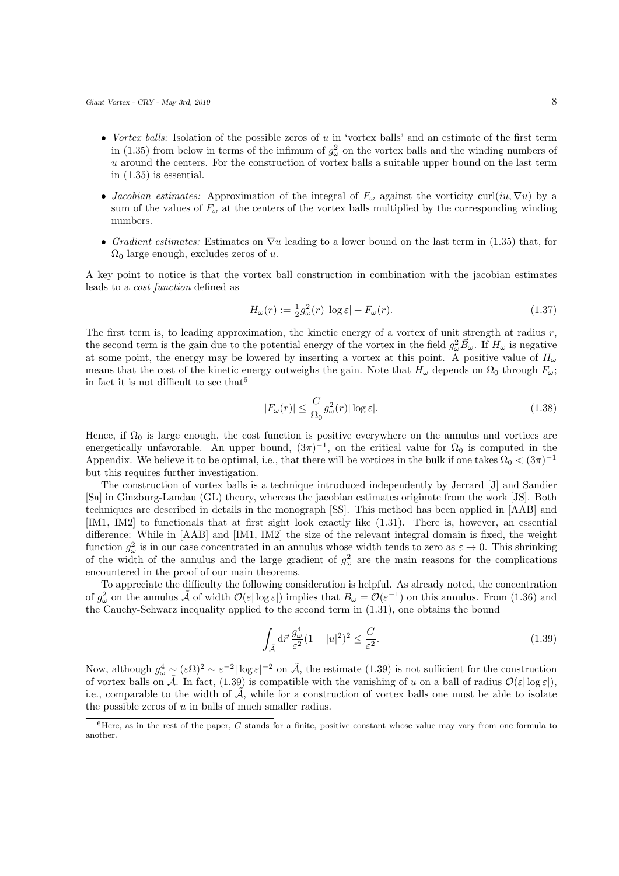- Vortex balls: Isolation of the possible zeros of u in 'vortex balls' and an estimate of the first term in (1.35) from below in terms of the infimum of  $g_{\omega}^2$  on the vortex balls and the winding numbers of u around the centers. For the construction of vortex balls a suitable upper bound on the last term in (1.35) is essential.
- Jacobian estimates: Approximation of the integral of  $F_\omega$  against the vorticity curl(iu,  $\nabla u$ ) by a sum of the values of  $F_{\omega}$  at the centers of the vortex balls multiplied by the corresponding winding numbers.
- Gradient estimates: Estimates on  $\nabla u$  leading to a lower bound on the last term in (1.35) that, for  $\Omega_0$  large enough, excludes zeros of u.

A key point to notice is that the vortex ball construction in combination with the jacobian estimates leads to a cost function defined as

$$
H_{\omega}(r) := \frac{1}{2}g_{\omega}^2(r)|\log \varepsilon| + F_{\omega}(r). \tag{1.37}
$$

The first term is, to leading approximation, the kinetic energy of a vortex of unit strength at radius  $r$ , the second term is the gain due to the potential energy of the vortex in the field  $g_\omega^2 \vec{B}_\omega$ . If  $H_\omega$  is negative at some point, the energy may be lowered by inserting a vortex at this point. A positive value of  $H_{\omega}$ means that the cost of the kinetic energy outweighs the gain. Note that  $H_{\omega}$  depends on  $\Omega_0$  through  $F_{\omega}$ ; in fact it is not difficult to see that  $\!6$ 

$$
|F_{\omega}(r)| \le \frac{C}{\Omega_0} g_{\omega}^2(r) |\log \varepsilon|.
$$
\n(1.38)

Hence, if  $\Omega_0$  is large enough, the cost function is positive everywhere on the annulus and vortices are energetically unfavorable. An upper bound,  $(3\pi)^{-1}$ , on the critical value for  $\Omega_0$  is computed in the Appendix. We believe it to be optimal, i.e., that there will be vortices in the bulk if one takes  $\Omega_0 < (3\pi)^{-1}$ but this requires further investigation.

The construction of vortex balls is a technique introduced independently by Jerrard [J] and Sandier [Sa] in Ginzburg-Landau (GL) theory, whereas the jacobian estimates originate from the work [JS]. Both techniques are described in details in the monograph [SS]. This method has been applied in [AAB] and [IM1, IM2] to functionals that at first sight look exactly like (1.31). There is, however, an essential difference: While in [AAB] and [IM1, IM2] the size of the relevant integral domain is fixed, the weight function  $g_{\omega}^2$  is in our case concentrated in an annulus whose width tends to zero as  $\varepsilon \to 0$ . This shrinking of the width of the annulus and the large gradient of  $g_{\omega}^2$  are the main reasons for the complications encountered in the proof of our main theorems.

To appreciate the difficulty the following consideration is helpful. As already noted, the concentration of  $g_{\omega}^2$  on the annulus  $\tilde{\mathcal{A}}$  of width  $\mathcal{O}(\varepsilon |\log \varepsilon|)$  implies that  $B_{\omega} = \mathcal{O}(\varepsilon^{-1})$  on this annulus. From (1.36) and the Cauchy-Schwarz inequality applied to the second term in (1.31), one obtains the bound

$$
\int_{\tilde{\mathcal{A}}} d\vec{r} \frac{g_{\omega}^4}{\varepsilon^2} (1 - |u|^2)^2 \le \frac{C}{\varepsilon^2}.
$$
\n(1.39)

Now, although  $g_{\omega}^4 \sim (\varepsilon \Omega)^2 \sim \varepsilon^{-2} |\log \varepsilon|^{-2}$  on  $\tilde{A}$ , the estimate (1.39) is not sufficient for the construction of vortex balls on  $\tilde{\mathcal{A}}$ . In fact, (1.39) is compatible with the vanishing of u on a ball of radius  $\mathcal{O}(\varepsilon |\log \varepsilon|)$ , i.e., comparable to the width of  $\tilde{\mathcal{A}}$ , while for a construction of vortex balls one must be able to isolate the possible zeros of  $u$  in balls of much smaller radius.

 $6$ Here, as in the rest of the paper, C stands for a finite, positive constant whose value may vary from one formula to another.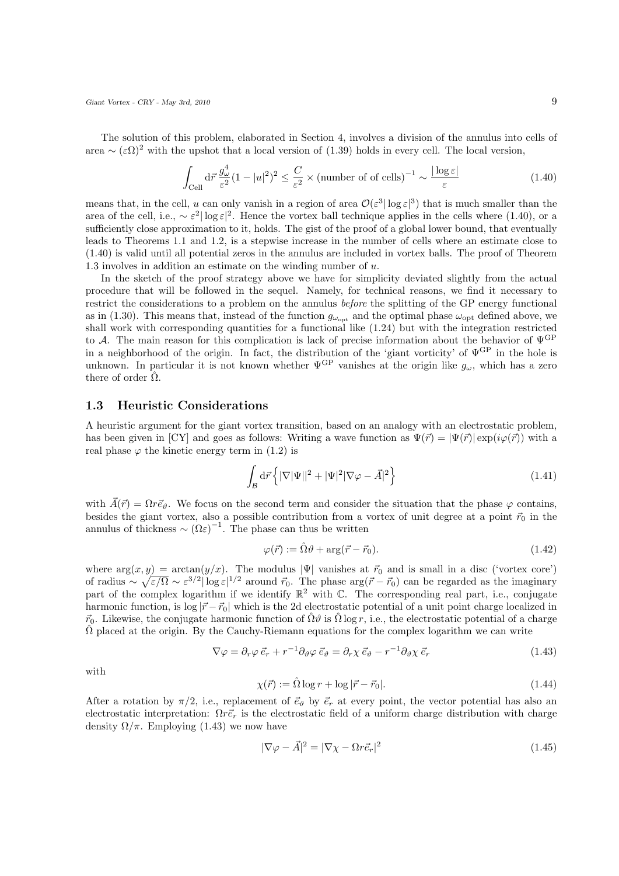The solution of this problem, elaborated in Section 4, involves a division of the annulus into cells of area ∼ ( $\varepsilon \Omega$ )<sup>2</sup> with the upshot that a local version of (1.39) holds in every cell. The local version,

$$
\int_{\text{Cell}} d\vec{r} \frac{g_{\omega}^4}{\varepsilon^2} (1 - |u|^2)^2 \le \frac{C}{\varepsilon^2} \times \text{(number of of cells)}^{-1} \sim \frac{|\log \varepsilon|}{\varepsilon} \tag{1.40}
$$

means that, in the cell, u can only vanish in a region of area  $\mathcal{O}(\varepsilon^3 |\log \varepsilon|^3)$  that is much smaller than the area of the cell, i.e.,  $\sim \varepsilon^2 |\log \varepsilon|^2$ . Hence the vortex ball technique applies in the cells where (1.40), or a sufficiently close approximation to it, holds. The gist of the proof of a global lower bound, that eventually leads to Theorems 1.1 and 1.2, is a stepwise increase in the number of cells where an estimate close to (1.40) is valid until all potential zeros in the annulus are included in vortex balls. The proof of Theorem 1.3 involves in addition an estimate on the winding number of u.

In the sketch of the proof strategy above we have for simplicity deviated slightly from the actual procedure that will be followed in the sequel. Namely, for technical reasons, we find it necessary to restrict the considerations to a problem on the annulus before the splitting of the GP energy functional as in (1.30). This means that, instead of the function  $g_{\omega_{\text{opt}}}$  and the optimal phase  $\omega_{\text{opt}}$  defined above, we shall work with corresponding quantities for a functional like (1.24) but with the integration restricted to A. The main reason for this complication is lack of precise information about the behavior of  $\Psi^{\rm GP}$ in a neighborhood of the origin. In fact, the distribution of the 'giant vorticity' of  $\Psi^{\text{GP}}$  in the hole is unknown. In particular it is not known whether  $\Psi^{\text{GP}}$  vanishes at the origin like  $g_{\omega}$ , which has a zero there of order  $\Omega$ .

#### 1.3 Heuristic Considerations

A heuristic argument for the giant vortex transition, based on an analogy with an electrostatic problem, has been given in [CY] and goes as follows: Writing a wave function as  $\Psi(\vec{r}) = |\Psi(\vec{r})| \exp(i\varphi(\vec{r}))$  with a real phase  $\varphi$  the kinetic energy term in (1.2) is

$$
\int_{\mathcal{B}} d\vec{r} \left\{ |\nabla |\Psi||^2 + |\Psi|^2 |\nabla \varphi - \vec{A}|^2 \right\} \tag{1.41}
$$

with  $\vec{A}(\vec{r}) = \Omega r \vec{e}_{\vartheta}$ . We focus on the second term and consider the situation that the phase  $\varphi$  contains, besides the giant vortex, also a possible contribution from a vortex of unit degree at a point  $\vec{r}_0$  in the annulus of thickness  $\sim (\Omega \varepsilon)^{-1}$ . The phase can thus be written

$$
\varphi(\vec{r}) := \hat{\Omega}\vartheta + \arg(\vec{r} - \vec{r}_0). \tag{1.42}
$$

where  $\arg(x, y) = \arctan(y/x)$ . The modulus  $|\Psi|$  vanishes at  $\vec{r}_0$  and is small in a disc ('vortex core') of radius ~  $\sqrt{\varepsilon/\Omega} \sim \varepsilon^{3/2} |\log \varepsilon|^{1/2}$  around  $\vec{r}_0$ . The phase  $\arg(\vec{r} - \vec{r}_0)$  can be regarded as the imaginary part of the complex logarithm if we identify  $\mathbb{R}^2$  with C. The corresponding real part, i.e., conjugate harmonic function, is  $\log |\vec{r} - \vec{r}_0|$  which is the 2d electrostatic potential of a unit point charge localized in  $\vec{r}_0$ . Likewise, the conjugate harmonic function of  $\hat{\Omega} \vartheta$  is  $\hat{\Omega} \log r$ , i.e., the electrostatic potential of a charge  $\hat{\Omega}$  placed at the origin. By the Cauchy-Riemann equations for the complex logarithm we can write

$$
\nabla \varphi = \partial_r \varphi \, \vec{e}_r + r^{-1} \partial_\vartheta \varphi \, \vec{e}_\vartheta = \partial_r \chi \, \vec{e}_\vartheta - r^{-1} \partial_\vartheta \chi \, \vec{e}_r \tag{1.43}
$$

with

$$
\chi(\vec{r}) := \hat{\Omega}\log r + \log|\vec{r} - \vec{r}_0|.\tag{1.44}
$$

After a rotation by  $\pi/2$ , i.e., replacement of  $\vec{e}_{\vartheta}$  by  $\vec{e}_r$  at every point, the vector potential has also an electrostatic interpretation:  $\Omega r\vec{e}_r$  is the electrostatic field of a uniform charge distribution with charge density  $\Omega/\pi$ . Employing (1.43) we now have

$$
|\nabla \varphi - \vec{A}|^2 = |\nabla \chi - \Omega r \vec{e}_r|^2 \tag{1.45}
$$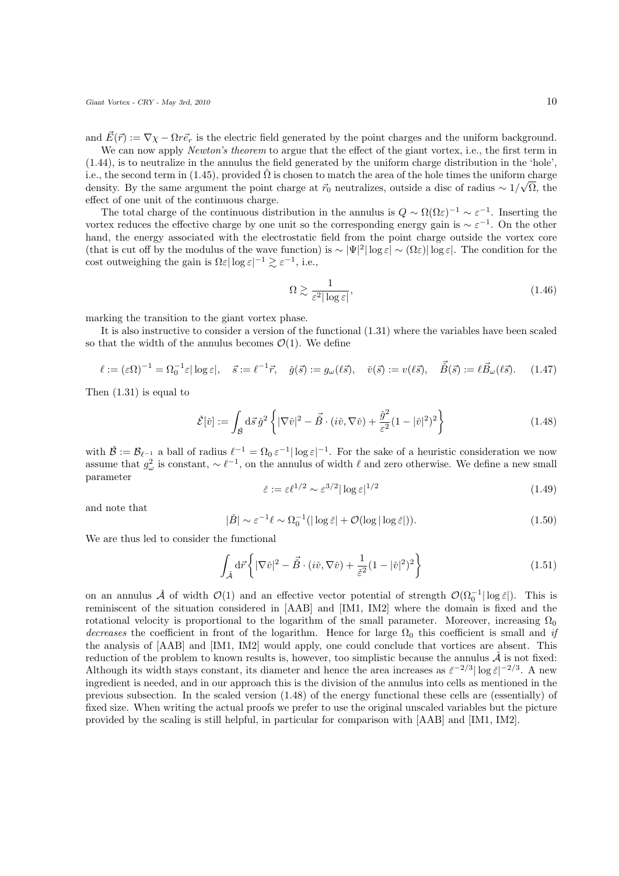and  $\vec{E}(\vec{r}) := \nabla \chi - \Omega r \vec{e_r}$  is the electric field generated by the point charges and the uniform background.

We can now apply *Newton's theorem* to argue that the effect of the giant vortex, i.e., the first term in (1.44), is to neutralize in the annulus the field generated by the uniform charge distribution in the 'hole', i.e., the second term in (1.45), provided  $\hat{\Omega}$  is chosen to match the area of the hole times the uniform charge density. By the same argument the point charge at  $\vec{r}_0$  neutralizes, outside a disc of radius  $\sim 1/\sqrt{\Omega}$ , the effect of one unit of the continuous charge.

The total charge of the continuous distribution in the annulus is  $Q \sim \Omega(\Omega \varepsilon)^{-1} \sim \varepsilon^{-1}$ . Inserting the vortex reduces the effective charge by one unit so the corresponding energy gain is  $\sim \varepsilon^{-1}$ . On the other hand, the energy associated with the electrostatic field from the point charge outside the vortex core (that is cut off by the modulus of the wave function) is  $\sim |\Psi|^2 |\log \varepsilon| \sim (\Omega \varepsilon)| \log \varepsilon|$ . The condition for the cost outweighing the gain is  $\Omega \varepsilon |\log \varepsilon|^{-1} \gtrsim \varepsilon^{-1}$ , i.e.,

$$
\Omega \gtrsim \frac{1}{\varepsilon^2 |\log \varepsilon|},\tag{1.46}
$$

marking the transition to the giant vortex phase.

It is also instructive to consider a version of the functional (1.31) where the variables have been scaled so that the width of the annulus becomes  $\mathcal{O}(1)$ . We define

$$
\ell := (\varepsilon \Omega)^{-1} = \Omega_0^{-1} \varepsilon |\log \varepsilon|, \quad \vec{s} := \ell^{-1} \vec{r}, \quad \check{g}(\vec{s}) := g_\omega(\ell \vec{s}), \quad \check{v}(\vec{s}) := v(\ell \vec{s}), \quad \vec{\check{B}}(\vec{s}) := \ell \vec{B}_\omega(\ell \vec{s}). \tag{1.47}
$$

Then (1.31) is equal to

$$
\check{\mathcal{E}}[\check{v}] := \int_{\check{\mathcal{B}}} d\vec{s} \, \check{g}^2 \left\{ |\nabla \check{v}|^2 - \check{\vec{B}} \cdot (i\check{v}, \nabla \check{v}) + \frac{\check{g}^2}{\varepsilon^2} (1 - |\check{v}|^2)^2 \right\} \tag{1.48}
$$

with  $\check{\mathcal{B}} := \mathcal{B}_{\ell^{-1}}$  a ball of radius  $\ell^{-1} = \Omega_0 \epsilon^{-1} |\log \epsilon|^{-1}$ . For the sake of a heuristic consideration we now assume that  $g_{\omega}^2$  is constant,  $\sim \ell^{-1}$ , on the annulus of width  $\ell$  and zero otherwise. We define a new small parameter

$$
\check{\varepsilon} := \varepsilon \ell^{1/2} \sim \varepsilon^{3/2} |\log \varepsilon|^{1/2} \tag{1.49}
$$

and note that

$$
|\check{B}| \sim \varepsilon^{-1} \ell \sim \Omega_0^{-1} (|\log \check{\varepsilon}| + \mathcal{O}(\log |\log \check{\varepsilon}|)). \tag{1.50}
$$

We are thus led to consider the functional

$$
\int_{\tilde{\mathcal{A}}} d\vec{r} \left\{ |\nabla \check{v}|^2 - \vec{B} \cdot (i\check{v}, \nabla \check{v}) + \frac{1}{\check{\varepsilon}^2} (1 - |\check{v}|^2)^2 \right\} \tag{1.51}
$$

on an annulus  $\check{A}$  of width  $\mathcal{O}(1)$  and an effective vector potential of strength  $\mathcal{O}(\Omega_0^{-1}|\log \tilde{\varepsilon}|)$ . This is reminiscent of the situation considered in [AAB] and [IM1, IM2] where the domain is fixed and the rotational velocity is proportional to the logarithm of the small parameter. Moreover, increasing  $\Omega_0$ decreases the coefficient in front of the logarithm. Hence for large  $\Omega_0$  this coefficient is small and if the analysis of [AAB] and [IM1, IM2] would apply, one could conclude that vortices are absent. This reduction of the problem to known results is, however, too simplistic because the annulus  $\tilde{\mathcal{A}}$  is not fixed: Although its width stays constant, its diameter and hence the area increases as  $\tilde{\epsilon}^{-2/3} |\log \tilde{\epsilon}|^{-2/3}$ . A new ingredient is needed, and in our approach this is the division of the annulus into cells as mentioned in the previous subsection. In the scaled version (1.48) of the energy functional these cells are (essentially) of fixed size. When writing the actual proofs we prefer to use the original unscaled variables but the picture provided by the scaling is still helpful, in particular for comparison with [AAB] and [IM1, IM2].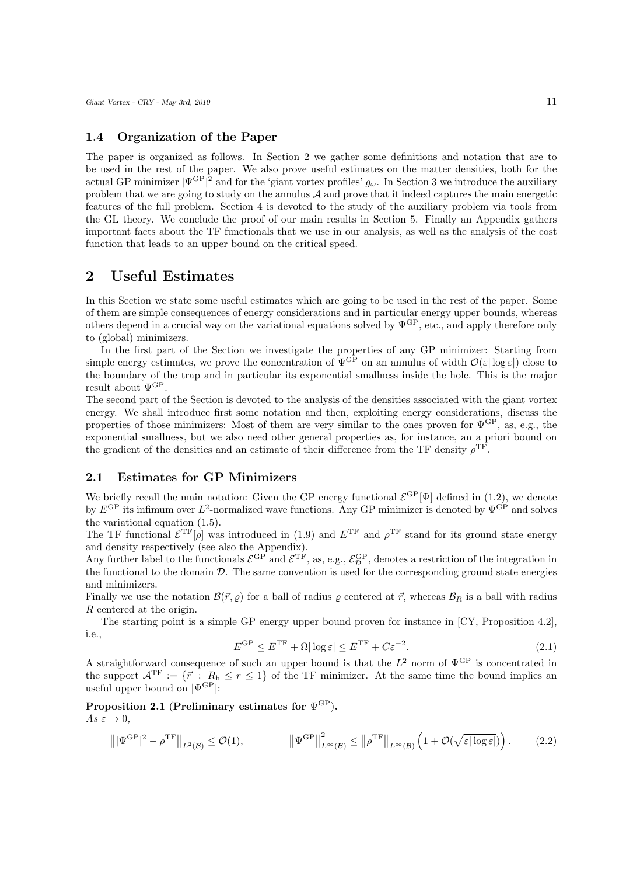### 1.4 Organization of the Paper

The paper is organized as follows. In Section 2 we gather some definitions and notation that are to be used in the rest of the paper. We also prove useful estimates on the matter densities, both for the actual GP minimizer  $|\Psi^{\text{GP}}|^{2}$  and for the 'giant vortex profiles'  $g_{\omega}$ . In Section 3 we introduce the auxiliary problem that we are going to study on the annulus  $A$  and prove that it indeed captures the main energetic features of the full problem. Section 4 is devoted to the study of the auxiliary problem via tools from the GL theory. We conclude the proof of our main results in Section 5. Finally an Appendix gathers important facts about the TF functionals that we use in our analysis, as well as the analysis of the cost function that leads to an upper bound on the critical speed.

# 2 Useful Estimates

In this Section we state some useful estimates which are going to be used in the rest of the paper. Some of them are simple consequences of energy considerations and in particular energy upper bounds, whereas others depend in a crucial way on the variational equations solved by  $\Psi^{\text{GP}}$ , etc., and apply therefore only to (global) minimizers.

In the first part of the Section we investigate the properties of any GP minimizer: Starting from simple energy estimates, we prove the concentration of  $\Psi^{\text{GP}}$  on an annulus of width  $\mathcal{O}(\varepsilon |\log \varepsilon|)$  close to the boundary of the trap and in particular its exponential smallness inside the hole. This is the major result about  $\Psi$ <sup>GP</sup>.

The second part of the Section is devoted to the analysis of the densities associated with the giant vortex energy. We shall introduce first some notation and then, exploiting energy considerations, discuss the properties of those minimizers: Most of them are very similar to the ones proven for  $\Psi^{\text{GP}}$ , as, e.g., the exponential smallness, but we also need other general properties as, for instance, an a priori bound on the gradient of the densities and an estimate of their difference from the TF density  $\rho^{\text{TF}}$ .

# 2.1 Estimates for GP Minimizers

We briefly recall the main notation: Given the GP energy functional  $\mathcal{E}^{\text{GP}}[\Psi]$  defined in (1.2), we denote by  $E^{\text{GP}}$  its infimum over  $L^2$ -normalized wave functions. Any GP minimizer is denoted by  $\Psi^{\text{GP}}$  and solves the variational equation (1.5).

The TF functional  $\mathcal{E}^{\text{TF}}[\rho]$  was introduced in (1.9) and  $E^{\text{TF}}$  and  $\rho^{\text{TF}}$  stand for its ground state energy and density respectively (see also the Appendix).

Any further label to the functionals  $\mathcal{E}^{\rm GP}$  and  $\mathcal{E}^{\rm TF}$ , as, e.g.,  $\mathcal{E}_{\mathcal{D}}^{\rm GP}$ , denotes a restriction of the integration in the functional to the domain  $D$ . The same convention is used for the corresponding ground state energies and minimizers.

Finally we use the notation  $\mathcal{B}(\vec{r},\rho)$  for a ball of radius  $\rho$  centered at  $\vec{r}$ , whereas  $\mathcal{B}_R$  is a ball with radius R centered at the origin.

The starting point is a simple GP energy upper bound proven for instance in [CY, Proposition 4.2], i.e.,

$$
E^{\rm GP} \le E^{\rm TF} + \Omega |\log \varepsilon| \le E^{\rm TF} + C\varepsilon^{-2}.
$$
\n(2.1)

A straightforward consequence of such an upper bound is that the  $L^2$  norm of  $\Psi^{\text{GP}}$  is concentrated in the support  $\mathcal{A}^{TF} := \{\vec{r} : R_h \leq r \leq 1\}$  of the TF minimizer. At the same time the bound implies an useful upper bound on  $|\Psi^{\mathrm{GP}}|$ :

Proposition 2.1 (Preliminary estimates for  $\Psi$ <sup>GP</sup>). As  $\varepsilon \to 0$ ,

$$
\left\| |\Psi^{\text{GP}}|^{2} - \rho^{\text{TF}} \right\|_{L^{2}(\mathcal{B})} \leq \mathcal{O}(1), \qquad \left\| |\Psi^{\text{GP}}| \right\|_{L^{\infty}(\mathcal{B})}^{2} \leq \left\| \rho^{\text{TF}} \right\|_{L^{\infty}(\mathcal{B})} \left( 1 + \mathcal{O}(\sqrt{\varepsilon |\log \varepsilon|}) \right). \tag{2.2}
$$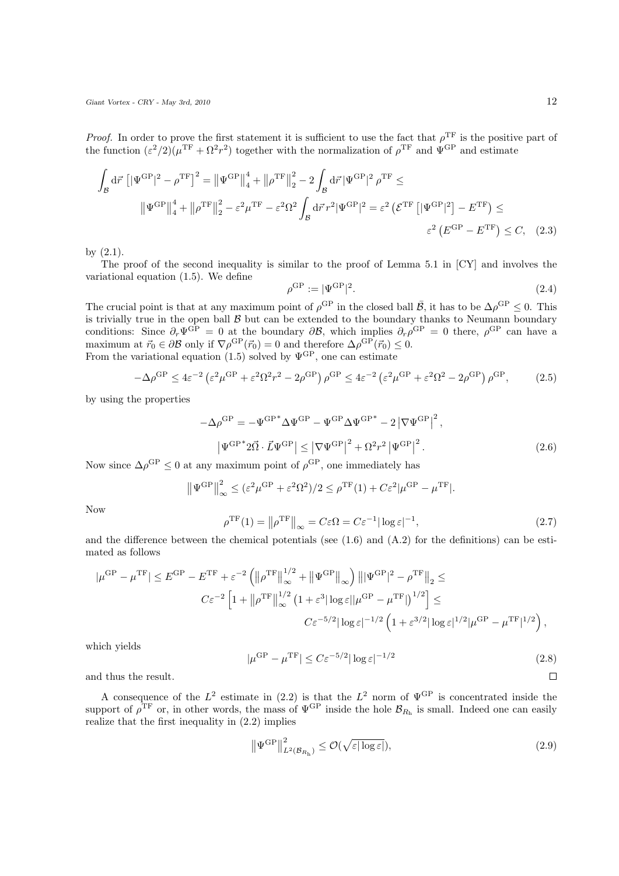*Proof.* In order to prove the first statement it is sufficient to use the fact that  $\rho^{TF}$  is the positive part of the function  $(\varepsilon^2/2)(\mu^{\text{TF}} + \Omega^2 r^2)$  together with the normalization of  $\rho^{\text{TF}}$  and  $\Psi^{\text{GP}}$  and estimate

$$
\int_{\mathcal{B}} d\vec{r} \left[ |\Psi^{\text{GP}}|^{2} - \rho^{\text{TF}} \right]^{2} = \left\| \Psi^{\text{GP}} \right\|_{4}^{4} + \left\| \rho^{\text{TF}} \right\|_{2}^{2} - 2 \int_{\mathcal{B}} d\vec{r} \left| \Psi^{\text{GP}} \right|^{2} \rho^{\text{TF}} \le
$$
\n
$$
\left\| \Psi^{\text{GP}} \right\|_{4}^{4} + \left\| \rho^{\text{TF}} \right\|_{2}^{2} - \varepsilon^{2} \mu^{\text{TF}} - \varepsilon^{2} \Omega^{2} \int_{\mathcal{B}} d\vec{r} \, r^{2} |\Psi^{\text{GP}}|^{2} = \varepsilon^{2} \left( \mathcal{E}^{\text{TF}} \left[ |\Psi^{\text{GP}}|^{2} \right] - E^{\text{TF}} \right) \le
$$
\n
$$
\varepsilon^{2} \left( E^{\text{GP}} - E^{\text{TF}} \right) \leq C, \quad (2.3)
$$

by (2.1).

The proof of the second inequality is similar to the proof of Lemma 5.1 in [CY] and involves the variational equation (1.5). We define

$$
\rho^{\rm GP} := |\Psi^{\rm GP}|^2. \tag{2.4}
$$

The crucial point is that at any maximum point of  $\rho$ <sup>GP</sup> in the closed ball  $\bar{B}$ , it has to be  $\Delta \rho$ <sup>GP</sup>  $\leq 0$ . This is trivially true in the open ball  $\beta$  but can be extended to the boundary thanks to Neumann boundary conditions: Since  $\partial_r \Psi^{\text{GP}} = 0$  at the boundary  $\partial \mathcal{B}$ , which implies  $\partial_r \rho^{\text{GP}} = 0$  there,  $\rho^{\text{GP}}$  can have a maximum at  $\vec{r}_0 \in \partial \mathcal{B}$  only if  $\nabla \rho^{\text{GP}}(\vec{r}_0) = 0$  and therefore  $\Delta \rho^{\text{GP}}(\vec{r}_0) \leq 0$ . From the variational equation (1.5) solved by  $\Psi^{\text{GP}}$ , one can estimate

$$
-\Delta\rho^{\rm GP} \le 4\varepsilon^{-2} \left(\varepsilon^2 \mu^{\rm GP} + \varepsilon^2 \Omega^2 r^2 - 2\rho^{\rm GP}\right) \rho^{\rm GP} \le 4\varepsilon^{-2} \left(\varepsilon^2 \mu^{\rm GP} + \varepsilon^2 \Omega^2 - 2\rho^{\rm GP}\right) \rho^{\rm GP},\tag{2.5}
$$

by using the properties

$$
-\Delta \rho^{\rm GP} = -\Psi^{\rm GP}{}^* \Delta \Psi^{\rm GP} - \Psi^{\rm GP} \Delta \Psi^{\rm GP}{}^* - 2 |\nabla \Psi^{\rm GP}|^2 ,
$$
  

$$
|\Psi^{\rm GP}{}^* 2\vec{\Omega} \cdot \vec{L} \Psi^{\rm GP}| \le |\nabla \Psi^{\rm GP}|^2 + \Omega^2 r^2 |\Psi^{\rm GP}|^2 .
$$
 (2.6)

Now since  $\Delta \rho^{\text{GP}} \leq 0$  at any maximum point of  $\rho^{\text{GP}}$ , one immediately has

$$
\left\|\Psi^{\text{GP}}\right\|_{\infty}^{2} \leq \left(\varepsilon^{2} \mu^{\text{GP}} + \varepsilon^{2} \Omega^{2}\right)/2 \leq \rho^{\text{TF}}(1) + C\varepsilon^{2}|\mu^{\text{GP}} - \mu^{\text{TF}}|.
$$

Now

$$
\rho^{\rm TF}(1) = \left\| \rho^{\rm TF} \right\|_{\infty} = C \varepsilon \Omega = C \varepsilon^{-1} |\log \varepsilon|^{-1},\tag{2.7}
$$

and the difference between the chemical potentials (see  $(1.6)$  and  $(A.2)$ ) for the definitions) can be estimated as follows

$$
|\mu^{\rm GP} - \mu^{\rm TF}| \leq E^{\rm GP} - E^{\rm TF} + \varepsilon^{-2} \left( \|\rho^{\rm TF}\|_\infty^{1/2} + \|\Psi^{\rm GP}\|_\infty \right) \left\| |\Psi^{\rm GP}|^2 - \rho^{\rm TF} \right\|_2 \leq
$$
  

$$
C\varepsilon^{-2} \left[ 1 + \|\rho^{\rm TF}\|_\infty^{1/2} \left( 1 + \varepsilon^3 |\log \varepsilon| |\mu^{\rm GP} - \mu^{\rm TF}| \right)^{1/2} \right] \leq
$$
  

$$
C\varepsilon^{-5/2} |\log \varepsilon|^{-1/2} \left( 1 + \varepsilon^{3/2} |\log \varepsilon|^{1/2} |\mu^{\rm GP} - \mu^{\rm TF}|^{1/2} \right),
$$

which yields

$$
|\mu^{\rm GP} - \mu^{\rm TF}| \le C\varepsilon^{-5/2} |\log \varepsilon|^{-1/2}
$$
\n(2.8)

and thus the result.

A consequence of the  $L^2$  estimate in (2.2) is that the  $L^2$  norm of  $\Psi^{\text{GP}}$  is concentrated inside the support of  $\rho^{\rm TF}$  or, in other words, the mass of  $\Psi^{\rm GP}$  inside the hole  $\mathcal{B}_{R_h}$  is small. Indeed one can easily realize that the first inequality in (2.2) implies

$$
\left\|\Psi^{\rm GP}\right\|_{L^2(\mathcal{B}_{R_{\rm h}})}^2 \le \mathcal{O}(\sqrt{\varepsilon |\log \varepsilon|}),\tag{2.9}
$$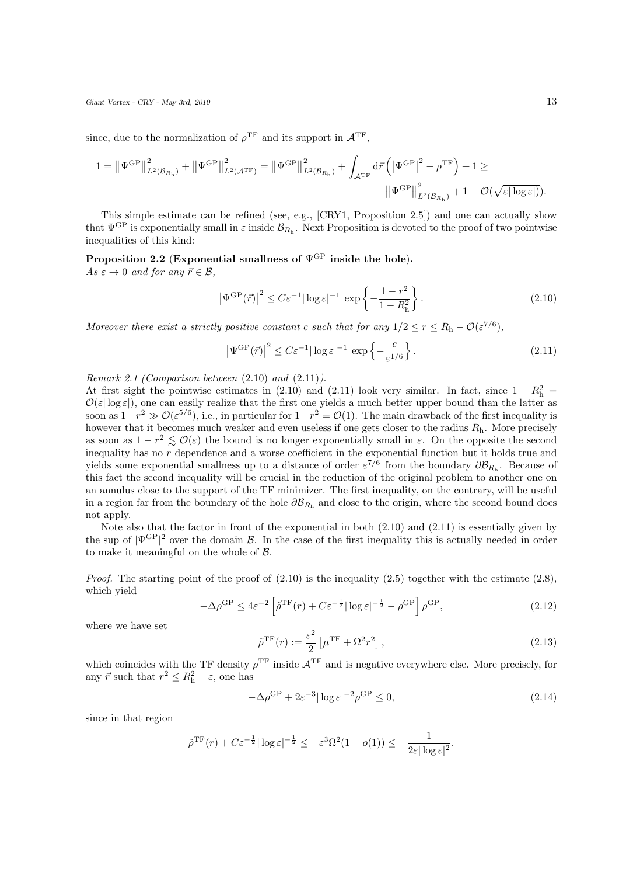since, due to the normalization of  $\rho^{\text{TF}}$  and its support in  $\mathcal{A}^{\text{TF}}$ ,

$$
1=\left\|\Psi^{\mathrm{GP}}\right\|_{L^2(\mathcal{B}_{R_{\mathrm{h}}})}^2+\left\|\Psi^{\mathrm{GP}}\right\|_{L^2(\mathcal{A}^{\mathrm{TF}})}^2=\left\|\Psi^{\mathrm{GP}}\right\|_{L^2(\mathcal{B}_{R_{\mathrm{h}}})}^2+\int_{\mathcal{A}^{\mathrm{TF}}}\mathrm{d}\vec{r}\left(\left|\Psi^{\mathrm{GP}}\right|^2-\rho^{\mathrm{TF}}\right)+1\geq\\\qquad \qquad \left\|\Psi^{\mathrm{GP}}\right\|_{L^2(\mathcal{B}_{R_{\mathrm{h}}})}^2+1-\mathcal{O}(\sqrt{\varepsilon|\log\varepsilon|})).
$$

This simple estimate can be refined (see, e.g., [CRY1, Proposition 2.5]) and one can actually show that  $\Psi^{\text{GP}}$  is exponentially small in  $\varepsilon$  inside  $\mathcal{B}_{R_h}$ . Next Proposition is devoted to the proof of two pointwise inequalities of this kind:

Proposition 2.2 (Exponential smallness of  $\Psi$ <sup>GP</sup> inside the hole).  $As \varepsilon \to 0$  and for any  $\vec{r} \in \mathcal{B}$ ,

$$
\left|\Psi^{\text{GP}}(\vec{r})\right|^2 \le C\epsilon^{-1}|\log\epsilon|^{-1} \exp\left\{-\frac{1-r^2}{1-R_h^2}\right\}.
$$
\n(2.10)

Moreover there exist a strictly positive constant c such that for any  $1/2 \le r \le R_h - \mathcal{O}(\varepsilon^{7/6})$ ,

$$
\left|\Psi^{\rm GP}(\vec{r})\right|^2 \le C\epsilon^{-1}|\log\epsilon|^{-1}\,\exp\left\{-\frac{c}{\epsilon^{1/6}}\right\}.\tag{2.11}
$$

Remark 2.1 (Comparison between  $(2.10)$  and  $(2.11)$ ).

At first sight the pointwise estimates in (2.10) and (2.11) look very similar. In fact, since  $1 - R_h^2$  $\mathcal{O}(\varepsilon |\log \varepsilon|)$ , one can easily realize that the first one yields a much better upper bound than the latter as soon as  $1-r^2 \gg \mathcal{O}(\varepsilon^{5/6})$ , i.e., in particular for  $1-r^2 = \mathcal{O}(1)$ . The main drawback of the first inequality is however that it becomes much weaker and even useless if one gets closer to the radius  $R_h$ . More precisely as soon as  $1 - r^2 \leq \mathcal{O}(\varepsilon)$  the bound is no longer exponentially small in  $\varepsilon$ . On the opposite the second inequality has no r dependence and a worse coefficient in the exponential function but it holds true and yields some exponential smallness up to a distance of order  $\varepsilon^{7/6}$  from the boundary  $\partial \mathcal{B}_{R_h}$ . Because of this fact the second inequality will be crucial in the reduction of the original problem to another one on an annulus close to the support of the TF minimizer. The first inequality, on the contrary, will be useful in a region far from the boundary of the hole  $\partial \mathcal{B}_{R_h}$  and close to the origin, where the second bound does not apply.

Note also that the factor in front of the exponential in both (2.10) and (2.11) is essentially given by the sup of  $|\Psi^{\text{GP}}|^{2}$  over the domain  $\mathcal{B}$ . In the case of the first inequality this is actually needed in order to make it meaningful on the whole of B.

*Proof.* The starting point of the proof of  $(2.10)$  is the inequality  $(2.5)$  together with the estimate  $(2.8)$ , which yield

$$
-\Delta \rho^{\rm GP} \le 4\varepsilon^{-2} \left[ \tilde{\rho}^{\rm TF}(r) + C\varepsilon^{-\frac{1}{2}} |\log \varepsilon|^{-\frac{1}{2}} - \rho^{\rm GP} \right] \rho^{\rm GP},\tag{2.12}
$$

where we have set

$$
\tilde{\rho}^{\rm TF}(r) := \frac{\varepsilon^2}{2} \left[ \mu^{\rm TF} + \Omega^2 r^2 \right],\tag{2.13}
$$

which coincides with the TF density  $\rho^{\text{TF}}$  inside  $\mathcal{A}^{\text{TF}}$  and is negative everywhere else. More precisely, for any  $\vec{r}$  such that  $r^2 \leq R_h^2 - \varepsilon$ , one has

$$
-\Delta \rho^{\rm GP} + 2\varepsilon^{-3} |\log \varepsilon|^{-2} \rho^{\rm GP} \le 0,\tag{2.14}
$$

since in that region

$$
\tilde{\rho}^{\mathrm{TF}}(r) + C\varepsilon^{-\frac{1}{2}}|\log \varepsilon|^{-\frac{1}{2}} \le -\varepsilon^3 \Omega^2 (1 - o(1)) \le -\frac{1}{2\varepsilon |\log \varepsilon|^2}.
$$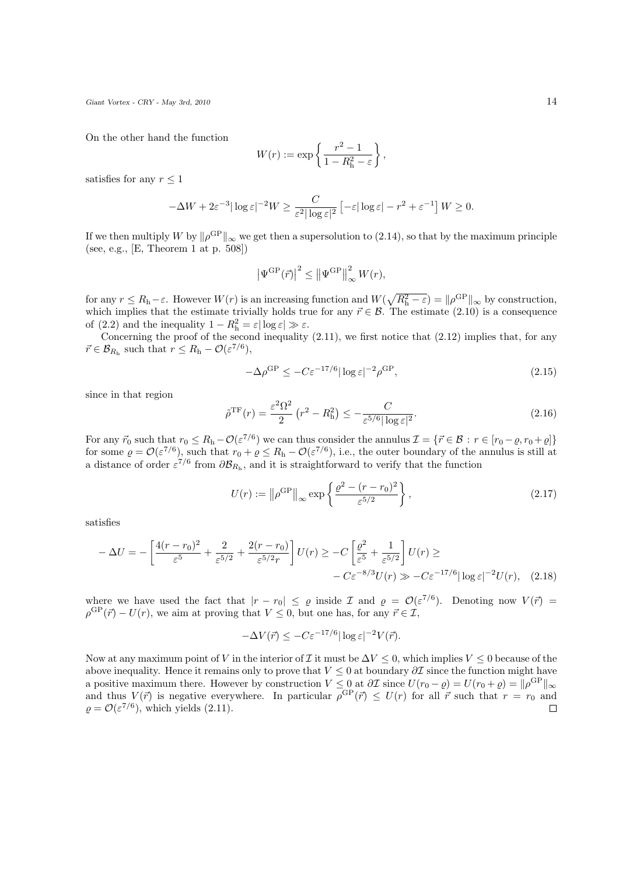On the other hand the function

$$
W(r) := \exp\left\{\frac{r^2 - 1}{1 - R_h^2 - \varepsilon}\right\},\,
$$

satisfies for any  $r \leq 1$ 

$$
-\Delta W + 2\varepsilon^{-3}|\log\varepsilon|^{-2}W \ge \frac{C}{\varepsilon^2|\log\varepsilon|^2} \left[-\varepsilon|\log\varepsilon| - r^2 + \varepsilon^{-1}\right]W \ge 0.
$$

If we then multiply W by  $\|\rho^{\rm GP}\|_\infty$  we get then a supersolution to (2.14), so that by the maximum principle (see, e.g., [E, Theorem 1 at p. 508])

$$
\left|\Psi^{\rm GP}(\vec{r})\right|^2\leq \left\|\Psi^{\rm GP}\right\|_\infty^2 W(r),
$$

for any  $r \le R_h - \varepsilon$ . However  $W(r)$  is an increasing function and  $W(\sqrt{R_h^2 - \varepsilon}) = ||\rho^{\text{GP}}||_{\infty}$  by construction, which implies that the estimate trivially holds true for any  $\vec{r} \in \mathcal{B}$ . The estimate (2.10) is a consequence of (2.2) and the inequality  $1 - R_h^2 = \varepsilon |\log \varepsilon| \gg \varepsilon$ .

Concerning the proof of the second inequality  $(2.11)$ , we first notice that  $(2.12)$  implies that, for any  $\vec{r} \in \mathcal{B}_{R_{\text{h}}}$  such that  $r \leq R_{\text{h}} - \mathcal{O}(\varepsilon^{7/6}),$ 

$$
-\Delta \rho^{\rm GP} \le -C \varepsilon^{-17/6} |\log \varepsilon|^{-2} \rho^{\rm GP},\tag{2.15}
$$

since in that region

$$
\tilde{\rho}^{\rm TF}(r) = \frac{\varepsilon^2 \Omega^2}{2} \left( r^2 - R_{\rm h}^2 \right) \le -\frac{C}{\varepsilon^{5/6} |\log \varepsilon|^2}.
$$
\n(2.16)

For any  $\vec{r}_0$  such that  $r_0 \leq R_h - \mathcal{O}(\varepsilon^{7/6})$  we can thus consider the annulus  $\mathcal{I} = \{\vec{r} \in \mathcal{B} : r \in [r_0 - \varrho, r_0 + \varrho]\}$ for some  $\varrho = \mathcal{O}(\varepsilon^{7/6})$ , such that  $r_0 + \varrho \le R_h - \mathcal{O}(\varepsilon^{7/6})$ , i.e., the outer boundary of the annulus is still at a distance of order  $\varepsilon^{7/6}$  from  $\partial \mathcal{B}_{R_h}$ , and it is straightforward to verify that the function

$$
U(r) := \left\| \rho^{\rm GP} \right\|_{\infty} \exp \left\{ \frac{\varrho^2 - (r - r_0)^2}{\varepsilon^{5/2}} \right\},\tag{2.17}
$$

satisfies

$$
-\Delta U = -\left[\frac{4(r-r_0)^2}{\varepsilon^5} + \frac{2}{\varepsilon^{5/2}} + \frac{2(r-r_0)}{\varepsilon^{5/2}r}\right]U(r) \ge -C\left[\frac{\varrho^2}{\varepsilon^5} + \frac{1}{\varepsilon^{5/2}}\right]U(r) \ge -C\varepsilon^{-8/3}U(r) \gg -C\varepsilon^{-17/6}|\log\varepsilon|^{-2}U(r), \quad (2.18)
$$

where we have used the fact that  $|r - r_0| \leq \varrho$  inside  $\mathcal I$  and  $\varrho = \mathcal O(\varepsilon^{7/6})$ . Denoting now  $V(\vec r)$  $\rho^{\text{GP}}(\vec{r}) - U(r)$ , we aim at proving that  $V \leq 0$ , but one has, for any  $\vec{r} \in \mathcal{I}$ ,

$$
-\Delta V(\vec{r}) \le -C\varepsilon^{-17/6} |\log \varepsilon|^{-2} V(\vec{r}).
$$

Now at any maximum point of V in the interior of  $\mathcal I$  it must be  $\Delta V \leq 0$ , which implies  $V \leq 0$  because of the above inequality. Hence it remains only to prove that  $V \leq 0$  at boundary  $\partial \mathcal{I}$  since the function might have a positive maximum there. However by construction  $V \leq 0$  at  $\partial \mathcal{I}$  since  $U(r_0 - \varrho) = U(r_0 + \varrho) = ||\rho^{\rm GP}||_{\infty}$ and thus  $V(\vec{r})$  is negative everywhere. In particular  $\rho^{\text{GP}}(\vec{r}) \leq U(r)$  for all  $\vec{r}$  such that  $r = r_0$  and  $\rho = \mathcal{O}(\varepsilon^{7/6})$ , which yields (2.11).  $\Box$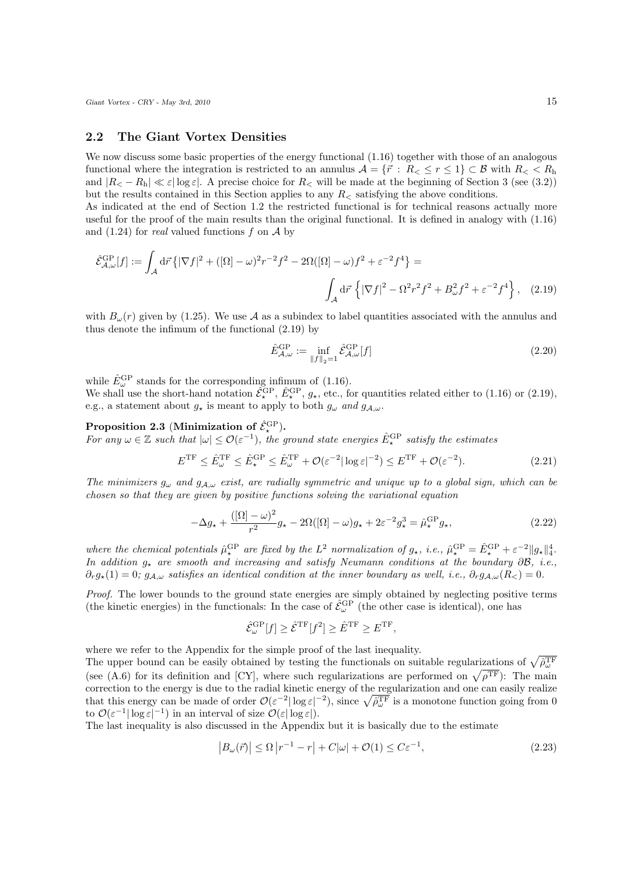#### 2.2 The Giant Vortex Densities

We now discuss some basic properties of the energy functional  $(1.16)$  together with those of an analogous functional where the integration is restricted to an annulus  $A = \{\vec{r} : R < \leq r \leq 1\} \subset \mathcal{B}$  with  $R < R_h$ and  $|R_{<} - R_{\rm h}| \ll \varepsilon |\log \varepsilon|$ . A precise choice for  $R_{<}$  will be made at the beginning of Section 3 (see (3.2)) but the results contained in this Section applies to any  $R_{\leq}$  satisfying the above conditions.

As indicated at the end of Section 1.2 the restricted functional is for technical reasons actually more useful for the proof of the main results than the original functional. It is defined in analogy with (1.16) and  $(1.24)$  for *real* valued functions f on A by

$$
\hat{\mathcal{E}}_{\mathcal{A},\omega}^{\text{GP}}[f] := \int_{\mathcal{A}} \mathrm{d}\vec{r} \left\{ |\nabla f|^2 + ([\Omega] - \omega)^2 r^{-2} f^2 - 2\Omega ([\Omega] - \omega) f^2 + \varepsilon^{-2} f^4 \right\} =
$$

$$
\int_{\mathcal{A}} \mathrm{d}\vec{r} \left\{ |\nabla f|^2 - \Omega^2 r^2 f^2 + B_{\omega}^2 f^2 + \varepsilon^{-2} f^4 \right\}, \quad (2.19)
$$

with  $B_{\omega}(r)$  given by (1.25). We use A as a subindex to label quantities associated with the annulus and thus denote the infimum of the functional (2.19) by

$$
\hat{E}_{\mathcal{A},\omega}^{\text{GP}} := \inf_{\|f\|_2 = 1} \hat{\mathcal{E}}_{\mathcal{A},\omega}^{\text{GP}}[f] \tag{2.20}
$$

while  $\hat{E}_{\omega}^{\text{GP}}$  stands for the corresponding infimum of (1.16).

We shall use the short-hand notation  $\tilde{\mathcal{E}}_{\star}^{\text{GP}}, \tilde{E}_{\star}^{\text{GP}}, g_{\star}, \text{etc.}$ , for quantities related either to (1.16) or (2.19), e.g., a statement about  $g_{\star}$  is meant to apply to both  $g_{\omega}$  and  $g_{A,\omega}$ .

# Proposition 2.3 (Minimization of  $\hat{\mathcal{E}}^{\mathrm{GP}}_\star$ ).

For any  $\omega \in \mathbb{Z}$  such that  $|\omega| \leq \mathcal{O}(\varepsilon^{-1})$ , the ground state energies  $\hat{E}_{\star}^{\text{GP}}$  satisfy the estimates

$$
E^{\rm TF} \le \hat{E}_{\omega}^{\rm TF} \le \hat{E}_{\star}^{\rm GP} \le \hat{E}_{\omega}^{\rm TF} + \mathcal{O}(\varepsilon^{-2} |\log \varepsilon|^{-2}) \le E^{\rm TF} + \mathcal{O}(\varepsilon^{-2}).\tag{2.21}
$$

The minimizers  $g_{\omega}$  and  $g_{A,\omega}$  exist, are radially symmetric and unique up to a global sign, which can be chosen so that they are given by positive functions solving the variational equation

$$
-\Delta g_{\star} + \frac{([\Omega] - \omega)^2}{r^2} g_{\star} - 2\Omega([\Omega] - \omega)g_{\star} + 2\varepsilon^{-2} g_{\star}^3 = \hat{\mu}_{\star}^{\text{GP}} g_{\star},\tag{2.22}
$$

where the chemical potentials  $\hat{\mu}_{\star}^{\text{GP}}$  are fixed by the  $L^2$  normalization of  $g_{\star}$ , i.e.,  $\hat{\mu}_{\star}^{\text{GP}} = \hat{E}_{\star}^{\text{GP}} + \varepsilon^{-2} ||g_{\star}||_4^4$ . In addition  $g_{\star}$  are smooth and increasing and satisfy Neumann conditions at the boundary  $\partial \mathcal{B}$ , i.e.,  $\partial_r g_*(1) = 0$ ;  $g_{\mathcal{A},\omega}$  satisfies an identical condition at the inner boundary as well, i.e.,  $\partial_r g_{\mathcal{A},\omega}(R_<) = 0$ .

Proof. The lower bounds to the ground state energies are simply obtained by neglecting positive terms (the kinetic energies) in the functionals: In the case of  $\hat{\mathcal{E}}_{\omega}^{\text{GP}}$  (the other case is identical), one has

$$
\hat{\mathcal{E}}_{\omega}^{\text{GP}}[f] \ge \hat{\mathcal{E}}^{\text{TF}}[f^2] \ge \hat{E}^{\text{TF}} \ge E^{\text{TF}},
$$

where we refer to the Appendix for the simple proof of the last inequality.

The upper bound can be easily obtained by testing the functionals on suitable regularizations of  $\sqrt{\hat{\rho}_{\omega}^{\text{TF}}}$ (see (A.6) for its definition and [CY], where such regularizations are performed on  $\sqrt{\rho^{TF}}$ ): The main correction to the energy is due to the radial kinetic energy of the regularization and one can easily realize that this energy can be made of order  $\mathcal{O}(\varepsilon^{-2}|\log \varepsilon|^{-2})$ , since  $\sqrt{\hat{\rho}_{\omega}^{\text{TF}}}$  is a monotone function going from 0 to  $\mathcal{O}(\varepsilon^{-1}|\log \varepsilon|^{-1})$  in an interval of size  $\mathcal{O}(\varepsilon|\log \varepsilon|)$ .

The last inequality is also discussed in the Appendix but it is basically due to the estimate

$$
\left|B_{\omega}(\vec{r})\right| \leq \Omega \left|r^{-1} - r\right| + C|\omega| + \mathcal{O}(1) \leq C\varepsilon^{-1},\tag{2.23}
$$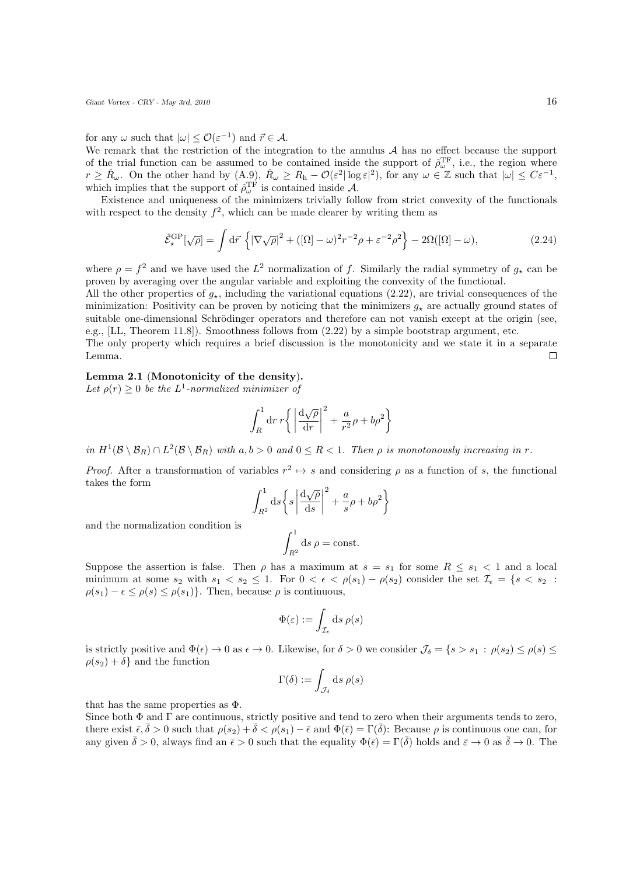for any  $\omega$  such that  $|\omega| \leq \mathcal{O}(\varepsilon^{-1})$  and  $\vec{r} \in \mathcal{A}$ .

We remark that the restriction of the integration to the annulus  $A$  has no effect because the support of the trial function can be assumed to be contained inside the support of  $\hat{\rho}_{\omega}^{\text{TF}}$ , i.e., the region where  $r \geq \hat{R}_{\omega}$ . On the other hand by (A.9),  $\hat{R}_{\omega} \geq R_{\rm h} - \mathcal{O}(\varepsilon^2 |\log \varepsilon|^2)$ , for any  $\omega \in \mathbb{Z}$  such that  $|\omega| \leq C \varepsilon^{-1}$ , which implies that the support of  $\hat{\rho}_{\omega}^{\text{TF}}$  is contained inside A.

Existence and uniqueness of the minimizers trivially follow from strict convexity of the functionals with respect to the density  $f^2$ , which can be made clearer by writing them as

$$
\hat{\mathcal{E}}_{\star}^{\text{GP}}[\sqrt{\rho}] = \int d\vec{r} \left\{ \left| \nabla \sqrt{\rho} \right|^2 + \left( [\Omega] - \omega \right)^2 r^{-2} \rho + \varepsilon^{-2} \rho^2 \right\} - 2\Omega([\Omega] - \omega),\tag{2.24}
$$

where  $\rho = f^2$  and we have used the  $L^2$  normalization of f. Similarly the radial symmetry of  $g_*$  can be proven by averaging over the angular variable and exploiting the convexity of the functional.

All the other properties of  $g_{\star}$ , including the variational equations (2.22), are trivial consequences of the minimization: Positivity can be proven by noticing that the minimizers  $q<sub>+</sub>$  are actually ground states of suitable one-dimensional Schrödinger operators and therefore can not vanish except at the origin (see, e.g., [LL, Theorem 11.8]). Smoothness follows from (2.22) by a simple bootstrap argument, etc.

The only property which requires a brief discussion is the monotonicity and we state it in a separate Lemma.  $\Box$ 

#### Lemma 2.1 (Monotonicity of the density).

Let  $\rho(r) \geq 0$  be the L<sup>1</sup>-normalized minimizer of

$$
\int_R^1 \mathrm{d}r\, r \bigg\{\left|\frac{\mathrm{d}\sqrt{\rho}}{\mathrm{d}r}\right|^2 + \frac{a}{r^2}\rho + b\rho^2\bigg\}
$$

in  $H^1(\mathcal{B} \setminus \mathcal{B}_R) \cap L^2(\mathcal{B} \setminus \mathcal{B}_R)$  with  $a, b > 0$  and  $0 \le R < 1$ . Then  $\rho$  is monotonously increasing in r.

*Proof.* After a transformation of variables  $r^2 \mapsto s$  and considering  $\rho$  as a function of s, the functional takes the form

$$
\int_{R^2}^1 ds \left\{ s \left| \frac{d\sqrt{\rho}}{ds} \right|^2 + \frac{a}{s} \rho + b\rho^2 \right\}
$$

and the normalization condition is

$$
\int_{R^2}^1 \mathrm{d} s \, \rho = \text{const.}
$$

Suppose the assertion is false. Then  $\rho$  has a maximum at  $s = s_1$  for some  $R \leq s_1 < 1$  and a local minimum at some  $s_2$  with  $s_1 < s_2 \leq 1$ . For  $0 < \epsilon < \rho(s_1) - \rho(s_2)$  consider the set  $\mathcal{I}_{\epsilon} = \{s < s_2 :$  $\rho(s_1) - \epsilon \leq \rho(s) \leq \rho(s_1)$ . Then, because  $\rho$  is continuous,

$$
\Phi(\varepsilon):=\int_{\mathcal{I}_\epsilon}\mathrm{d} s\,\rho(s)
$$

is strictly positive and  $\Phi(\epsilon) \to 0$  as  $\epsilon \to 0$ . Likewise, for  $\delta > 0$  we consider  $\mathcal{J}_{\delta} = \{s > s_1 : \rho(s_2) \leq \rho(s) \leq \epsilon \}$  $\rho(s_2) + \delta$  and the function

$$
\Gamma(\delta) := \int_{\mathcal{J}_{\delta}} \mathrm{d} s \, \rho(s)
$$

that has the same properties as  $\Phi$ .

Since both  $\Phi$  and  $\Gamma$  are continuous, strictly positive and tend to zero when their arguments tends to zero, there exist  $\bar{\epsilon}, \bar{\delta} > 0$  such that  $\rho(s_2) + \bar{\delta} < \rho(s_1) - \bar{\epsilon}$  and  $\Phi(\bar{\epsilon}) = \Gamma(\bar{\delta})$ : Because  $\rho$  is continuous one can, for any given  $\bar{\delta} > 0$ , always find an  $\bar{\epsilon} > 0$  such that the equality  $\Phi(\bar{\epsilon}) = \Gamma(\bar{\delta})$  holds and  $\bar{\epsilon} \to 0$  as  $\bar{\delta} \to 0$ . The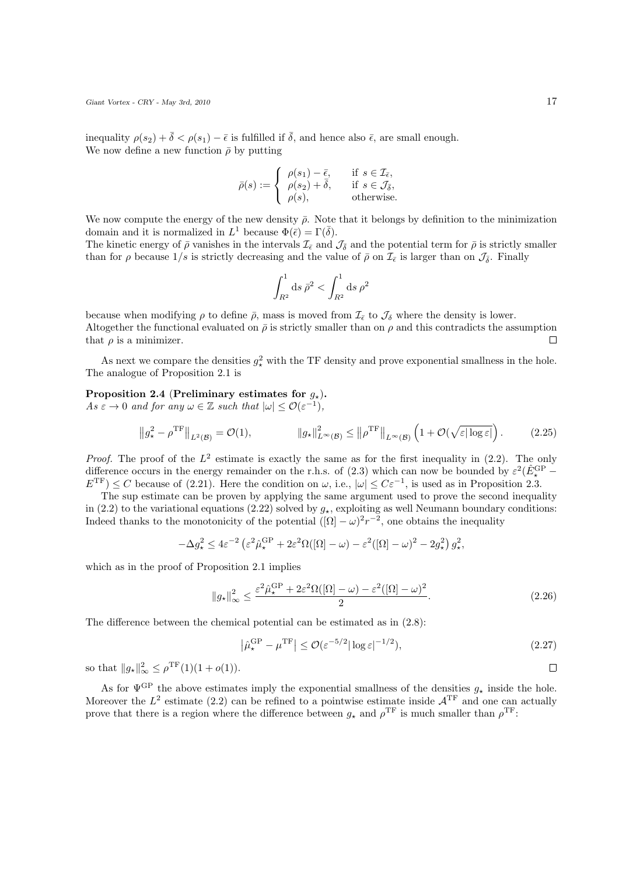inequality  $\rho(s_2) + \bar{\delta} < \rho(s_1) - \bar{\epsilon}$  is fulfilled if  $\bar{\delta}$ , and hence also  $\bar{\epsilon}$ , are small enough. We now define a new function  $\bar{\rho}$  by putting

$$
\bar{\rho}(s) := \begin{cases}\n\rho(s_1) - \bar{\epsilon}, & \text{if } s \in \mathcal{I}_{\bar{\epsilon}}, \\
\rho(s_2) + \bar{\delta}, & \text{if } s \in \mathcal{J}_{\bar{\delta}}, \\
\rho(s), & \text{otherwise.} \n\end{cases}
$$

We now compute the energy of the new density  $\bar{\rho}$ . Note that it belongs by definition to the minimization domain and it is normalized in  $L^1$  because  $\Phi(\bar{\epsilon}) = \Gamma(\bar{\delta}).$ 

The kinetic energy of  $\bar{\rho}$  vanishes in the intervals  $\mathcal{I}_{\bar{\epsilon}}$  and  $\mathcal{J}_{\bar{\delta}}$  and the potential term for  $\bar{\rho}$  is strictly smaller than for  $\rho$  because  $1/s$  is strictly decreasing and the value of  $\bar{\rho}$  on  $\mathcal{I}_{\bar{\epsilon}}$  is larger than on  $\mathcal{J}_{\bar{\delta}}$ . Finally

$$
\int_{R^2}^1 \mathrm{d} s\, \bar\rho^2 < \int_{R^2}^1 \mathrm{d} s\, \rho^2
$$

because when modifying  $\rho$  to define  $\bar{\rho}$ , mass is moved from  $\mathcal{I}_{\bar{\epsilon}}$  to  $\mathcal{J}_{\delta}$  where the density is lower. Altogether the functional evaluated on  $\bar{\rho}$  is strictly smaller than on  $\rho$  and this contradicts the assumption that  $\rho$  is a minimizer.  $\Box$ 

As next we compare the densities  $g^2$  with the TF density and prove exponential smallness in the hole. The analogue of Proposition 2.1 is

Proposition 2.4 (Preliminary estimates for  $q_{+}$ ).  $As \varepsilon \to 0$  and for any  $\omega \in \mathbb{Z}$  such that  $|\omega| \leq \mathcal{O}(\varepsilon^{-1}),$ 

$$
\left\|g_{\star}^2 - \rho^{\text{TF}}\right\|_{L^2(\mathcal{B})} = \mathcal{O}(1), \qquad \qquad \left\|g_{\star}\right\|_{L^{\infty}(\mathcal{B})}^2 \le \left\|\rho^{\text{TF}}\right\|_{L^{\infty}(\mathcal{B})} \left(1 + \mathcal{O}(\sqrt{\varepsilon |\log \varepsilon|})\right). \tag{2.25}
$$

*Proof.* The proof of the  $L^2$  estimate is exactly the same as for the first inequality in (2.2). The only difference occurs in the energy remainder on the r.h.s. of (2.3) which can now be bounded by  $\varepsilon^2(\hat{E}_{\star}^{\text{GP}} E^{\text{TF}} \leq C$  because of (2.21). Here the condition on  $\omega$ , i.e.,  $|\omega| \leq C \varepsilon^{-1}$ , is used as in Proposition 2.3.

The sup estimate can be proven by applying the same argument used to prove the second inequality in (2.2) to the variational equations (2.22) solved by  $g_{\star}$ , exploiting as well Neumann boundary conditions: Indeed thanks to the monotonicity of the potential  $([\Omega] - \omega)^2 r^{-2}$ , one obtains the inequality

$$
-\Delta g_{\star}^2 \leq 4\varepsilon^{-2} \left(\varepsilon^2 \hat{\mu}_{\star}^{\mathrm{GP}} + 2\varepsilon^2 \Omega([\Omega] - \omega) - \varepsilon^2 ([\Omega] - \omega)^2 - 2g_{\star}^2 \right) g_{\star}^2,
$$

which as in the proof of Proposition 2.1 implies

$$
||g_{\star}||_{\infty}^{2} \le \frac{\varepsilon^{2} \hat{\mu}_{\star}^{\mathrm{GP}} + 2\varepsilon^{2} \Omega([\Omega] - \omega) - \varepsilon^{2}([\Omega] - \omega)^{2}}{2}.
$$
\n(2.26)

The difference between the chemical potential can be estimated as in (2.8):

$$
\left|\hat{\mu}_{\star}^{\mathrm{GP}} - \mu^{\mathrm{TF}}\right| \leq \mathcal{O}(\varepsilon^{-5/2} |\log \varepsilon|^{-1/2}),\tag{2.27}
$$

so that  $||g_{\star}||_{\infty}^{2} \leq \rho^{\mathrm{TF}}(1)(1 + o(1)).$ 

As for  $\Psi^{\text{GP}}$  the above estimates imply the exponential smallness of the densities  $g_{\star}$  inside the hole. Moreover the  $L^2$  estimate (2.2) can be refined to a pointwise estimate inside  $\mathcal{A}^{\text{TF}}$  and one can actually prove that there is a region where the difference between  $g_{\star}$  and  $\rho^{\text{TF}}$  is much smaller than  $\rho^{\text{TF}}$ :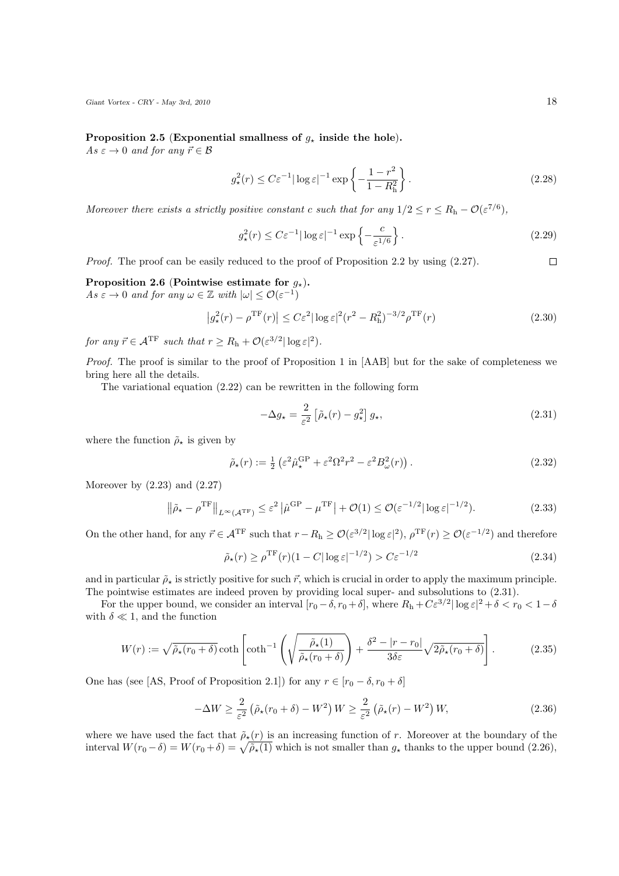Proposition 2.5 (Exponential smallness of  $g_{\star}$  inside the hole).

 $As \varepsilon \to 0$  and for any  $\vec{r} \in \mathcal{B}$ 

$$
g_{\star}^{2}(r) \leq C\varepsilon^{-1}|\log\varepsilon|^{-1}\exp\left\{-\frac{1-r^{2}}{1-R_{\mathrm{h}}^{2}}\right\}.
$$
\n(2.28)

Moreover there exists a strictly positive constant c such that for any  $1/2 \le r \le R_h - \mathcal{O}(\varepsilon^{7/6})$ ,

$$
g_{\star}^{2}(r) \leq C\epsilon^{-1}|\log\epsilon|^{-1}\exp\left\{-\frac{c}{\epsilon^{1/6}}\right\}.
$$
 (2.29)

Proof. The proof can be easily reduced to the proof of Proposition 2.2 by using  $(2.27)$ .

Proposition 2.6 (Pointwise estimate for  $q_*$ ).  $As \varepsilon \to 0 \text{ and for any } \omega \in \mathbb{Z} \text{ with } |\omega| \leq \mathcal{O}(\varepsilon^{-1})$ 

$$
\left|g_{\star}^{2}(r) - \rho^{\mathrm{TF}}(r)\right| \leq C\varepsilon^{2}|\log\varepsilon|^{2}(r^{2} - R_{\mathrm{h}}^{2})^{-3/2}\rho^{\mathrm{TF}}(r)
$$
\n(2.30)

for any  $\vec{r} \in A^{\text{TF}}$  such that  $r \geq R_{\text{h}} + \mathcal{O}(\varepsilon^{3/2} |\log \varepsilon|^2)$ .

Proof. The proof is similar to the proof of Proposition 1 in [AAB] but for the sake of completeness we bring here all the details.

The variational equation (2.22) can be rewritten in the following form

$$
-\Delta g_{\star} = \frac{2}{\varepsilon^2} \left[ \tilde{\rho}_{\star}(r) - g_{\star}^2 \right] g_{\star},\tag{2.31}
$$

where the function  $\tilde{\rho}_{\star}$  is given by

$$
\tilde{\rho}_{\star}(r) := \frac{1}{2} \left( \varepsilon^2 \hat{\mu}_{\star}^{\text{GP}} + \varepsilon^2 \Omega^2 r^2 - \varepsilon^2 B_{\omega}^2(r) \right). \tag{2.32}
$$

Moreover by  $(2.23)$  and  $(2.27)$ 

$$
\left\|\tilde{\rho}_{\star} - \rho^{\mathrm{TF}}\right\|_{L^{\infty}(\mathcal{A}^{\mathrm{TF}})} \leq \varepsilon^{2} \left|\hat{\mu}^{\mathrm{GP}} - \mu^{\mathrm{TF}}\right| + \mathcal{O}(1) \leq \mathcal{O}(\varepsilon^{-1/2} |\log \varepsilon|^{-1/2}).\tag{2.33}
$$

On the other hand, for any  $\vec{r} \in A^{\text{TF}}$  such that  $r - R_h \geq \mathcal{O}(\varepsilon^{3/2} |\log \varepsilon|^2)$ ,  $\rho^{\text{TF}}(r) \geq \mathcal{O}(\varepsilon^{-1/2})$  and therefore

$$
\tilde{\rho}_{\star}(r) \ge \rho^{\mathrm{TF}}(r)(1 - C|\log \varepsilon|^{-1/2}) > C\varepsilon^{-1/2}
$$
\n(2.34)

and in particular  $\tilde{\rho}_t$  is strictly positive for such  $\vec{r}$ , which is crucial in order to apply the maximum principle. The pointwise estimates are indeed proven by providing local super- and subsolutions to (2.31).

For the upper bound, we consider an interval  $[r_0-\delta, r_0+\delta]$ , where  $R_h + C\epsilon^{3/2} |\log \epsilon|^2 + \delta < r_0 < 1-\delta$ with  $\delta \ll 1$ , and the function

$$
W(r) := \sqrt{\tilde{\rho}_{\star}(r_0 + \delta)} \coth\left[\coth^{-1}\left(\sqrt{\frac{\tilde{\rho}_{\star}(1)}{\tilde{\rho}_{\star}(r_0 + \delta)}}\right) + \frac{\delta^2 - |r - r_0|}{3\delta\varepsilon} \sqrt{2\tilde{\rho}_{\star}(r_0 + \delta)}\right].
$$
 (2.35)

One has (see [AS, Proof of Proposition 2.1]) for any  $r \in [r_0 - \delta, r_0 + \delta]$ 

$$
-\Delta W \ge \frac{2}{\varepsilon^2} \left( \tilde{\rho}_\star (r_0 + \delta) - W^2 \right) W \ge \frac{2}{\varepsilon^2} \left( \tilde{\rho}_\star (r) - W^2 \right) W,\tag{2.36}
$$

where we have used the fact that  $\tilde{\rho}_{\star}(r)$  is an increasing function of r. Moreover at the boundary of the interval  $W(r_0 - \delta) = W(r_0 + \delta) = \sqrt{\tilde{\rho}_\star(1)}$  which is not smaller than  $g_\star$  thanks to the upper bound (2.26),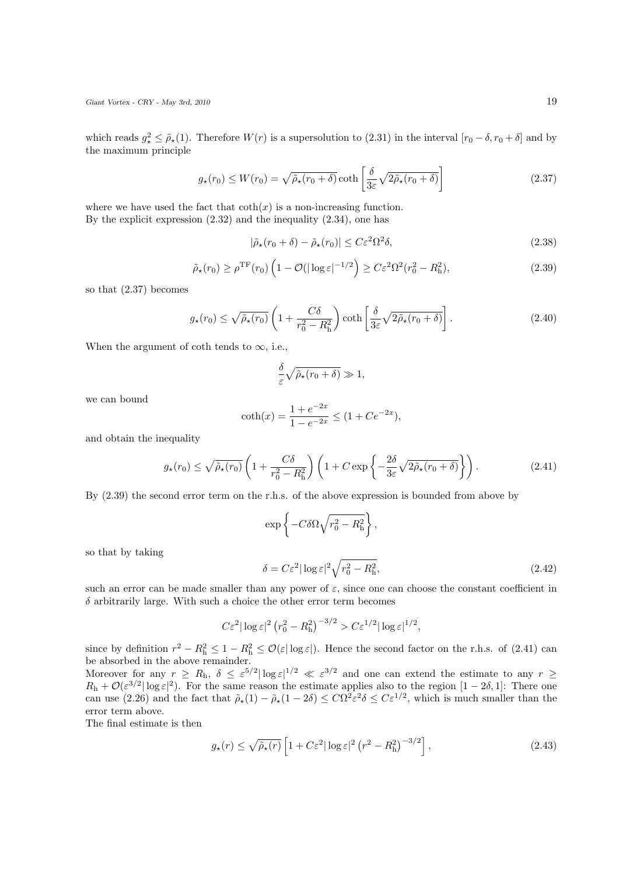which reads  $g^2_{\star} \leq \tilde{\rho}_{\star}(1)$ . Therefore  $W(r)$  is a supersolution to  $(2.31)$  in the interval  $[r_0 - \delta, r_0 + \delta]$  and by the maximum principle

$$
g_{\star}(r_0) \le W(r_0) = \sqrt{\tilde{\rho}_{\star}(r_0 + \delta)} \coth\left[\frac{\delta}{3\varepsilon} \sqrt{2\tilde{\rho}_{\star}(r_0 + \delta)}\right]
$$
(2.37)

where we have used the fact that  $\coth(x)$  is a non-increasing function. By the explicit expression (2.32) and the inequality (2.34), one has

$$
|\tilde{\rho}_{\star}(r_0 + \delta) - \tilde{\rho}_{\star}(r_0)| \le C\varepsilon^2 \Omega^2 \delta,
$$
\n(2.38)

$$
\tilde{\rho}_{\star}(r_0) \ge \rho^{\mathrm{TF}}(r_0) \left(1 - \mathcal{O}(|\log \varepsilon|^{-1/2})\right) \ge C\varepsilon^2 \Omega^2 (r_0^2 - R_{\mathrm{h}}^2),\tag{2.39}
$$

so that (2.37) becomes

$$
g_{\star}(r_0) \le \sqrt{\tilde{\rho}_{\star}(r_0)} \left( 1 + \frac{C\delta}{r_0^2 - R_h^2} \right) \coth\left[ \frac{\delta}{3\varepsilon} \sqrt{2\tilde{\rho}_{\star}(r_0 + \delta)} \right]. \tag{2.40}
$$

When the argument of coth tends to  $\infty$ , i.e.,

$$
\frac{\delta}{\varepsilon}\sqrt{\tilde{\rho}_{\star}(r_0+\delta)}\gg 1,
$$

we can bound

$$
\coth(x) = \frac{1 + e^{-2x}}{1 - e^{-2x}} \le (1 + Ce^{-2x}),
$$

and obtain the inequality

$$
g_{\star}(r_0) \leq \sqrt{\tilde{\rho}_{\star}(r_0)} \left( 1 + \frac{C\delta}{r_0^2 - R_{\rm h}^2} \right) \left( 1 + C \exp\left\{ -\frac{2\delta}{3\varepsilon} \sqrt{2\tilde{\rho}_{\star}(r_0 + \delta)} \right\} \right). \tag{2.41}
$$

By (2.39) the second error term on the r.h.s. of the above expression is bounded from above by

$$
\exp\left\{-C\delta\Omega\sqrt{r_0^2 - R_h^2}\right\},\
$$
  

$$
\delta = C\varepsilon^2 |\log\varepsilon|^2 \sqrt{r_0^2 - R_h^2},\
$$
 (2.42)

so that by taking

such an error can be made smaller than any power of  $\varepsilon$ , since one can choose the constant coefficient in  $\delta$  arbitrarily large. With such a choice the other error term becomes

$$
C\varepsilon^2 |\log \varepsilon|^2 \left(r_0^2 - R_{\rm h}^2\right)^{-3/2} > C\varepsilon^{1/2} |\log \varepsilon|^{1/2},
$$

since by definition  $r^2 - R_h^2 \le 1 - R_h^2 \le \mathcal{O}(\varepsilon |\log \varepsilon|)$ . Hence the second factor on the r.h.s. of (2.41) can be absorbed in the above remainder.

Moreover for any  $r \ge R_h$ ,  $\delta \le \varepsilon^{5/2} |\log \varepsilon|^{1/2} \ll \varepsilon^{3/2}$  and one can extend the estimate to any  $r \ge$  $R_h + \mathcal{O}(\varepsilon^{3/2} |\log \varepsilon|^2)$ . For the same reason the estimate applies also to the region  $[1 - 2\delta, 1]$ : There one can use (2.26) and the fact that  $\tilde{\rho}_{\star}(1) - \tilde{\rho}_{\star}(1 - 2\delta) \leq C\Omega^2 \varepsilon^2 \delta \leq C\varepsilon^{1/2}$ , which is much smaller than the error term above.

The final estimate is then

$$
g_{\star}(r) \le \sqrt{\tilde{\rho}_{\star}(r)} \left[ 1 + C \varepsilon^2 |\log \varepsilon|^2 \left( r^2 - R_{\rm h}^2 \right)^{-3/2} \right],\tag{2.43}
$$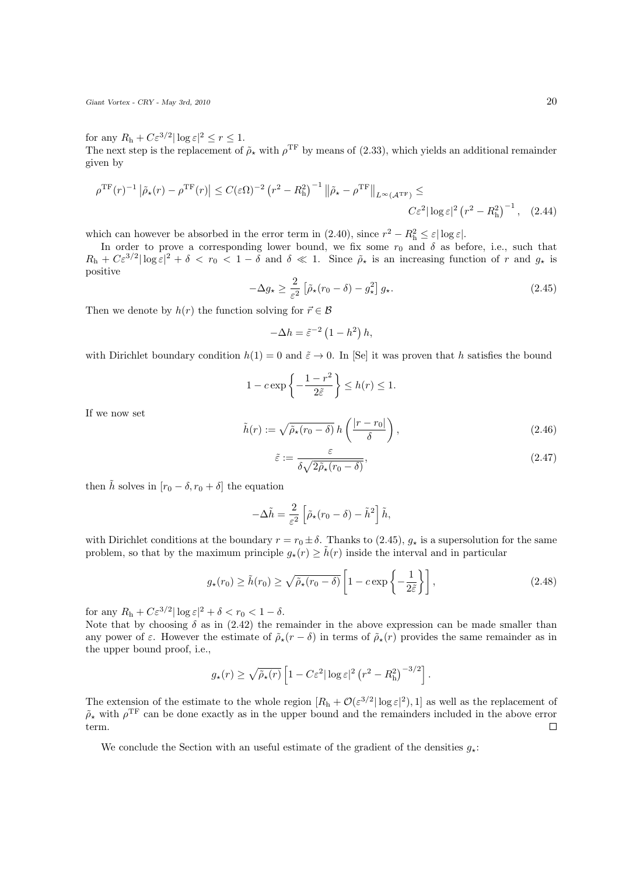for any  $R_{\rm h} + C\varepsilon^{3/2}|\log\varepsilon|^2 \le r \le 1$ .

The next step is the replacement of  $\tilde{\rho}_*$  with  $\rho^{\text{TF}}$  by means of (2.33), which yields an additional remainder given by

$$
\rho^{\rm TF}(r)^{-1} \left| \tilde{\rho}_\star(r) - \rho^{\rm TF}(r) \right| \le C(\varepsilon \Omega)^{-2} \left( r^2 - R_{\rm h}^2 \right)^{-1} \left\| \tilde{\rho}_\star - \rho^{\rm TF} \right\|_{L^\infty(\mathcal{A}^{\rm TF})} \le C\varepsilon^2 |\log \varepsilon|^2 \left( r^2 - R_{\rm h}^2 \right)^{-1}, \quad (2.44)
$$

which can however be absorbed in the error term in (2.40), since  $r^2 - R_h^2 \le \varepsilon |\log \varepsilon|$ .

In order to prove a corresponding lower bound, we fix some  $r_0$  and  $\delta$  as before, i.e., such that  $R_h + C\varepsilon^{3/2}|\log\varepsilon|^2 + \delta < r_0 < 1-\delta$  and  $\delta \ll 1$ . Since  $\tilde{\rho}_\star$  is an increasing function of r and  $g_\star$  is positive

$$
-\Delta g_{\star} \ge \frac{2}{\varepsilon^2} \left[ \tilde{\rho}_{\star} (r_0 - \delta) - g_{\star}^2 \right] g_{\star}.
$$
 (2.45)

Then we denote by  $h(r)$  the function solving for  $\vec{r} \in \mathcal{B}$ 

$$
-\Delta h = \tilde{\varepsilon}^{-2} \left( 1 - h^2 \right) h,
$$

with Dirichlet boundary condition  $h(1) = 0$  and  $\tilde{\varepsilon} \to 0$ . In [Se] it was proven that h satisfies the bound

$$
1 - c \exp\left\{-\frac{1 - r^2}{2\tilde{\varepsilon}}\right\} \le h(r) \le 1.
$$

If we now set

$$
\tilde{h}(r) := \sqrt{\tilde{\rho}_{\star}(r_0 - \delta)} h\left(\frac{|r - r_0|}{\delta}\right),\tag{2.46}
$$

$$
\tilde{\varepsilon} := \frac{\varepsilon}{\delta \sqrt{2\tilde{\rho}_*(r_0 - \delta)}},\tag{2.47}
$$

then  $\tilde{h}$  solves in  $[r_0 - \delta, r_0 + \delta]$  the equation

$$
-\Delta \tilde{h} = \frac{2}{\varepsilon^2} \left[ \tilde{\rho}_{\star} (r_0 - \delta) - \tilde{h}^2 \right] \tilde{h},
$$

with Dirichlet conditions at the boundary  $r = r_0 \pm \delta$ . Thanks to (2.45),  $g_*$  is a supersolution for the same problem, so that by the maximum principle  $g_{\star}(r) \geq \tilde{h}(r)$  inside the interval and in particular

$$
g_{\star}(r_0) \ge \tilde{h}(r_0) \ge \sqrt{\tilde{\rho}_{\star}(r_0 - \delta)} \left[ 1 - c \exp\left\{-\frac{1}{2\tilde{\varepsilon}}\right\} \right],\tag{2.48}
$$

for any  $R_h + C\varepsilon^{3/2} |\log \varepsilon|^2 + \delta < r_0 < 1 - \delta$ .

Note that by choosing  $\delta$  as in (2.42) the remainder in the above expression can be made smaller than any power of  $\varepsilon$ . However the estimate of  $\tilde{\rho}_*(r - \delta)$  in terms of  $\tilde{\rho}_*(r)$  provides the same remainder as in the upper bound proof, i.e.,

$$
g_{\star}(r) \ge \sqrt{\tilde{\rho}_{\star}(r)} \left[ 1 - C \varepsilon^2 |\log \varepsilon|^2 (r^2 - R_{\rm h}^2)^{-3/2} \right].
$$

The extension of the estimate to the whole region  $[R_h + \mathcal{O}(\varepsilon^{3/2} | \log \varepsilon|^2), 1]$  as well as the replacement of  $\tilde{\rho}_{\star}$  with  $\rho^{\rm TF}$  can be done exactly as in the upper bound and the remainders included in the above error term.  $\Box$ 

We conclude the Section with an useful estimate of the gradient of the densities  $q_{+}$ :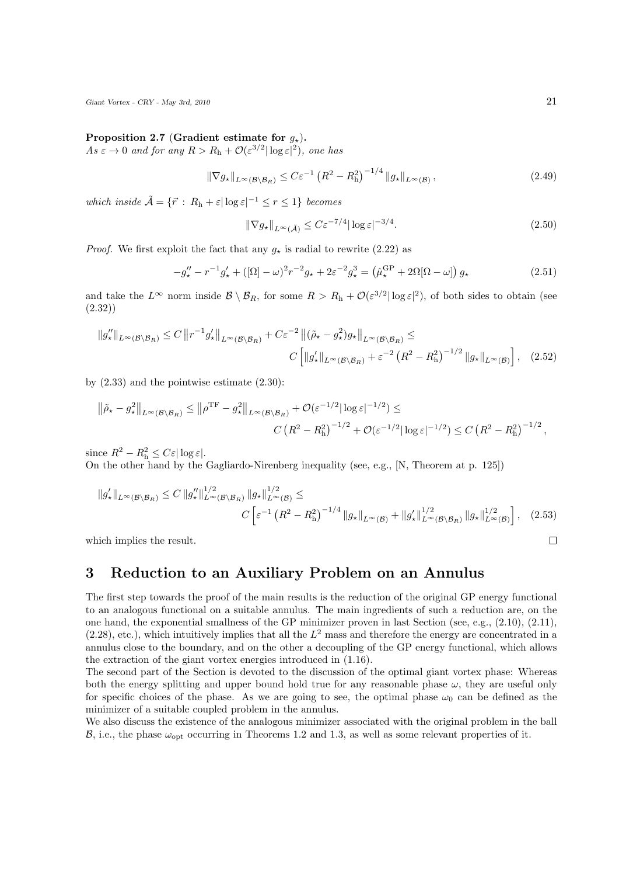Proposition 2.7 (Gradient estimate for  $g<sub>*</sub>$ ).

 $As \varepsilon \to 0$  and for any  $R > R_h + \mathcal{O}(\varepsilon^{3/2} |\log \varepsilon|^2)$ , one has

$$
\|\nabla g_{\star}\|_{L^{\infty}(\mathcal{B}\setminus\mathcal{B}_R)} \leq C\varepsilon^{-1} \left(R^2 - R_{\rm h}^2\right)^{-1/4} \|g_{\star}\|_{L^{\infty}(\mathcal{B})},\tag{2.49}
$$

which inside  $\tilde{\mathcal{A}} = \{ \vec{r} : R_h + \varepsilon | \log \varepsilon |^{-1} \le r \le 1 \}$  becomes

$$
\|\nabla g_{\star}\|_{L^{\infty}(\tilde{\mathcal{A}})} \leq C\varepsilon^{-7/4} |\log \varepsilon|^{-3/4}.
$$
\n(2.50)

*Proof.* We first exploit the fact that any  $q_*$  is radial to rewrite (2.22) as

$$
-g'_{\star} - r^{-1}g'_{\star} + ([\Omega] - \omega)^2 r^{-2}g_{\star} + 2\varepsilon^{-2}g_{\star}^3 = (\hat{\mu}_{\star}^{\text{GP}} + 2\Omega[\Omega - \omega])g_{\star}
$$
 (2.51)

and take the  $L^{\infty}$  norm inside  $\mathcal{B} \setminus \mathcal{B}_R$ , for some  $R > R_h + \mathcal{O}(\varepsilon^{3/2} |\log \varepsilon|^2)$ , of both sides to obtain (see (2.32))

$$
\|g''_{\star}\|_{L^{\infty}(\mathcal{B}\backslash\mathcal{B}_R)} \leq C \left\|r^{-1}g'_{\star}\right\|_{L^{\infty}(\mathcal{B}\backslash\mathcal{B}_R)} + C\varepsilon^{-2} \left\|(\tilde{\rho}_{\star} - g_{\star}^2)g_{\star}\right\|_{L^{\infty}(\mathcal{B}\backslash\mathcal{B}_R)} \leq
$$

$$
C \left[\|g'_{\star}\|_{L^{\infty}(\mathcal{B}\backslash\mathcal{B}_R)} + \varepsilon^{-2} \left(R^2 - R_{\rm h}^2\right)^{-1/2} \|g_{\star}\|_{L^{\infty}(\mathcal{B})}\right], \quad (2.52)
$$

by  $(2.33)$  and the pointwise estimate  $(2.30)$ :

$$
\|\tilde{\rho}_{\star} - g_{\star}^2\|_{L^{\infty}(\mathcal{B} \setminus \mathcal{B}_R)} \le \|\rho^{\mathrm{TF}} - g_{\star}^2\|_{L^{\infty}(\mathcal{B} \setminus \mathcal{B}_R)} + \mathcal{O}(\varepsilon^{-1/2} |\log \varepsilon|^{-1/2}) \le
$$
  

$$
C (R^2 - R_h^2)^{-1/2} + \mathcal{O}(\varepsilon^{-1/2} |\log \varepsilon|^{-1/2}) \le C (R^2 - R_h^2)^{-1/2},
$$

since  $R^2 - R_h^2 \leq C \varepsilon |\log \varepsilon|$ .

On the other hand by the Gagliardo-Nirenberg inequality (see, e.g., [N, Theorem at p. 125])

$$
||g'_{\star}||_{L^{\infty}(\mathcal{B}\backslash\mathcal{B}_R)} \leq C ||g''_{\star}||_{L^{\infty}(\mathcal{B}\backslash\mathcal{B}_R)}^{1/2} ||g_{\star}||_{L^{\infty}(\mathcal{B})}^{1/2} \leq
$$
  

$$
C \left[ \varepsilon^{-1} \left( R^2 - R_h^2 \right)^{-1/4} ||g_{\star}||_{L^{\infty}(\mathcal{B})} + ||g'_{\star}||_{L^{\infty}(\mathcal{B}\backslash\mathcal{B}_R)}^{1/2} ||g_{\star}||_{L^{\infty}(\mathcal{B})}^{1/2} \right], \quad (2.53)
$$

which implies the result.

# 3 Reduction to an Auxiliary Problem on an Annulus

The first step towards the proof of the main results is the reduction of the original GP energy functional to an analogous functional on a suitable annulus. The main ingredients of such a reduction are, on the one hand, the exponential smallness of the GP minimizer proven in last Section (see, e.g., (2.10), (2.11),  $(2.28)$ , etc.), which intuitively implies that all the  $L^2$  mass and therefore the energy are concentrated in a annulus close to the boundary, and on the other a decoupling of the GP energy functional, which allows the extraction of the giant vortex energies introduced in (1.16).

The second part of the Section is devoted to the discussion of the optimal giant vortex phase: Whereas both the energy splitting and upper bound hold true for any reasonable phase  $\omega$ , they are useful only for specific choices of the phase. As we are going to see, the optimal phase  $\omega_0$  can be defined as the minimizer of a suitable coupled problem in the annulus.

We also discuss the existence of the analogous minimizer associated with the original problem in the ball  $\mathcal{B}$ , i.e., the phase  $\omega_{\text{opt}}$  occurring in Theorems 1.2 and 1.3, as well as some relevant properties of it.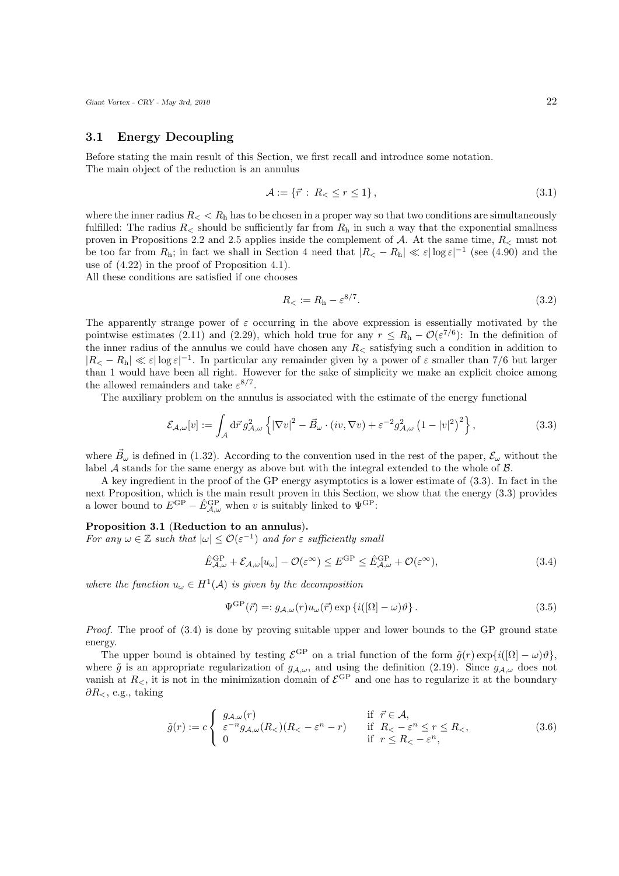## 3.1 Energy Decoupling

Before stating the main result of this Section, we first recall and introduce some notation. The main object of the reduction is an annulus

$$
\mathcal{A} := \{ \vec{r} : R_{<} \le r \le 1 \},\tag{3.1}
$$

where the inner radius  $R$  <  $R$ <sub>h</sub> has to be chosen in a proper way so that two conditions are simultaneously fulfilled: The radius  $R_{\leq}$  should be sufficiently far from  $R_{h}$  in such a way that the exponential smallness proven in Propositions 2.2 and 2.5 applies inside the complement of A. At the same time,  $R_{\leq}$  must not be too far from  $R_h$ ; in fact we shall in Section 4 need that  $|R_1 - R_h| \ll \varepsilon |\log \varepsilon|^{-1}$  (see (4.90) and the use of (4.22) in the proof of Proposition 4.1).

All these conditions are satisfied if one chooses

$$
R_{<} := R_{\rm h} - \varepsilon^{8/7}.\tag{3.2}
$$

The apparently strange power of  $\varepsilon$  occurring in the above expression is essentially motivated by the pointwise estimates (2.11) and (2.29), which hold true for any  $r \leq R_h - \mathcal{O}(\varepsilon^{7/6})$ : In the definition of the inner radius of the annulus we could have chosen any  $R_{\le}$  satisfying such a condition in addition to  $|R_{\leq}-R_{\rm h}|\ll \varepsilon |\log \varepsilon|^{-1}$ . In particular any remainder given by a power of  $\varepsilon$  smaller than 7/6 but larger than 1 would have been all right. However for the sake of simplicity we make an explicit choice among the allowed remainders and take  $\varepsilon^{8/7}$ .

The auxiliary problem on the annulus is associated with the estimate of the energy functional

$$
\mathcal{E}_{\mathcal{A},\omega}[v] := \int_{\mathcal{A}} d\vec{r} \, g_{\mathcal{A},\omega}^2 \left\{ |\nabla v|^2 - \vec{B}_{\omega} \cdot (iv, \nabla v) + \varepsilon^{-2} g_{\mathcal{A},\omega}^2 \left( 1 - |v|^2 \right)^2 \right\},\tag{3.3}
$$

where  $\vec{B}_{\omega}$  is defined in (1.32). According to the convention used in the rest of the paper,  $\mathcal{E}_{\omega}$  without the label A stands for the same energy as above but with the integral extended to the whole of B.

A key ingredient in the proof of the GP energy asymptotics is a lower estimate of (3.3). In fact in the next Proposition, which is the main result proven in this Section, we show that the energy (3.3) provides a lower bound to  $E^{\text{GP}} - \hat{E}^{\text{GP}}_{\mathcal{A},\omega}$  when v is suitably linked to  $\Psi^{\text{GP}}$ :

# Proposition 3.1 (Reduction to an annulus).

For any  $\omega \in \mathbb{Z}$  such that  $|\omega| \leq \mathcal{O}(\varepsilon^{-1})$  and for  $\varepsilon$  sufficiently small

$$
\hat{E}_{\mathcal{A},\omega}^{\text{GP}} + \mathcal{E}_{\mathcal{A},\omega}[u_{\omega}] - \mathcal{O}(\varepsilon^{\infty}) \le E^{\text{GP}} \le \hat{E}_{\mathcal{A},\omega}^{\text{GP}} + \mathcal{O}(\varepsilon^{\infty}),
$$
\n(3.4)

where the function  $u_{\omega} \in H^1(\mathcal{A})$  is given by the decomposition

$$
\Psi^{\text{GP}}(\vec{r}) = g_{\mathcal{A},\omega}(r)u_{\omega}(\vec{r})\exp\left\{i([\Omega]-\omega)\vartheta\right\}.
$$
\n(3.5)

Proof. The proof of (3.4) is done by proving suitable upper and lower bounds to the GP ground state energy.

The upper bound is obtained by testing  $\mathcal{E}^{\text{GP}}$  on a trial function of the form  $\tilde{g}(r) \exp\{i([\Omega] - \omega)\vartheta\}$ , where  $\tilde{g}$  is an appropriate regularization of  $g_{\mathcal{A},\omega}$ , and using the definition (2.19). Since  $g_{\mathcal{A},\omega}$  does not vanish at  $R_<$ , it is not in the minimization domain of  $\mathcal{E}^{\rm GP}$  and one has to regularize it at the boundary  $\partial R_<$ , e.g., taking

$$
\tilde{g}(r) := c \begin{cases}\n g_{\mathcal{A},\omega}(r) & \text{if } \vec{r} \in \mathcal{A}, \\
 \varepsilon^{-n} g_{\mathcal{A},\omega}(R_<)(R_< - \varepsilon^n - r) & \text{if } R_< - \varepsilon^n \le r \le R_<, \\
 0 & \text{if } r \le R_< - \varepsilon^n,\n\end{cases}
$$
\n(3.6)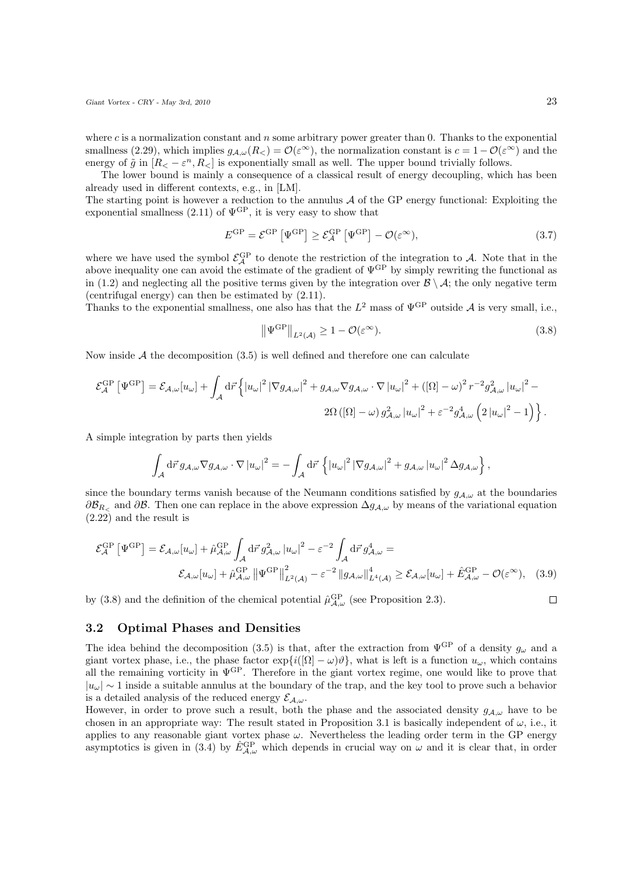where  $c$  is a normalization constant and  $n$  some arbitrary power greater than 0. Thanks to the exponential smallness (2.29), which implies  $g_{\mathcal{A},\omega}(R_<) = \mathcal{O}(\varepsilon^{\infty})$ , the normalization constant is  $c = 1 - \mathcal{O}(\varepsilon^{\infty})$  and the energy of  $\tilde{g}$  in  $[R_{<} -\varepsilon^n, R_{<}]$  is exponentially small as well. The upper bound trivially follows.

The lower bound is mainly a consequence of a classical result of energy decoupling, which has been already used in different contexts, e.g., in [LM].

The starting point is however a reduction to the annulus  $\mathcal A$  of the GP energy functional: Exploiting the exponential smallness  $(2.11)$  of  $\Psi$ <sup>GP</sup>, it is very easy to show that

$$
E^{\rm GP} = \mathcal{E}^{\rm GP} \left[ \Psi^{\rm GP} \right] \ge \mathcal{E}_{\mathcal{A}}^{\rm GP} \left[ \Psi^{\rm GP} \right] - \mathcal{O}(\varepsilon^{\infty}),\tag{3.7}
$$

where we have used the symbol  $\mathcal{E}_{\mathcal{A}}^{\text{GP}}$  to denote the restriction of the integration to A. Note that in the above inequality one can avoid the estimate of the gradient of  $\Psi^{\text{GP}}$  by simply rewriting the functional as in (1.2) and neglecting all the positive terms given by the integration over  $\mathcal{B} \setminus \mathcal{A}$ ; the only negative term (centrifugal energy) can then be estimated by (2.11).

Thanks to the exponential smallness, one also has that the  $L^2$  mass of  $\Psi^{\rm GP}$  outside A is very small, i.e.,

$$
\left\|\Psi^{\rm GP}\right\|_{L^2(\mathcal{A})} \ge 1 - \mathcal{O}(\varepsilon^{\infty}).\tag{3.8}
$$

Now inside  $A$  the decomposition  $(3.5)$  is well defined and therefore one can calculate

$$
\mathcal{E}_{\mathcal{A}}^{\text{GP}} \left[ \Psi^{\text{GP}} \right] = \mathcal{E}_{\mathcal{A},\omega}[u_{\omega}] + \int_{\mathcal{A}} d\vec{r} \left\{ \left| u_{\omega} \right|^2 |\nabla g_{\mathcal{A},\omega}|^2 + g_{\mathcal{A},\omega} \nabla g_{\mathcal{A},\omega} \cdot \nabla \left| u_{\omega} \right|^2 + \left( [\Omega] - \omega \right)^2 r^{-2} g_{\mathcal{A},\omega}^2 \left| u_{\omega} \right|^2 - 2\Omega \left( [\Omega] - \omega \right) g_{\mathcal{A},\omega}^2 \left| u_{\omega} \right|^2 + \varepsilon^{-2} g_{\mathcal{A},\omega}^4 \left( 2 \left| u_{\omega} \right|^2 - 1 \right) \right\}.
$$

A simple integration by parts then yields

$$
\int_{\mathcal{A}} \mathrm{d} \vec{r} \, g_{\mathcal{A},\omega} \nabla g_{\mathcal{A},\omega} \cdot \nabla |u_{\omega}|^2 = - \int_{\mathcal{A}} \mathrm{d} \vec{r} \, \left\{ |u_{\omega}|^2 \left| \nabla g_{\mathcal{A},\omega} \right|^2 + g_{\mathcal{A},\omega} \left| u_{\omega} \right|^2 \Delta g_{\mathcal{A},\omega} \right\},\,
$$

since the boundary terms vanish because of the Neumann conditions satisfied by  $g_{A,\omega}$  at the boundaries  $\partial \mathcal{B}_{R_<}$  and  $\partial \mathcal{B}$ . Then one can replace in the above expression  $\Delta g_{A,\omega}$  by means of the variational equation (2.22) and the result is

$$
\mathcal{E}_{\mathcal{A}}^{\text{GP}} \left[ \Psi^{\text{GP}} \right] = \mathcal{E}_{\mathcal{A},\omega}[u_{\omega}] + \hat{\mu}_{\mathcal{A},\omega}^{\text{GP}} \int_{\mathcal{A}} d\vec{r} \, g_{\mathcal{A},\omega}^{2} \left| u_{\omega} \right|^{2} - \varepsilon^{-2} \int_{\mathcal{A}} d\vec{r} \, g_{\mathcal{A},\omega}^{4} =
$$

$$
\mathcal{E}_{\mathcal{A},\omega}[u_{\omega}] + \hat{\mu}_{\mathcal{A},\omega}^{\text{GP}} \left\| \Psi^{\text{GP}} \right\|_{L^{2}(\mathcal{A})}^{2} - \varepsilon^{-2} \left\| g_{\mathcal{A},\omega} \right\|_{L^{4}(\mathcal{A})}^{4} \geq \mathcal{E}_{\mathcal{A},\omega}[u_{\omega}] + \hat{E}_{\mathcal{A},\omega}^{\text{GP}} - \mathcal{O}(\varepsilon^{\infty}), \quad (3.9)
$$

by (3.8) and the definition of the chemical potential  $\hat{\mu}_{\mathcal{A},\omega}^{\text{GP}}$  (see Proposition 2.3).

#### 3.2 Optimal Phases and Densities

The idea behind the decomposition (3.5) is that, after the extraction from  $\Psi^{\text{GP}}$  of a density  $g_{\omega}$  and a giant vortex phase, i.e., the phase factor  $\exp{i([\Omega]-\omega)\vartheta}$ , what is left is a function  $u_\omega$ , which contains all the remaining vorticity in  $\Psi^{\text{GP}}$ . Therefore in the giant vortex regime, one would like to prove that  $|u_{\omega}| \sim 1$  inside a suitable annulus at the boundary of the trap, and the key tool to prove such a behavior is a detailed analysis of the reduced energy  $\mathcal{E}_{A,\omega}$ .

However, in order to prove such a result, both the phase and the associated density  $g_{A,\omega}$  have to be chosen in an appropriate way: The result stated in Proposition 3.1 is basically independent of  $\omega$ , i.e., it applies to any reasonable giant vortex phase  $\omega$ . Nevertheless the leading order term in the GP energy asymptotics is given in (3.4) by  $\hat{E}_{\mathcal{A},\omega}^{\text{GP}}$  which depends in crucial way on  $\omega$  and it is clear that, in order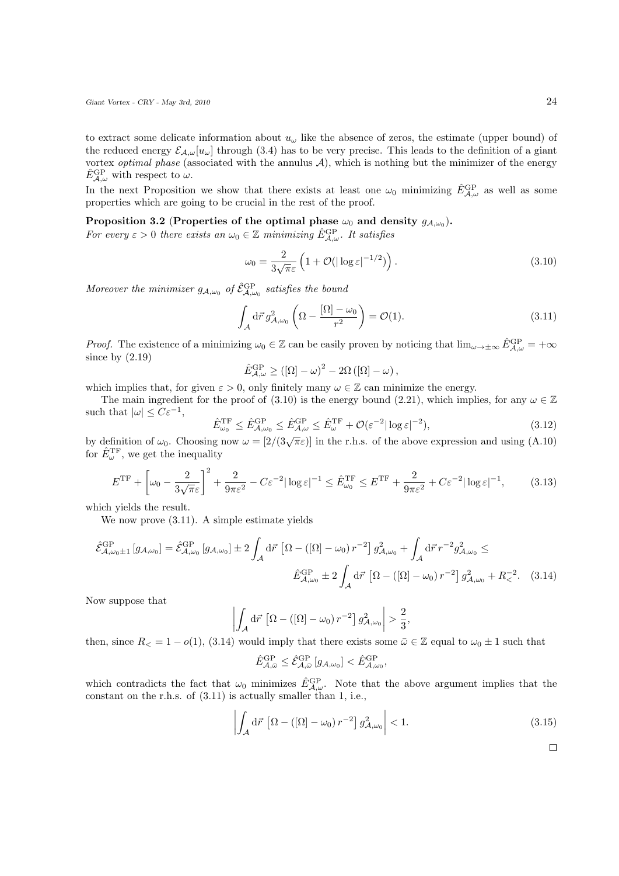to extract some delicate information about  $u_{\omega}$  like the absence of zeros, the estimate (upper bound) of the reduced energy  $\mathcal{E}_{\mathcal{A},\omega}[u_{\omega}]$  through (3.4) has to be very precise. This leads to the definition of a giant vortex *optimal phase* (associated with the annulus  $A$ ), which is nothing but the minimizer of the energy  $\hat{E}_{\mathcal{A},\omega}^{\text{GP}}$  with respect to  $\omega$ .

In the next Proposition we show that there exists at least one  $\omega_0$  minimizing  $\hat{E}_{\mathcal{A},\omega}^{\text{GP}}$  as well as some properties which are going to be crucial in the rest of the proof.

Proposition 3.2 (Properties of the optimal phase  $\omega_0$  and density  $g_{\mathcal{A},\omega_0}$ ). For every  $\varepsilon > 0$  there exists an  $\omega_0 \in \mathbb{Z}$  minimizing  $\hat{E}_{\mathcal{A},\omega}^{\text{GP}}$ . It satisfies

$$
\omega_0 = \frac{2}{3\sqrt{\pi}\varepsilon} \left( 1 + \mathcal{O}(|\log \varepsilon|^{-1/2}) \right). \tag{3.10}
$$

Moreover the minimizer  $g_{\mathcal{A},\omega_0}$  of  $\hat{\mathcal{E}}^{\rm GP}_{\mathcal{A},\omega_0}$  satisfies the bound

$$
\int_{\mathcal{A}} d\vec{r} \, g_{\mathcal{A},\omega_0}^2 \left( \Omega - \frac{[\Omega] - \omega_0}{r^2} \right) = \mathcal{O}(1). \tag{3.11}
$$

*Proof.* The existence of a minimizing  $\omega_0 \in \mathbb{Z}$  can be easily proven by noticing that  $\lim_{\omega \to \pm \infty} \hat{E}_{\mathcal{A},\omega}^{\text{GP}} = +\infty$ since by  $(2.19)$ 

$$
\hat{E}_{\mathcal{A},\omega}^{\text{GP}} \ge (\left[\Omega\right] - \omega)^2 - 2\Omega\left(\left[\Omega\right] - \omega\right),
$$

which implies that, for given  $\varepsilon > 0$ , only finitely many  $\omega \in \mathbb{Z}$  can minimize the energy.

The main ingredient for the proof of (3.10) is the energy bound (2.21), which implies, for any  $\omega \in \mathbb{Z}$ such that  $|\omega| \leq C \varepsilon^{-1}$ ,

$$
\hat{E}_{\omega_0}^{\rm TF} \le \hat{E}_{\mathcal{A},\omega_0}^{\rm GP} \le \hat{E}_{\mathcal{A},\omega}^{\rm GP} \le \hat{E}_{\omega}^{\rm TF} + \mathcal{O}(\varepsilon^{-2}|\log \varepsilon|^{-2}),\tag{3.12}
$$

by definition of  $\omega_0$ . Choosing now  $\omega = \left[2/(3\sqrt{\pi}\epsilon)\right]$  in the r.h.s. of the above expression and using (A.10) for  $\hat{E}_{\omega}^{\text{TF}}$ , we get the inequality

$$
E^{\rm TF} + \left[\omega_0 - \frac{2}{3\sqrt{\pi}\varepsilon}\right]^2 + \frac{2}{9\pi\varepsilon^2} - C\varepsilon^{-2}|\log\varepsilon|^{-1} \le \hat{E}_{\omega_0}^{\rm TF} \le E^{\rm TF} + \frac{2}{9\pi\varepsilon^2} + C\varepsilon^{-2}|\log\varepsilon|^{-1},\tag{3.13}
$$

which yields the result.

We now prove (3.11). A simple estimate yields

$$
\hat{\mathcal{E}}_{\mathcal{A},\omega_0\pm1}^{\text{GP}}\left[g_{\mathcal{A},\omega_0}\right] = \hat{\mathcal{E}}_{\mathcal{A},\omega_0}^{\text{GP}}\left[g_{\mathcal{A},\omega_0}\right] \pm 2 \int_{\mathcal{A}} d\vec{r} \left[\Omega - \left(\left[\Omega\right] - \omega_0\right)r^{-2}\right] g_{\mathcal{A},\omega_0}^2 + \int_{\mathcal{A}} d\vec{r} \, r^{-2} g_{\mathcal{A},\omega_0}^2 \le
$$
\n
$$
\hat{E}_{\mathcal{A},\omega_0}^{\text{GP}} \pm 2 \int_{\mathcal{A}} d\vec{r} \left[\Omega - \left(\left[\Omega\right] - \omega_0\right)r^{-2}\right] g_{\mathcal{A},\omega_0}^2 + R_{\lt}^{-2}.\tag{3.14}
$$

Now suppose that

$$
\left| \int_{\mathcal{A}} d\vec{r} \left[ \Omega - \left( [\Omega] - \omega_0 \right) r^{-2} \right] g_{\mathcal{A}, \omega_0}^2 \right| > \frac{2}{3},
$$

then, since  $R_0 = 1 - o(1)$ , (3.14) would imply that there exists some  $\bar{\omega} \in \mathbb{Z}$  equal to  $\omega_0 \pm 1$  such that

$$
\hat{E}_{\mathcal{A},\bar{\omega}}^{\text{GP}} \leq \hat{\mathcal{E}}_{\mathcal{A},\bar{\omega}}^{\text{GP}} [g_{\mathcal{A},\omega_0}] < \hat{E}_{\mathcal{A},\omega_0}^{\text{GP}},
$$

which contradicts the fact that  $\omega_0$  minimizes  $\hat{E}_{\mathcal{A},\omega}^{\text{GP}}$ . Note that the above argument implies that the constant on the r.h.s. of (3.11) is actually smaller than 1, i.e.,

$$
\left| \int_{\mathcal{A}} d\vec{r} \left[ \Omega - \left( [\Omega] - \omega_0 \right) r^{-2} \right] g_{\mathcal{A}, \omega_0}^2 \right| < 1. \tag{3.15}
$$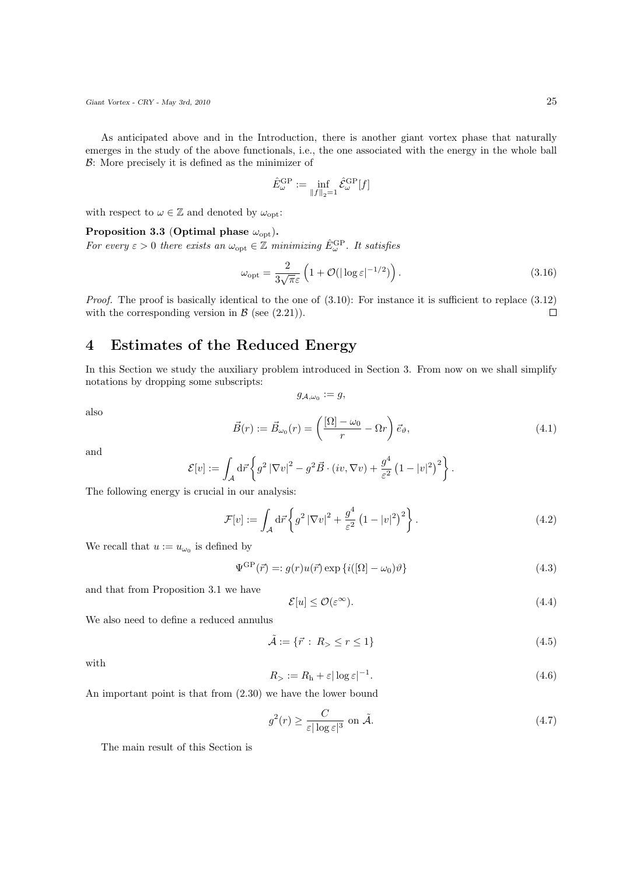As anticipated above and in the Introduction, there is another giant vortex phase that naturally emerges in the study of the above functionals, i.e., the one associated with the energy in the whole ball B: More precisely it is defined as the minimizer of

$$
\hat{E}^{\mathrm{GP}}_\omega := \inf_{\|f\|_2 = 1} \hat{\mathcal{E}}^{\mathrm{GP}}_\omega[f]
$$

with respect to  $\omega \in \mathbb{Z}$  and denoted by  $\omega_{\text{opt}}$ :

# Proposition 3.3 (Optimal phase  $\omega_{\text{opt}}$ ).

For every  $\varepsilon > 0$  there exists an  $\omega_{\text{opt}} \in \mathbb{Z}$  minimizing  $\hat{E}_{\omega}^{\text{GP}}$ . It satisfies

$$
\omega_{\rm opt} = \frac{2}{3\sqrt{\pi}\varepsilon} \left( 1 + \mathcal{O}(|\log \varepsilon|^{-1/2}) \right). \tag{3.16}
$$

*Proof.* The proof is basically identical to the one of  $(3.10)$ : For instance it is sufficient to replace  $(3.12)$ with the corresponding version in  $\mathcal{B}$  (see (2.21)).  $\Box$ 

# 4 Estimates of the Reduced Energy

In this Section we study the auxiliary problem introduced in Section 3. From now on we shall simplify notations by dropping some subscripts:  $g_{\mathcal{A},\omega_0} := g,$ 

also

$$
\vec{B}(r) := \vec{B}_{\omega_0}(r) = \left(\frac{[\Omega] - \omega_0}{r} - \Omega r\right) \vec{e}_{\vartheta},\tag{4.1}
$$

and

$$
\mathcal{E}[v] := \int_{\mathcal{A}} d\vec{r} \left\{ g^2 \left| \nabla v \right|^2 - g^2 \vec{B} \cdot (iv, \nabla v) + \frac{g^4}{\varepsilon^2} \left( 1 - |v|^2 \right)^2 \right\}.
$$

The following energy is crucial in our analysis:

$$
\mathcal{F}[v] := \int_{\mathcal{A}} d\vec{r} \left\{ g^2 \left| \nabla v \right|^2 + \frac{g^4}{\varepsilon^2} \left( 1 - |v|^2 \right)^2 \right\}.
$$
\n(4.2)

We recall that  $u := u_{\omega_0}$  is defined by

$$
\Psi^{\text{GP}}(\vec{r}) =: g(r)u(\vec{r}) \exp\left\{i([\Omega] - \omega_0)\vartheta\right\} \tag{4.3}
$$

and that from Proposition 3.1 we have

$$
\mathcal{E}[u] \le \mathcal{O}(\varepsilon^{\infty}).\tag{4.4}
$$

We also need to define a reduced annulus

$$
\tilde{\mathcal{A}} := \{ \vec{r} : R_{>} \le r \le 1 \} \tag{4.5}
$$

with

$$
R_{>} := R_{\rm h} + \varepsilon |\log \varepsilon|^{-1}.
$$
\n(4.6)

An important point is that from (2.30) we have the lower bound

$$
g^2(r) \ge \frac{C}{\varepsilon |\log \varepsilon|^3} \text{ on } \tilde{\mathcal{A}}.\tag{4.7}
$$

The main result of this Section is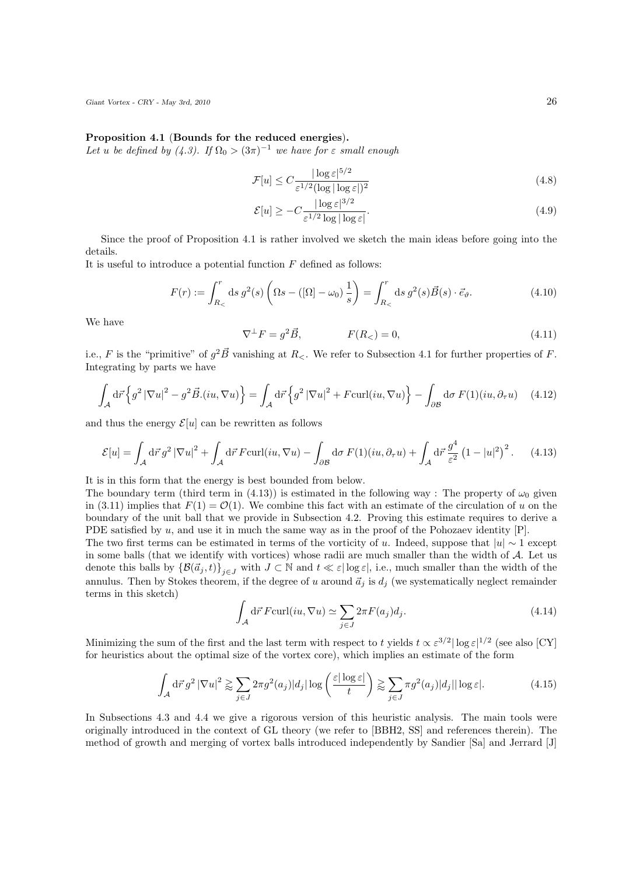#### Proposition 4.1 (Bounds for the reduced energies).

Let u be defined by (4.3). If  $\Omega_0 > (3\pi)^{-1}$  we have for  $\varepsilon$  small enough

$$
\mathcal{F}[u] \le C \frac{|\log \varepsilon|^{5/2}}{\varepsilon^{1/2} (\log |\log \varepsilon|)^2} \tag{4.8}
$$

$$
\mathcal{E}[u] \ge -C \frac{|\log \varepsilon|^{3/2}}{\varepsilon^{1/2} \log |\log \varepsilon|}.
$$
\n(4.9)

Since the proof of Proposition 4.1 is rather involved we sketch the main ideas before going into the details.

It is useful to introduce a potential function  $F$  defined as follows:

$$
F(r) := \int_{R_{<}}^{r} \mathrm{d}s \, g^{2}(s) \left( \Omega s - \left( [\Omega] - \omega_0 \right) \frac{1}{s} \right) = \int_{R_{<}}^{r} \mathrm{d}s \, g^{2}(s) \vec{B}(s) \cdot \vec{e}_{\vartheta}.
$$
\n
$$
(4.10)
$$

We have

$$
\nabla^{\perp} F = g^2 \vec{B}, \qquad F(R_<) = 0, \tag{4.11}
$$

i.e., F is the "primitive" of  $g^2 \vec{B}$  vanishing at  $R_{\leq}$ . We refer to Subsection 4.1 for further properties of F. Integrating by parts we have

$$
\int_{\mathcal{A}} d\vec{r} \left\{ g^2 \left| \nabla u \right|^2 - g^2 \vec{B} . (iu, \nabla u) \right\} = \int_{\mathcal{A}} d\vec{r} \left\{ g^2 \left| \nabla u \right|^2 + F \operatorname{curl}(iu, \nabla u) \right\} - \int_{\partial \mathcal{B}} d\sigma \, F(1)(iu, \partial_\tau u) \tag{4.12}
$$

and thus the energy  $\mathcal{E}[u]$  can be rewritten as follows

$$
\mathcal{E}[u] = \int_{\mathcal{A}} d\vec{r} \, g^2 \left| \nabla u \right|^2 + \int_{\mathcal{A}} d\vec{r} \, F \text{curl}(iu, \nabla u) - \int_{\partial \mathcal{B}} d\sigma \, F(1)(iu, \partial_\tau u) + \int_{\mathcal{A}} d\vec{r} \, \frac{g^4}{\varepsilon^2} \left( 1 - |u|^2 \right)^2. \tag{4.13}
$$

It is in this form that the energy is best bounded from below.

The boundary term (third term in (4.13)) is estimated in the following way : The property of  $\omega_0$  given in (3.11) implies that  $F(1) = \mathcal{O}(1)$ . We combine this fact with an estimate of the circulation of u on the boundary of the unit ball that we provide in Subsection 4.2. Proving this estimate requires to derive a PDE satisfied by u, and use it in much the same way as in the proof of the Pohozaev identity [P].

The two first terms can be estimated in terms of the vorticity of u. Indeed, suppose that  $|u| \sim 1$  except in some balls (that we identify with vortices) whose radii are much smaller than the width of A. Let us denote this balls by  $\{\mathcal{B}(\vec{a}_j, t)\}_{j\in J}$  with  $J \subset \mathbb{N}$  and  $t \ll \varepsilon |\log \varepsilon|$ , i.e., much smaller than the width of the annulus. Then by Stokes theorem, if the degree of u around  $\vec{a}_j$  is  $d_j$  (we systematically neglect remainder terms in this sketch)

$$
\int_{\mathcal{A}} d\vec{r} F \operatorname{curl}(iu, \nabla u) \simeq \sum_{j \in J} 2\pi F(a_j) d_j.
$$
\n(4.14)

Minimizing the sum of the first and the last term with respect to t yields  $t \propto \varepsilon^{3/2} |\log \varepsilon|^{1/2}$  (see also [CY] for heuristics about the optimal size of the vortex core), which implies an estimate of the form

$$
\int_{\mathcal{A}} d\vec{r} \, g^2 \left| \nabla u \right|^2 \gtrsim \sum_{j \in J} 2\pi g^2(a_j) |d_j| \log \left( \frac{\varepsilon |\log \varepsilon|}{t} \right) \gtrsim \sum_{j \in J} \pi g^2(a_j) |d_j| |\log \varepsilon|. \tag{4.15}
$$

In Subsections 4.3 and 4.4 we give a rigorous version of this heuristic analysis. The main tools were originally introduced in the context of GL theory (we refer to [BBH2, SS] and references therein). The method of growth and merging of vortex balls introduced independently by Sandier [Sa] and Jerrard [J]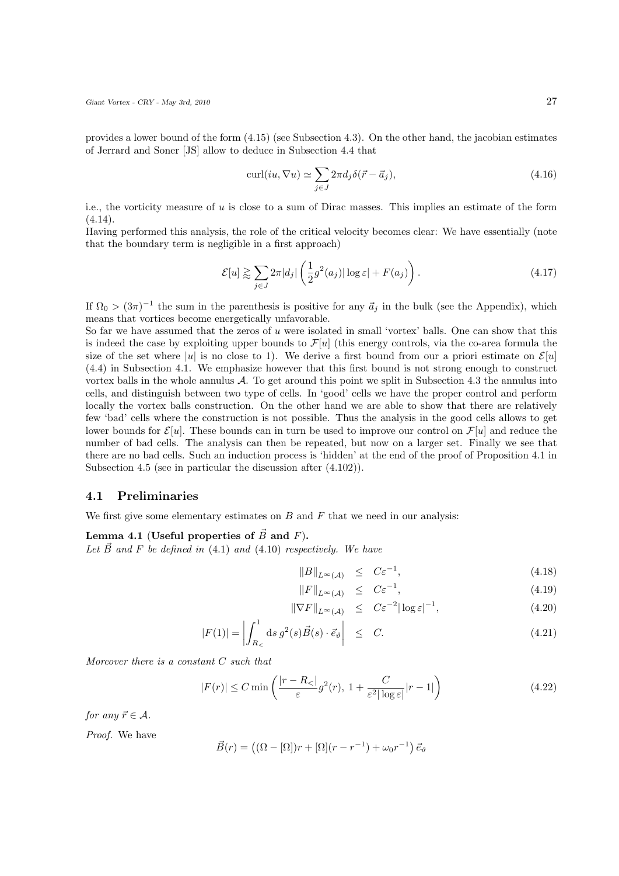provides a lower bound of the form (4.15) (see Subsection 4.3). On the other hand, the jacobian estimates of Jerrard and Soner [JS] allow to deduce in Subsection 4.4 that

$$
\operatorname{curl}(iu, \nabla u) \simeq \sum_{j \in J} 2\pi d_j \delta(\vec{r} - \vec{a}_j), \tag{4.16}
$$

i.e., the vorticity measure of u is close to a sum of Dirac masses. This implies an estimate of the form (4.14).

Having performed this analysis, the role of the critical velocity becomes clear: We have essentially (note that the boundary term is negligible in a first approach)

$$
\mathcal{E}[u] \gtrapprox \sum_{j \in J} 2\pi |d_j| \left( \frac{1}{2} g^2(a_j) |\log \varepsilon| + F(a_j) \right). \tag{4.17}
$$

If  $\Omega_0 > (3\pi)^{-1}$  the sum in the parenthesis is positive for any  $\vec{a}_j$  in the bulk (see the Appendix), which means that vortices become energetically unfavorable.

So far we have assumed that the zeros of  $u$  were isolated in small 'vortex' balls. One can show that this is indeed the case by exploiting upper bounds to  $\mathcal{F}[u]$  (this energy controls, via the co-area formula the size of the set where |u| is no close to 1). We derive a first bound from our a priori estimate on  $\mathcal{E}[u]$ (4.4) in Subsection 4.1. We emphasize however that this first bound is not strong enough to construct vortex balls in the whole annulus  $A$ . To get around this point we split in Subsection 4.3 the annulus into cells, and distinguish between two type of cells. In 'good' cells we have the proper control and perform locally the vortex balls construction. On the other hand we are able to show that there are relatively few 'bad' cells where the construction is not possible. Thus the analysis in the good cells allows to get lower bounds for  $\mathcal{E}[u]$ . These bounds can in turn be used to improve our control on  $\mathcal{F}[u]$  and reduce the number of bad cells. The analysis can then be repeated, but now on a larger set. Finally we see that there are no bad cells. Such an induction process is 'hidden' at the end of the proof of Proposition 4.1 in Subsection 4.5 (see in particular the discussion after (4.102)).

#### 4.1 Preliminaries

We first give some elementary estimates on  $B$  and  $F$  that we need in our analysis:

# Lemma 4.1 (Useful properties of  $\vec{B}$  and F).

Let  $\vec{B}~$  and F be defined in (4.1) and (4.10) respectively. We have

$$
||B||_{L^{\infty}(\mathcal{A})} \leq C\varepsilon^{-1}, \tag{4.18}
$$

$$
||F||_{L^{\infty}(\mathcal{A})} \leq C\varepsilon^{-1}, \tag{4.19}
$$

$$
\|\nabla F\|_{L^{\infty}(\mathcal{A})} \leq C\varepsilon^{-2} |\log \varepsilon|^{-1}, \tag{4.20}
$$

$$
|F(1)| = \left| \int_{R_{<}}^{1} ds \, g^2(s) \vec{B}(s) \cdot \vec{e}_{\vartheta} \right| \leq C. \tag{4.21}
$$

Moreover there is a constant C such that

$$
|F(r)| \le C \min\left(\frac{|r - R_{\le}|}{\varepsilon} g^2(r), \ 1 + \frac{C}{\varepsilon^2 |\log \varepsilon|} |r - 1|\right) \tag{4.22}
$$

for any  $\vec{r} \in \mathcal{A}$ .

Proof. We have

$$
\vec{B}(r) = ((\Omega - [\Omega])r + [\Omega](r - r^{-1}) + \omega_0 r^{-1}) \vec{e}_{\vartheta}
$$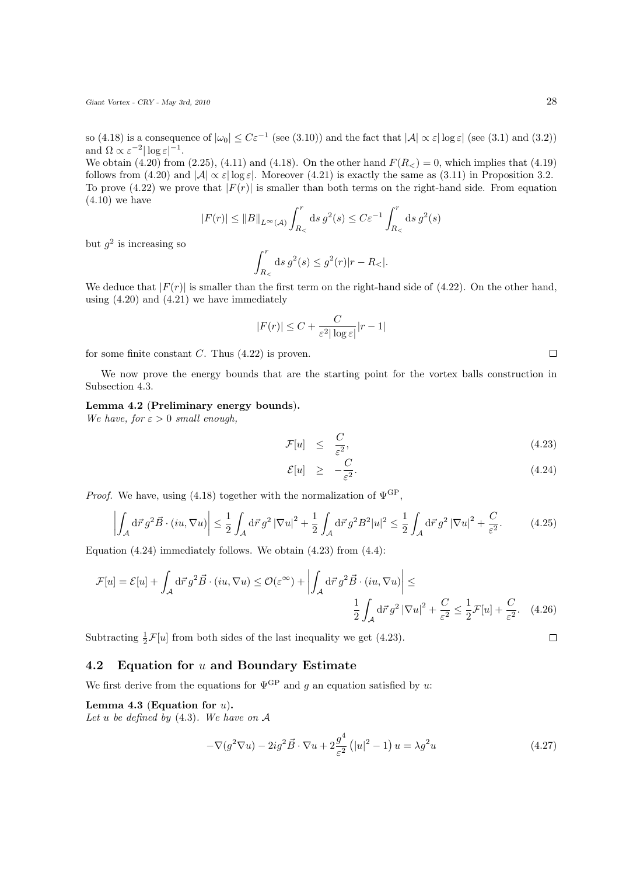so (4.18) is a consequence of  $|\omega_0| \leq C\varepsilon^{-1}$  (see (3.10)) and the fact that  $|\mathcal{A}| \propto \varepsilon |\log \varepsilon|$  (see (3.1) and (3.2)) and  $\Omega \propto \varepsilon^{-2} |\log \varepsilon|^{-1}$ .

We obtain (4.20) from (2.25), (4.11) and (4.18). On the other hand  $F(R_<) = 0$ , which implies that (4.19) follows from (4.20) and  $|\mathcal{A}| \propto \varepsilon |\log \varepsilon|$ . Moreover (4.21) is exactly the same as (3.11) in Proposition 3.2. To prove (4.22) we prove that  $|F(r)|$  is smaller than both terms on the right-hand side. From equation  $(4.10)$  we have

$$
|F(r)| \le ||B||_{L^{\infty}(\mathcal{A})} \int_{R_{<}}^{r} ds g^{2}(s) \le C\varepsilon^{-1} \int_{R_{<}}^{r} ds g^{2}(s)
$$

but  $g^2$  is increasing so

$$
\int_{R_{<}^r}^r ds g^2(s) \leq g^2(r)|r - R_{<}^r|.
$$

We deduce that  $|F(r)|$  is smaller than the first term on the right-hand side of (4.22). On the other hand, using  $(4.20)$  and  $(4.21)$  we have immediately

$$
|F(r)|\leq C+\frac{C}{\varepsilon^2|\log\varepsilon|}|r-1|
$$

for some finite constant  $C$ . Thus  $(4.22)$  is proven.

We now prove the energy bounds that are the starting point for the vortex balls construction in Subsection 4.3.

### Lemma 4.2 (Preliminary energy bounds).

We have, for  $\varepsilon > 0$  small enough,

$$
\mathcal{F}[u] \leq \frac{C}{\varepsilon^2},\tag{4.23}
$$

$$
\mathcal{E}[u] \ge -\frac{C}{\varepsilon^2}.\tag{4.24}
$$

*Proof.* We have, using (4.18) together with the normalization of  $\Psi$ <sup>GP</sup>,

$$
\left| \int_{\mathcal{A}} d\vec{r} \, g^2 \vec{B} \cdot (iu, \nabla u) \right| \leq \frac{1}{2} \int_{\mathcal{A}} d\vec{r} \, g^2 \left| \nabla u \right|^2 + \frac{1}{2} \int_{\mathcal{A}} d\vec{r} \, g^2 B^2 |u|^2 \leq \frac{1}{2} \int_{\mathcal{A}} d\vec{r} \, g^2 \left| \nabla u \right|^2 + \frac{C}{\varepsilon^2}.
$$
 (4.25)

Equation  $(4.24)$  immediately follows. We obtain  $(4.23)$  from  $(4.4)$ :

$$
\mathcal{F}[u] = \mathcal{E}[u] + \int_{\mathcal{A}} d\vec{r} \, g^2 \vec{B} \cdot (iu, \nabla u) \le \mathcal{O}(\varepsilon^{\infty}) + \left| \int_{\mathcal{A}} d\vec{r} \, g^2 \vec{B} \cdot (iu, \nabla u) \right| \le
$$
  

$$
\frac{1}{2} \int_{\mathcal{A}} d\vec{r} \, g^2 \left| \nabla u \right|^2 + \frac{C}{\varepsilon^2} \le \frac{1}{2} \mathcal{F}[u] + \frac{C}{\varepsilon^2}.
$$
 (4.26)

Subtracting  $\frac{1}{2}\mathcal{F}[u]$  from both sides of the last inequality we get (4.23).

# 4.2 Equation for u and Boundary Estimate

We first derive from the equations for  $\Psi^{\text{GP}}$  and g an equation satisfied by u:

Lemma 4.3 (Equation for  $u$ ).

Let u be defined by  $(4.3)$ . We have on A

$$
-\nabla(g^2 \nabla u) - 2ig^2 \vec{B} \cdot \nabla u + 2\frac{g^4}{\varepsilon^2} \left( |u|^2 - 1 \right) u = \lambda g^2 u \tag{4.27}
$$

 $\Box$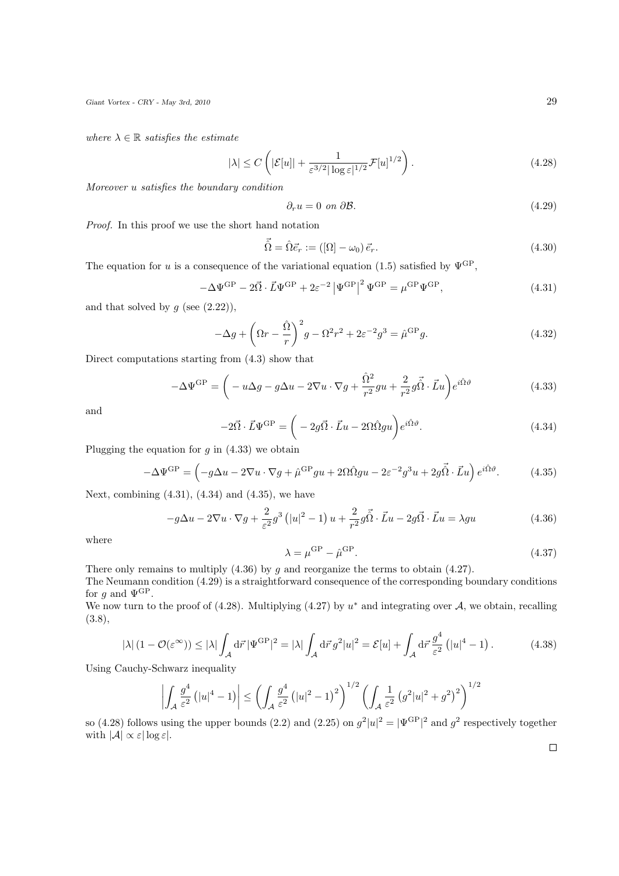where  $\lambda \in \mathbb{R}$  satisfies the estimate

$$
|\lambda| \le C \left( |\mathcal{E}[u]| + \frac{1}{\varepsilon^{3/2} |\log \varepsilon|^{1/2}} \mathcal{F}[u]^{1/2} \right). \tag{4.28}
$$

Moreover u satisfies the boundary condition

$$
\partial_r u = 0 \text{ on } \partial \mathcal{B}. \tag{4.29}
$$

Proof. In this proof we use the short hand notation

$$
\vec{\hat{\Omega}} = \hat{\Omega} \vec{e}_r := \left( [\Omega] - \omega_0 \right) \vec{e}_r. \tag{4.30}
$$

The equation for u is a consequence of the variational equation (1.5) satisfied by  $\Psi^{\text{GP}}$ ,

$$
-\Delta\Psi^{\rm GP} - 2\vec{\Omega} \cdot \vec{L}\Psi^{\rm GP} + 2\varepsilon^{-2} |\Psi^{\rm GP}|^2 \Psi^{\rm GP} = \mu^{\rm GP} \Psi^{\rm GP},\tag{4.31}
$$

and that solved by  $g$  (see  $(2.22)$ ),

$$
-\Delta g + \left(\Omega r - \frac{\hat{\Omega}}{r}\right)^2 g - \Omega^2 r^2 + 2\varepsilon^{-2} g^3 = \hat{\mu}^{\text{GP}} g. \tag{4.32}
$$

Direct computations starting from (4.3) show that

$$
-\Delta \Psi^{\rm GP} = \left(-u\Delta g - g\Delta u - 2\nabla u \cdot \nabla g + \frac{\hat{\Omega}^2}{r^2}gu + \frac{2}{r^2}g\vec{\hat{\Omega}} \cdot \vec{L}u\right)e^{i\hat{\Omega}\vartheta}
$$
(4.33)

and

$$
-2\vec{\Omega} \cdot \vec{L} \Psi^{\text{GP}} = \left( -2g\vec{\Omega} \cdot \vec{L}u - 2\Omega \hat{\Omega}gu \right) e^{i\hat{\Omega}\vartheta}.
$$
 (4.34)

Plugging the equation for  $g$  in (4.33) we obtain

$$
-\Delta \Psi^{\text{GP}} = \left(-g\Delta u - 2\nabla u \cdot \nabla g + \hat{\mu}^{\text{GP}}gu + 2\Omega \hat{\Omega} gu - 2\varepsilon^{-2} g^3 u + 2g \vec{\hat{\Omega}} \cdot \vec{L}u\right) e^{i\hat{\Omega}\vartheta}.
$$
 (4.35)

Next, combining  $(4.31)$ ,  $(4.34)$  and  $(4.35)$ , we have

$$
-g\Delta u - 2\nabla u \cdot \nabla g + \frac{2}{\varepsilon^2} g^3 \left( |u|^2 - 1 \right) u + \frac{2}{r^2} g \vec{\hat{\Omega}} \cdot \vec{L} u - 2g \vec{\Omega} \cdot \vec{L} u = \lambda g u \tag{4.36}
$$

where

$$
\lambda = \mu^{\rm GP} - \hat{\mu}^{\rm GP}.\tag{4.37}
$$

There only remains to multiply  $(4.36)$  by g and reorganize the terms to obtain  $(4.27)$ .

The Neumann condition (4.29) is a straightforward consequence of the corresponding boundary conditions for g and  $\Psi$ <sup>GP</sup>.

We now turn to the proof of (4.28). Multiplying (4.27) by  $u^*$  and integrating over A, we obtain, recalling (3.8),

$$
|\lambda| (1 - \mathcal{O}(\varepsilon^{\infty})) \le |\lambda| \int_{\mathcal{A}} d\vec{r} |\Psi^{\text{GP}}|^2 = |\lambda| \int_{\mathcal{A}} d\vec{r} g^2 |u|^2 = \mathcal{E}[u] + \int_{\mathcal{A}} d\vec{r} \frac{g^4}{\varepsilon^2} (|u|^4 - 1).
$$
 (4.38)

Using Cauchy-Schwarz inequality

$$
\left| \int_{\mathcal{A}} \frac{g^4}{\varepsilon^2} \left( |u|^4 - 1 \right) \right| \le \left( \int_{\mathcal{A}} \frac{g^4}{\varepsilon^2} \left( |u|^2 - 1 \right)^2 \right)^{1/2} \left( \int_{\mathcal{A}} \frac{1}{\varepsilon^2} \left( g^2 |u|^2 + g^2 \right)^2 \right)^{1/2}
$$

so (4.28) follows using the upper bounds (2.2) and (2.25) on  $g^2|u|^2 = |\Psi^{\text{GP}}|^2$  and  $g^2$  respectively together with  $|\mathcal{A}| \propto \varepsilon |\log \varepsilon|$ .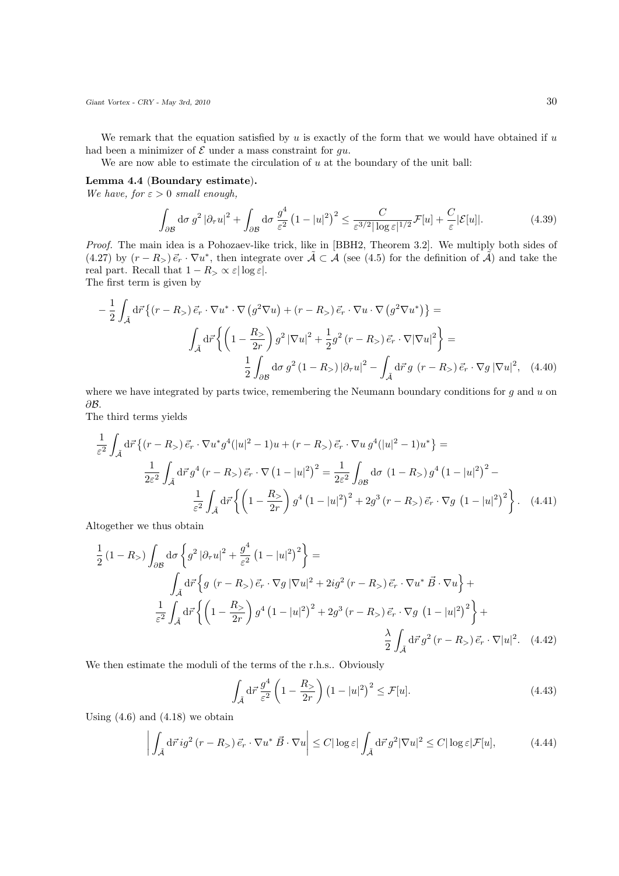We remark that the equation satisfied by  $u$  is exactly of the form that we would have obtained if  $u$ had been a minimizer of  $\mathcal E$  under a mass constraint for  $gu$ .

We are now able to estimate the circulation of  $u$  at the boundary of the unit ball:

Lemma 4.4 (Boundary estimate).

We have, for  $\varepsilon > 0$  small enough,

$$
\int_{\partial \mathcal{B}} d\sigma \, g^2 \, |\partial_\tau u|^2 + \int_{\partial \mathcal{B}} d\sigma \, \frac{g^4}{\varepsilon^2} \left(1 - |u|^2\right)^2 \le \frac{C}{\varepsilon^{3/2} |\log \varepsilon|^{1/2}} \mathcal{F}[u] + \frac{C}{\varepsilon} |\mathcal{E}[u]|. \tag{4.39}
$$

Proof. The main idea is a Pohozaev-like trick, like in [BBH2, Theorem 3.2]. We multiply both sides of  $(4.27)$  by  $(r - R_{>}) \vec{e_r} \cdot \nabla u^*$ , then integrate over  $\tilde{\mathcal{A}} \subset \mathcal{A}$  (see (4.5) for the definition of  $\tilde{\mathcal{A}}$ ) and take the real part. Recall that  $1 - R_{>} \propto \varepsilon |\log \varepsilon|$ . The first term is given by

$$
-\frac{1}{2}\int_{\tilde{\mathcal{A}}}d\vec{r}\left\{(r-R_{>})\vec{e}_{r}\cdot\nabla u^{*}\cdot\nabla\left(g^{2}\nabla u\right)+(r-R_{>})\vec{e}_{r}\cdot\nabla u\cdot\nabla\left(g^{2}\nabla u^{*}\right)\right\} =
$$

$$
\int_{\tilde{\mathcal{A}}}d\vec{r}\left\{\left(1-\frac{R_{>}}{2r}\right)g^{2}|\nabla u|^{2}+\frac{1}{2}g^{2}(r-R_{>})\vec{e}_{r}\cdot\nabla|\nabla u|^{2}\right\} =
$$

$$
\frac{1}{2}\int_{\partial\mathcal{B}}d\sigma\,g^{2}\left(1-R_{>}\right)|\partial_{\tau}u|^{2}-\int_{\tilde{\mathcal{A}}}d\vec{r}\,g\left(r-R_{>}\right)\vec{e}_{r}\cdot\nabla g\,|\nabla u|^{2},\quad(4.40)
$$

where we have integrated by parts twice, remembering the Neumann boundary conditions for  $g$  and  $u$  on ∂B.

The third terms yields

$$
\frac{1}{\varepsilon^2} \int_{\tilde{\mathcal{A}}} d\vec{r} \left\{ (r - R_{>}) \, \vec{e}_r \cdot \nabla u^* g^4 (|u|^2 - 1) u + (r - R_{>}) \, \vec{e}_r \cdot \nabla u \, g^4 (|u|^2 - 1) u^* \right\} =
$$
\n
$$
\frac{1}{2\varepsilon^2} \int_{\tilde{\mathcal{A}}} d\vec{r} \, g^4 (r - R_{>}) \, \vec{e}_r \cdot \nabla (1 - |u|^2)^2 = \frac{1}{2\varepsilon^2} \int_{\partial \mathcal{B}} d\sigma (1 - R_{>}) \, g^4 (1 - |u|^2)^2 -
$$
\n
$$
\frac{1}{\varepsilon^2} \int_{\tilde{\mathcal{A}}} d\vec{r} \left\{ \left( 1 - \frac{R_{>}}{2r} \right) g^4 (1 - |u|^2)^2 + 2g^3 (r - R_{>}) \, \vec{e}_r \cdot \nabla g (1 - |u|^2)^2 \right\}. \tag{4.41}
$$

Altogether we thus obtain

$$
\frac{1}{2} (1 - R_{>}) \int_{\partial \mathcal{B}} d\sigma \left\{ g^{2} |\partial_{\tau} u|^{2} + \frac{g^{4}}{\varepsilon^{2}} (1 - |u|^{2})^{2} \right\} =
$$
\n
$$
\int_{\tilde{\mathcal{A}}} d\vec{r} \left\{ g (r - R_{>}) \vec{e}_{r} \cdot \nabla g |\nabla u|^{2} + 2ig^{2} (r - R_{>}) \vec{e}_{r} \cdot \nabla u^{*} \vec{B} \cdot \nabla u \right\} +
$$
\n
$$
\frac{1}{\varepsilon^{2}} \int_{\tilde{\mathcal{A}}} d\vec{r} \left\{ \left( 1 - \frac{R_{>}}{2r} \right) g^{4} (1 - |u|^{2})^{2} + 2g^{3} (r - R_{>}) \vec{e}_{r} \cdot \nabla g (1 - |u|^{2})^{2} \right\} +
$$
\n
$$
\frac{\lambda}{2} \int_{\tilde{\mathcal{A}}} d\vec{r} g^{2} (r - R_{>}) \vec{e}_{r} \cdot \nabla |u|^{2} . \quad (4.42)
$$

We then estimate the moduli of the terms of the r.h.s.. Obviously

$$
\int_{\tilde{\mathcal{A}}} d\vec{r} \frac{g^4}{\varepsilon^2} \left( 1 - \frac{R_>}{2r} \right) \left( 1 - |u|^2 \right)^2 \le \mathcal{F}[u].\tag{4.43}
$$

Using  $(4.6)$  and  $(4.18)$  we obtain

$$
\left| \int_{\tilde{\mathcal{A}}} d\vec{r} \, ig^2 \left( r - R_{>} \right) \vec{e}_r \cdot \nabla u^* \, \vec{B} \cdot \nabla u \right| \le C |\log \varepsilon| \int_{\tilde{\mathcal{A}}} d\vec{r} \, g^2 |\nabla u|^2 \le C |\log \varepsilon| \mathcal{F}[u],\tag{4.44}
$$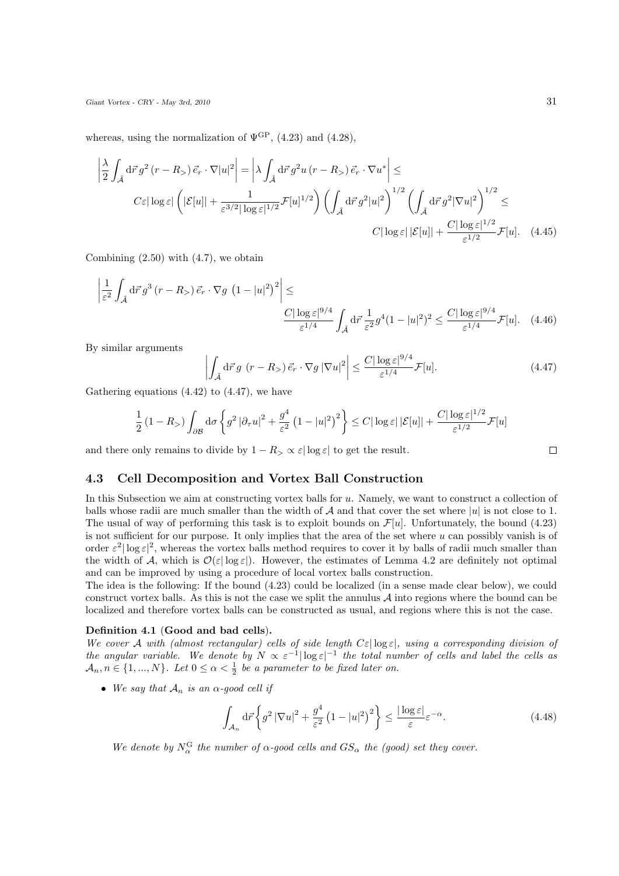whereas, using the normalization of  $\Psi^{\text{GP}}$ , (4.23) and (4.28),

$$
\left| \frac{\lambda}{2} \int_{\tilde{\mathcal{A}}} d\vec{r} \, g^2 \left( r - R_{>} \right) \vec{e}_r \cdot \nabla |u|^2 \right| = \left| \lambda \int_{\tilde{\mathcal{A}}} d\vec{r} \, g^2 u \left( r - R_{>} \right) \vec{e}_r \cdot \nabla u^* \right| \le
$$
  

$$
C \varepsilon |\log \varepsilon| \left( |\mathcal{E}[u]| + \frac{1}{\varepsilon^{3/2} |\log \varepsilon|^{1/2}} \mathcal{F}[u]^{1/2} \right) \left( \int_{\tilde{\mathcal{A}}} d\vec{r} \, g^2 |u|^2 \right)^{1/2} \left( \int_{\tilde{\mathcal{A}}} d\vec{r} \, g^2 |\nabla u|^2 \right)^{1/2} \le
$$
  

$$
C |\log \varepsilon| |\mathcal{E}[u]| + \frac{C |\log \varepsilon|^{1/2}}{\varepsilon^{1/2}} \mathcal{F}[u]. \quad (4.45)
$$

Combining  $(2.50)$  with  $(4.7)$ , we obtain

$$
\left| \frac{1}{\varepsilon^2} \int_{\tilde{\mathcal{A}}} d\vec{r} \, g^3(r - R_>) \, \vec{e}_r \cdot \nabla g \, \left( 1 - |u|^2 \right)^2 \right| \le
$$
\n
$$
\frac{C |\log \varepsilon|^{9/4}}{\varepsilon^{1/4}} \int_{\tilde{\mathcal{A}}} d\vec{r} \, \frac{1}{\varepsilon^2} g^4 (1 - |u|^2)^2 \le \frac{C |\log \varepsilon|^{9/4}}{\varepsilon^{1/4}} \mathcal{F}[u]. \quad (4.46)
$$

By similar arguments

$$
\left| \int_{\tilde{\mathcal{A}}} d\vec{r} \, g \, (r - R_{>} ) \, \vec{e}_r \cdot \nabla g \, |\nabla u|^2 \right| \leq \frac{C |\log \varepsilon|^{9/4}}{\varepsilon^{1/4}} \mathcal{F}[u]. \tag{4.47}
$$

Gathering equations  $(4.42)$  to  $(4.47)$ , we have

$$
\frac{1}{2} (1 - R_{>}) \int_{\partial \mathcal{B}} d\sigma \left\{ g^{2} |\partial_{\tau} u|^{2} + \frac{g^{4}}{\varepsilon^{2}} (1 - |u|^{2})^{2} \right\} \leq C |\log \varepsilon| |\mathcal{E}[u]| + \frac{C |\log \varepsilon|^{1/2}}{\varepsilon^{1/2}} \mathcal{F}[u]
$$

and there only remains to divide by  $1 - R_{>}\propto \varepsilon |\log \varepsilon|$  to get the result.

## 4.3 Cell Decomposition and Vortex Ball Construction

In this Subsection we aim at constructing vortex balls for u. Namely, we want to construct a collection of balls whose radii are much smaller than the width of  $A$  and that cover the set where  $|u|$  is not close to 1. The usual of way of performing this task is to exploit bounds on  $\mathcal{F}[u]$ . Unfortunately, the bound (4.23) is not sufficient for our purpose. It only implies that the area of the set where  $u$  can possibly vanish is of order  $\varepsilon^2 |\log \varepsilon|^2$ , whereas the vortex balls method requires to cover it by balls of radii much smaller than the width of A, which is  $\mathcal{O}(\varepsilon|\log \varepsilon|)$ . However, the estimates of Lemma 4.2 are definitely not optimal and can be improved by using a procedure of local vortex balls construction.

The idea is the following: If the bound (4.23) could be localized (in a sense made clear below), we could construct vortex balls. As this is not the case we split the annulus  $A$  into regions where the bound can be localized and therefore vortex balls can be constructed as usual, and regions where this is not the case.

#### Definition 4.1 (Good and bad cells).

We cover A with (almost rectangular) cells of side length  $C\varepsilon|\log\varepsilon|$ , using a corresponding division of the angular variable. We denote by  $N \propto \varepsilon^{-1} |\log \varepsilon|^{-1}$  the total number of cells and label the cells as  $\mathcal{A}_n, n \in \{1, ..., N\}$ . Let  $0 \leq \alpha < \frac{1}{2}$  be a parameter to be fixed later on.

• We say that  $A_n$  is an  $\alpha$ -good cell if

$$
\int_{\mathcal{A}_n} d\vec{r} \left\{ g^2 \left| \nabla u \right|^2 + \frac{g^4}{\varepsilon^2} \left( 1 - |u|^2 \right)^2 \right\} \le \frac{|\log \varepsilon|}{\varepsilon} \varepsilon^{-\alpha}.
$$
\n(4.48)

We denote by  $N_{\alpha}^{\text{G}}$  the number of  $\alpha$ -good cells and  $GS_{\alpha}$  the (good) set they cover.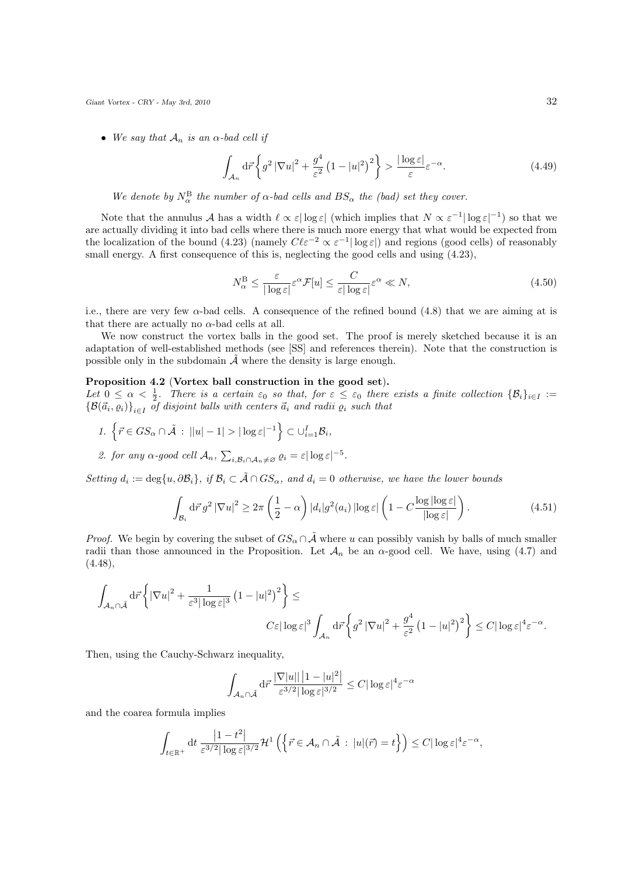• We say that  $A_n$  is an  $\alpha$ -bad cell if

$$
\int_{\mathcal{A}_n} d\vec{r} \left\{ g^2 \left| \nabla u \right|^2 + \frac{g^4}{\varepsilon^2} \left( 1 - |u|^2 \right)^2 \right\} > \frac{|\log \varepsilon|}{\varepsilon} \varepsilon^{-\alpha}.
$$
\n(4.49)

We denote by  $N_{\alpha}^{\text{B}}$  the number of  $\alpha$ -bad cells and  $BS_{\alpha}$  the (bad) set they cover.

Note that the annulus A has a width  $\ell \propto \varepsilon |\log \varepsilon|$  (which implies that  $N \propto \varepsilon^{-1} |\log \varepsilon|^{-1}$ ) so that we are actually dividing it into bad cells where there is much more energy that what would be expected from the localization of the bound (4.23) (namely  $C\ell\varepsilon^{-2} \propto \varepsilon^{-1} |\log \varepsilon|$ ) and regions (good cells) of reasonably small energy. A first consequence of this is, neglecting the good cells and using (4.23),

$$
N_{\alpha}^{\mathcal{B}} \le \frac{\varepsilon}{|\log \varepsilon|} \varepsilon^{\alpha} \mathcal{F}[u] \le \frac{C}{\varepsilon |\log \varepsilon|} \varepsilon^{\alpha} \ll N,
$$
\n(4.50)

i.e., there are very few  $\alpha$ -bad cells. A consequence of the refined bound (4.8) that we are aiming at is that there are actually no  $\alpha$ -bad cells at all.

We now construct the vortex balls in the good set. The proof is merely sketched because it is an adaptation of well-established methods (see [SS] and references therein). Note that the construction is possible only in the subdomain  $\tilde{\mathcal{A}}$  where the density is large enough.

#### Proposition 4.2 (Vortex ball construction in the good set).

Let  $0 \leq \alpha < \frac{1}{2}$ . There is a certain  $\varepsilon_0$  so that, for  $\varepsilon \leq \varepsilon_0$  there exists a finite collection  $\{\mathcal{B}_i\}_{i\in I}$  :=  $\{\mathcal{B}(\vec{a}_i, \varrho_i)\}_{i\in I}$  of disjoint balls with centers  $\vec{a}_i$  and radii  $\varrho_i$  such that

- 1.  $\left\{ \vec{r} \in GS_{\alpha} \cap \tilde{\mathcal{A}} \, : \, ||u|-1| > |\log \varepsilon|^{-1} \right\} \subset \cup_{i=1}^{I} \mathcal{B}_{i},$
- 2. for any  $\alpha$ -good cell  $\mathcal{A}_n$ ,  $\sum_{i,\mathcal{B}_i \cap \mathcal{A}_n \neq \varnothing} \varrho_i = \varepsilon |\log \varepsilon|^{-5}$ .

Setting  $d_i := \deg\{u, \partial B_i\}, \text{ if } B_i \subset \tilde{\mathcal{A}} \cap GS_{\alpha}, \text{ and } d_i = 0 \text{ otherwise, we have the lower bounds }$ 

$$
\int_{\mathcal{B}_i} d\vec{r} \, g^2 \left| \nabla u \right|^2 \ge 2\pi \left( \frac{1}{2} - \alpha \right) |d_i| g^2(a_i) \left| \log \varepsilon \right| \left( 1 - C \frac{\log |\log \varepsilon|}{|\log \varepsilon|} \right). \tag{4.51}
$$

*Proof.* We begin by covering the subset of  $GS_\alpha \cap \tilde{A}$  where u can possibly vanish by balls of much smaller radii than those announced in the Proposition. Let  $\mathcal{A}_n$  be an  $\alpha$ -good cell. We have, using (4.7) and (4.48),

$$
\begin{aligned} \int_{\mathcal{A}_n\cap\tilde{\mathcal{A}}} \mathrm{d}\vec{r}\left\{\left|\nabla u\right|^2+\frac{1}{\varepsilon^3|\log\varepsilon|^3}\left(1-|u|^2\right)^2\right\}\leq\\ C\varepsilon|\log\varepsilon|^3\int_{\mathcal{A}_n}\mathrm{d}\vec{r}\left\{g^2\left|\nabla u\right|^2+\frac{g^4}{\varepsilon^2}\left(1-|u|^2\right)^2\right\}\leq C|\log\varepsilon|^4\varepsilon^{-\alpha}. \end{aligned}
$$

Then, using the Cauchy-Schwarz inequality,

$$
\int_{\mathcal{A}_n \cap \tilde{\mathcal{A}}} d\vec{r} \, \frac{|\nabla |u|| \, |1 - |u|^2|}{\varepsilon^{3/2} |\log \varepsilon|^{3/2}} \le C |\log \varepsilon|^{4} \varepsilon^{-\alpha}
$$

and the coarea formula implies

$$
\int_{t\in\mathbb{R}^+} dt \, \frac{\left|1-t^2\right|}{\varepsilon^{3/2}|\log \varepsilon|^{3/2}} \mathcal{H}^1\left(\left\{\vec{r}\in\mathcal{A}_n\cap\tilde{\mathcal{A}}\,:\,|u|(\vec{r})=t\right\}\right) \leq C|\log \varepsilon|^4 \varepsilon^{-\alpha},
$$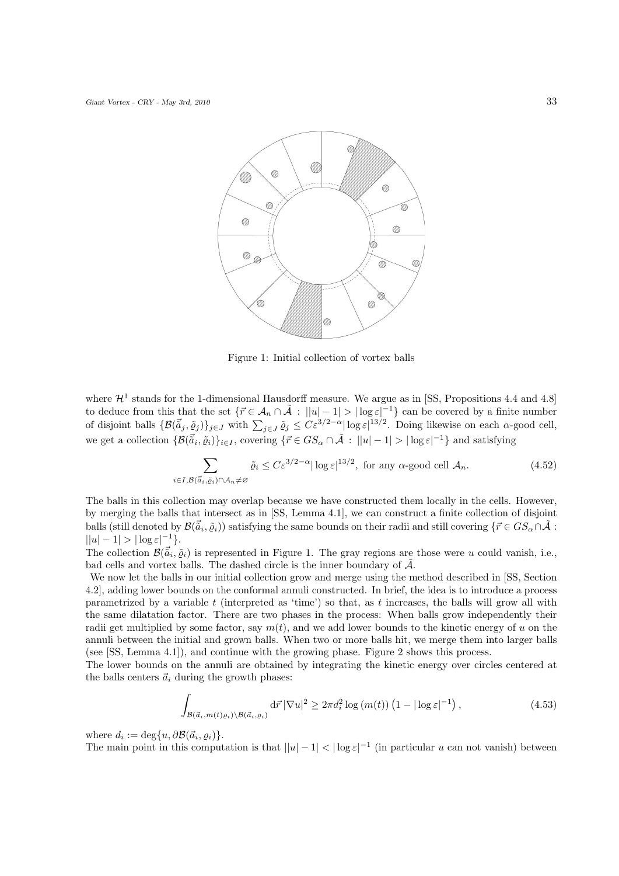

Figure 1: Initial collection of vortex balls

where  $\mathcal{H}^1$  stands for the 1-dimensional Hausdorff measure. We argue as in [SS, Propositions 4.4 and 4.8] to deduce from this that the set  $\{\vec{r} \in A_n \cap \tilde{A} : ||u|-1| > |\log \varepsilon|^{-1}\}\)$  can be covered by a finite number of disjoint balls  $\{\mathcal{B}(\vec{a}_j, \tilde{\varrho}_j)\}_{j\in J}$  with  $\sum_{j\in J} \tilde{\varrho}_j \leq C\epsilon^{3/2-\alpha} |\log \epsilon|^{13/2}$ . Doing likewise on each  $\alpha$ -good cell, we get a collection  $\{\mathcal{B}(\vec{a}_i, \tilde{\varrho}_i)\}_{i \in I}$ , covering  $\{\vec{r} \in GS_\alpha \cap \tilde{\mathcal{A}} : ||u|-1| > |\log \varepsilon|^{-1}\}$  and satisfying

$$
\sum_{i \in I, \mathcal{B}(\vec{a}_i, \tilde{\varrho}_i) \cap \mathcal{A}_n \neq \varnothing} \tilde{\varrho}_i \le C \varepsilon^{3/2 - \alpha} |\log \varepsilon|^{13/2}, \text{ for any } \alpha \text{-good cell } \mathcal{A}_n. \tag{4.52}
$$

The balls in this collection may overlap because we have constructed them locally in the cells. However, by merging the balls that intersect as in [SS, Lemma 4.1], we can construct a finite collection of disjoint balls (still denoted by  $\mathcal{B}(\vec{a}_i, \tilde{\varrho}_i)$ ) satisfying the same bounds on their radii and still covering  $\{\vec{r} \in GS_\alpha \cap \tilde{\mathcal{A}}$ :  $||u|-1|>|\log \varepsilon|^{-1}$ .

The collection  $\mathcal{B}(\vec{a}_i, \tilde{\varrho}_i)$  is represented in Figure 1. The gray regions are those were u could vanish, i.e., bad cells and vortex balls. The dashed circle is the inner boundary of  $\mathcal{A}$ .

We now let the balls in our initial collection grow and merge using the method described in [SS, Section 4.2], adding lower bounds on the conformal annuli constructed. In brief, the idea is to introduce a process parametrized by a variable  $t$  (interpreted as 'time') so that, as  $t$  increases, the balls will grow all with the same dilatation factor. There are two phases in the process: When balls grow independently their radii get multiplied by some factor, say  $m(t)$ , and we add lower bounds to the kinetic energy of u on the annuli between the initial and grown balls. When two or more balls hit, we merge them into larger balls (see [SS, Lemma 4.1]), and continue with the growing phase. Figure 2 shows this process.

The lower bounds on the annuli are obtained by integrating the kinetic energy over circles centered at the balls centers  $\vec{a}_i$  during the growth phases:

$$
\int_{\mathcal{B}(\vec{a}_i,m(t)\varrho_i)\setminus\mathcal{B}(\vec{a}_i,\varrho_i)} d\vec{r} \, |\nabla u|^2 \geq 2\pi d_i^2 \log\left(m(t)\right) \left(1 - |\log \varepsilon|^{-1}\right),\tag{4.53}
$$

where  $d_i := \deg\{u, \partial \mathcal{B}(\vec{a}_i, \varrho_i)\}.$ 

The main point in this computation is that  $||u|-1|<|\log \varepsilon|^{-1}$  (in particular u can not vanish) between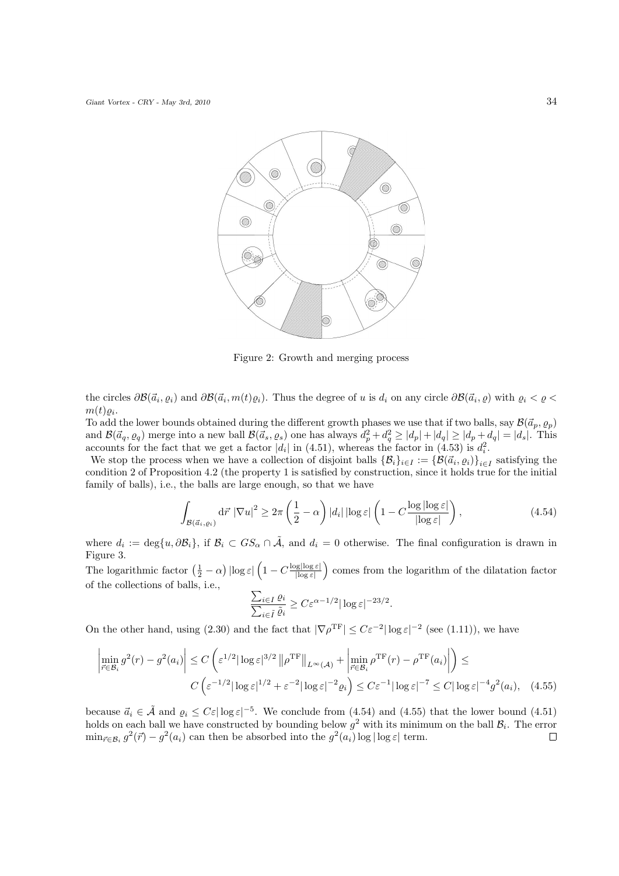

Figure 2: Growth and merging process

the circles  $\partial \mathcal{B}(\vec{a}_i, \varrho_i)$  and  $\partial \mathcal{B}(\vec{a}_i, m(t)\varrho_i)$ . Thus the degree of u is  $d_i$  on any circle  $\partial \mathcal{B}(\vec{a}_i, \varrho)$  with  $\varrho_i < \varrho <$  $m(t)\varrho_i.$ 

To add the lower bounds obtained during the different growth phases we use that if two balls, say  $\mathcal{B}(\vec{a}_p, \varrho_p)$ and  $\mathcal{B}(\vec{a}_q, \varrho_q)$  merge into a new ball  $\mathcal{B}(\vec{a}_s, \varrho_s)$  one has always  $d_p^2 + d_q^2 \ge |d_p| + |d_q| \ge |d_p + d_q| = |d_s|$ . This accounts for the fact that we get a factor  $|d_i|$  in (4.51), whereas the factor in (4.53) is  $d_i^2$ .

We stop the process when we have a collection of disjoint balls  $\{\mathcal{B}_i\}_{i\in I} := \{\mathcal{B}(\vec{a}_i, \varrho_i)\}_{i\in I}$  satisfying the condition 2 of Proposition 4.2 (the property 1 is satisfied by construction, since it holds true for the initial family of balls), i.e., the balls are large enough, so that we have

$$
\int_{\mathcal{B}(\vec{a}_i,\varrho_i)} d\vec{r} \, |\nabla u|^2 \ge 2\pi \left(\frac{1}{2} - \alpha\right) |d_i| \left|\log \varepsilon\right| \left(1 - C \frac{\log|\log \varepsilon|}{|\log \varepsilon|}\right),\tag{4.54}
$$

where  $d_i := \deg\{u, \partial B_i\}$ , if  $B_i \subset GS_\alpha \cap \tilde{A}$ , and  $d_i = 0$  otherwise. The final configuration is drawn in Figure 3.

The logarithmic factor  $(\frac{1}{2} - \alpha) \left| \log \varepsilon \right| \left( 1 - C \frac{\log |\log \varepsilon|}{|\log \varepsilon|} \right)$  $\frac{\log|\log \varepsilon|}{|\log \varepsilon|}$  comes from the logarithm of the dilatation factor of the collections of balls, i.e.,

$$
\frac{\sum_{i \in I} \varrho_i}{\sum_{i \in \tilde{I}} \tilde{\varrho}_i} \ge C \varepsilon^{\alpha - 1/2} |\log \varepsilon|^{-23/2}.
$$

On the other hand, using (2.30) and the fact that  $|\nabla \rho^{\rm TF}| \leq C \varepsilon^{-2} |\log \varepsilon|^{-2}$  (see (1.11)), we have

$$
\left| \min_{\vec{r} \in \mathcal{B}_i} g^2(r) - g^2(a_i) \right| \le C \left( \varepsilon^{1/2} |\log \varepsilon|^{3/2} \left\| \rho^{\text{TF}} \right\|_{L^\infty(\mathcal{A})} + \left| \min_{\vec{r} \in \mathcal{B}_i} \rho^{\text{TF}}(r) - \rho^{\text{TF}}(a_i) \right| \right) \le C \left( \varepsilon^{-1/2} |\log \varepsilon|^{1/2} + \varepsilon^{-2} |\log \varepsilon|^{-2} \varrho_i \right) \le C \varepsilon^{-1} |\log \varepsilon|^{-7} \le C |\log \varepsilon|^{-4} g^2(a_i), \quad (4.55)
$$

because  $\vec{a}_i \in \tilde{\mathcal{A}}$  and  $\varrho_i \leq C \varepsilon |\log \varepsilon|^{-5}$ . We conclude from (4.54) and (4.55) that the lower bound (4.51) holds on each ball we have constructed by bounding below  $g^2$  with its minimum on the ball  $\mathcal{B}_i$ . The error  $\min_{\vec{r} \in \mathcal{B}_i} g^2(\vec{r}) - g^2(a_i)$  can then be absorbed into the  $g^2(a_i) \log |\log \varepsilon|$  term.  $\Box$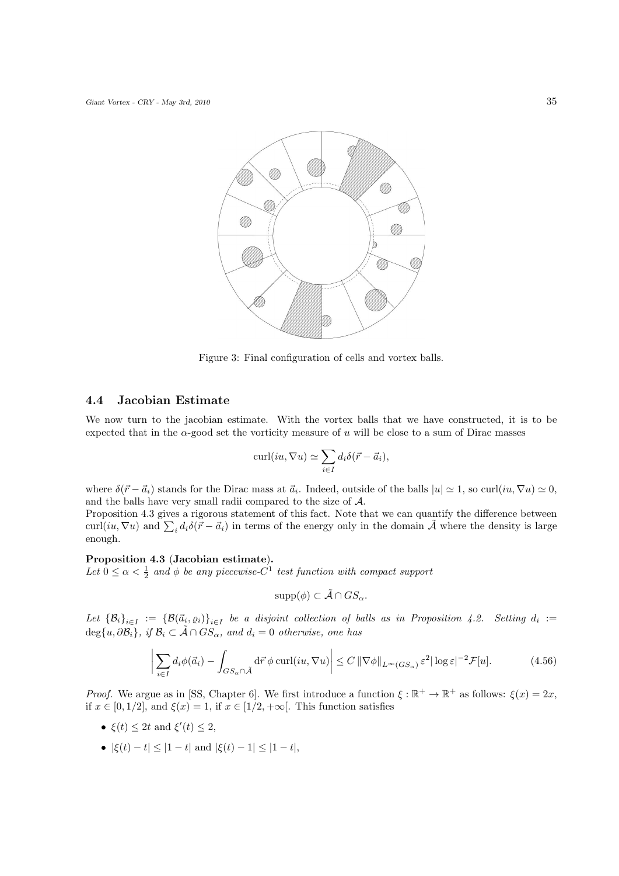

Figure 3: Final configuration of cells and vortex balls.

#### 4.4 Jacobian Estimate

We now turn to the jacobian estimate. With the vortex balls that we have constructed, it is to be expected that in the  $\alpha$ -good set the vorticity measure of u will be close to a sum of Dirac masses

$$
\operatorname{curl}(iu, \nabla u) \simeq \sum_{i \in I} d_i \delta(\vec{r} - \vec{a}_i),
$$

where  $\delta(\vec{r} - \vec{a}_i)$  stands for the Dirac mass at  $\vec{a}_i$ . Indeed, outside of the balls  $|u| \simeq 1$ , so curl $(iu, \nabla u) \simeq 0$ , and the balls have very small radii compared to the size of A.

Proposition 4.3 gives a rigorous statement of this fact. Note that we can quantify the difference between curl(iu,  $\nabla u$ ) and  $\sum_i d_i \delta(\vec{r} - \vec{a}_i)$  in terms of the energy only in the domain  $\tilde{\mathcal{A}}$  where the density is large enough.

### Proposition 4.3 (Jacobian estimate).

Let  $0 \leq \alpha < \frac{1}{2}$  and  $\phi$  be any piecewise-C<sup>1</sup> test function with compact support

$$
supp(\phi) \subset \tilde{\mathcal{A}} \cap GS_{\alpha}.
$$

Let  $\{\mathcal{B}_i\}_{i\in I} := \{\mathcal{B}(\vec{a}_i,\varrho_i)\}_{i\in I}$  be a disjoint collection of balls as in Proposition 4.2. Setting  $d_i :=$ deg $\{u, \partial \mathcal{B}_i\}, \text{ if } \mathcal{B}_i \subset \tilde{\mathcal{A}} \cap GS_{\alpha}$ , and  $d_i = 0$  otherwise, one has

$$
\left| \sum_{i \in I} d_i \phi(\vec{a}_i) - \int_{GS_\alpha \cap \tilde{\mathcal{A}}} d\vec{r} \phi \operatorname{curl}(iu, \nabla u) \right| \le C \left\| \nabla \phi \right\|_{L^\infty(GS_\alpha)} \varepsilon^2 |\log \varepsilon|^{-2} \mathcal{F}[u]. \tag{4.56}
$$

*Proof.* We argue as in [SS, Chapter 6]. We first introduce a function  $\xi : \mathbb{R}^+ \to \mathbb{R}^+$  as follows:  $\xi(x) = 2x$ , if  $x \in [0, 1/2]$ , and  $\xi(x) = 1$ , if  $x \in [1/2, +\infty]$ . This function satisfies

- $\xi(t) \leq 2t$  and  $\xi'(t) \leq 2$ ,
- $|\xi(t) t| < |1 t|$  and  $|\xi(t) 1| < |1 t|$ ,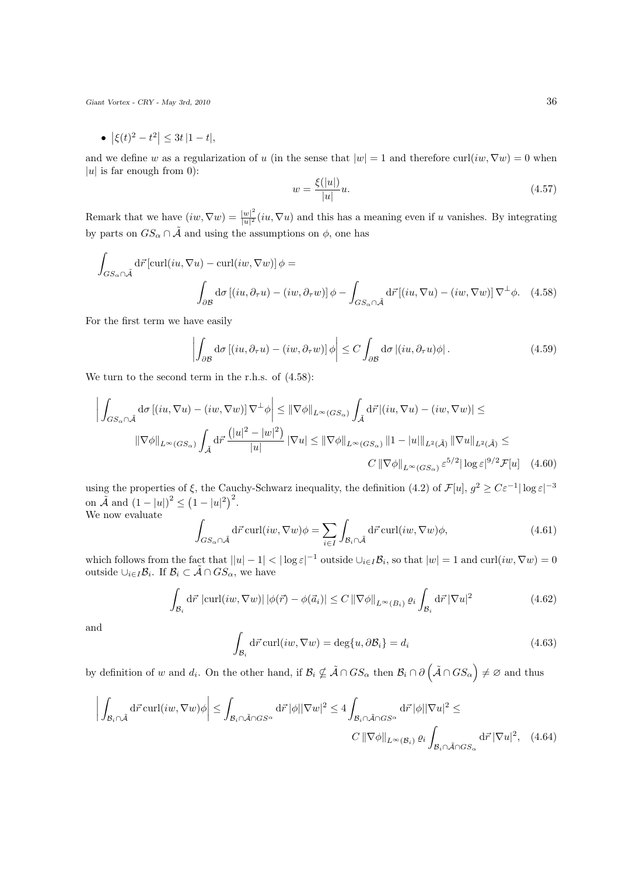•  $|\xi(t)^2 - t^2| \le 3t |1 - t|,$ 

and we define w as a regularization of u (in the sense that  $|w| = 1$  and therefore curl(iw,  $\nabla w$ ) = 0 when |u| is far enough from 0):

$$
w = \frac{\xi(|u|)}{|u|}u.
$$
\n(4.57)

Remark that we have  $(iw, \nabla w) = \frac{|w|^2}{|w|^2}$  $\frac{|w|}{|u|^2}(iu, \nabla u)$  and this has a meaning even if u vanishes. By integrating by parts on  $GS_{\alpha} \cap \tilde{A}$  and using the assumptions on  $\phi$ , one has

$$
\int_{GS_{\alpha} \cap \tilde{\mathcal{A}}} d\vec{r} \left[ curl(iu, \nabla u) - curl(iw, \nabla w) \right] \phi =
$$
\n
$$
\int_{\partial \mathcal{B}} d\sigma \left[ (iu, \partial_{\tau} u) - (iw, \partial_{\tau} w) \right] \phi - \int_{GS_{\alpha} \cap \tilde{\mathcal{A}}} d\vec{r} \left[ (iu, \nabla u) - (iw, \nabla w) \right] \nabla^{\perp} \phi. \tag{4.58}
$$

For the first term we have easily

$$
\left| \int_{\partial \mathcal{B}} d\sigma \left[ (iu, \partial_{\tau} u) - (iw, \partial_{\tau} w) \right] \phi \right| \leq C \int_{\partial \mathcal{B}} d\sigma \left| (iu, \partial_{\tau} u) \phi \right|.
$$
 (4.59)

We turn to the second term in the r.h.s. of (4.58):

$$
\left| \int_{GS_{\alpha} \cap \tilde{A}} d\sigma \left[ (iu, \nabla u) - (iw, \nabla w) \right] \nabla^{\perp} \phi \right| \leq \|\nabla \phi\|_{L^{\infty}(GS_{\alpha})} \int_{\tilde{A}} d\vec{r} \left| (iu, \nabla u) - (iw, \nabla w) \right| \leq
$$
  

$$
\|\nabla \phi\|_{L^{\infty}(GS_{\alpha})} \int_{\tilde{A}} d\vec{r} \frac{(|u|^2 - |w|^2)}{|u|} |\nabla u| \leq \|\nabla \phi\|_{L^{\infty}(GS_{\alpha})} \|1 - |u|\|_{L^{2}(\tilde{A})} \|\nabla u\|_{L^{2}(\tilde{A})} \leq
$$
  

$$
C \|\nabla \phi\|_{L^{\infty}(GS_{\alpha})} \varepsilon^{5/2} |\log \varepsilon|^{9/2} \mathcal{F}[u] \quad (4.60)
$$

using the properties of  $\xi$ , the Cauchy-Schwarz inequality, the definition (4.2) of  $\mathcal{F}[u]$ ,  $g^2 \geq C \varepsilon^{-1} |\log \varepsilon|^{-3}$ on  $\tilde{A}$  and  $(1 - |u|)^2 \le (1 - |u|^2)^2$ . We now evaluate

$$
\int_{GS_{\alpha}\cap\tilde{\mathcal{A}}} d\vec{r} \operatorname{curl}(iw, \nabla w)\phi = \sum_{i \in I} \int_{\mathcal{B}_{i}\cap\tilde{\mathcal{A}}} d\vec{r} \operatorname{curl}(iw, \nabla w)\phi, \tag{4.61}
$$

which follows from the fact that  $||u|-1| < |\log \varepsilon|^{-1}$  outside  $\cup_{i\in I} \mathcal{B}_i$ , so that  $|w|=1$  and  $\text{curl}(iw, \nabla w)=0$ outside  $\cup_{i\in I} \mathcal{B}_i$ . If  $\mathcal{B}_i \subset \tilde{\mathcal{A}} \cap GS_\alpha$ , we have

$$
\int_{\mathcal{B}_i} d\vec{r} \left| \operatorname{curl}(iw, \nabla w) \right| |\phi(\vec{r}) - \phi(\vec{a}_i)| \le C \left\| \nabla \phi \right\|_{L^\infty(B_i)} \varrho_i \int_{\mathcal{B}_i} d\vec{r} \left| \nabla u \right|^2 \tag{4.62}
$$

and

$$
\int_{\mathcal{B}_i} d\vec{r} \operatorname{curl}(iw, \nabla w) = \deg\{u, \partial \mathcal{B}_i\} = d_i
$$
\n(4.63)

by definition of w and  $d_i$ . On the other hand, if  $\mathcal{B}_i \nsubseteq \tilde{\mathcal{A}} \cap GS_\alpha$  then  $\mathcal{B}_i \cap \partial \left(\tilde{\mathcal{A}} \cap GS_\alpha\right) \neq \varnothing$  and thus

$$
\left| \int_{\mathcal{B}_{i} \cap \tilde{\mathcal{A}}} d\vec{r} \operatorname{curl}(iw, \nabla w) \phi \right| \leq \int_{\mathcal{B}_{i} \cap \tilde{\mathcal{A}} \cap GS^{\alpha}} d\vec{r} \, |\phi| |\nabla w|^{2} \leq 4 \int_{\mathcal{B}_{i} \cap \tilde{\mathcal{A}} \cap GS^{\alpha}} d\vec{r} \, |\phi| |\nabla u|^{2} \leq
$$

$$
C \, \|\nabla \phi\|_{L^{\infty}(\mathcal{B}_{i})} \, \varrho_{i} \int_{\mathcal{B}_{i} \cap \tilde{\mathcal{A}} \cap GS_{\alpha}} d\vec{r} \, |\nabla u|^{2}, \quad (4.64)
$$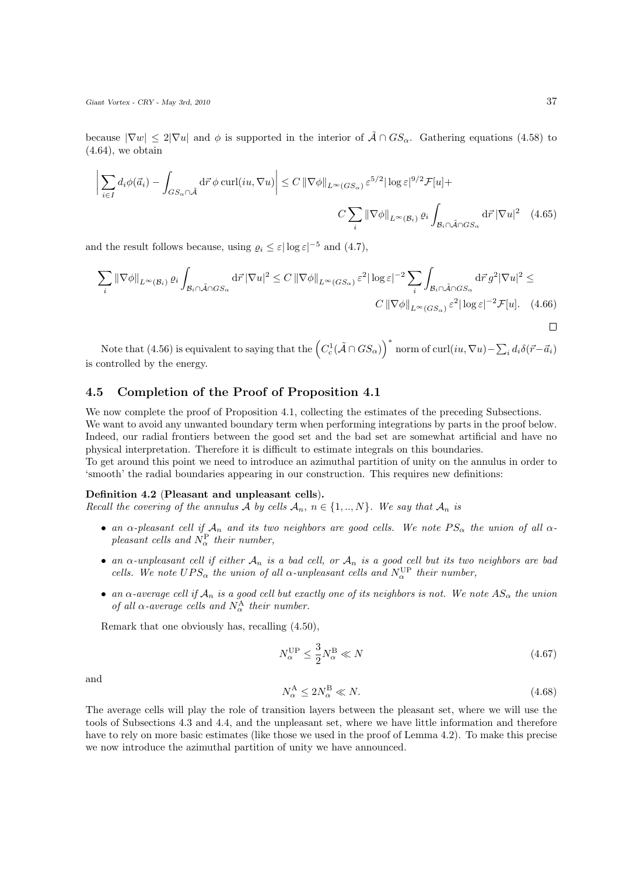because  $|\nabla w| \leq 2|\nabla u|$  and  $\phi$  is supported in the interior of  $\tilde{\mathcal{A}} \cap GS_{\alpha}$ . Gathering equations (4.58) to  $(4.64)$ , we obtain

$$
\left| \sum_{i \in I} d_i \phi(\vec{a}_i) - \int_{GS_{\alpha} \cap \tilde{\mathcal{A}}} d\vec{r} \phi \operatorname{curl}(iu, \nabla u) \right| \le C \left\| \nabla \phi \right\|_{L^{\infty}(GS_{\alpha})} \varepsilon^{5/2} |\log \varepsilon|^{9/2} \mathcal{F}[u] +
$$
  

$$
C \sum_{i} \left\| \nabla \phi \right\|_{L^{\infty}(B_i)} \varrho_i \int_{\mathcal{B}_i \cap \tilde{\mathcal{A}} \cap GS_{\alpha}} d\vec{r} \left| \nabla u \right|^2 \tag{4.65}
$$

and the result follows because, using  $\rho_i \leq \varepsilon |\log \varepsilon|^{-5}$  and  $(4.7)$ ,

$$
\sum_{i} \|\nabla \phi\|_{L^{\infty}(\mathcal{B}_{i})} \varrho_{i} \int_{\mathcal{B}_{i} \cap \tilde{\mathcal{A}} \cap GS_{\alpha}} d\vec{r} \|\nabla u|^{2} \leq C \|\nabla \phi\|_{L^{\infty}(GS_{\alpha})} \varepsilon^{2} |\log \varepsilon|^{-2} \sum_{i} \int_{\mathcal{B}_{i} \cap \tilde{\mathcal{A}} \cap GS_{\alpha}} d\vec{r} \, g^{2} |\nabla u|^{2} \leq
$$

$$
C \|\nabla \phi\|_{L^{\infty}(GS_{\alpha})} \varepsilon^{2} |\log \varepsilon|^{-2} \mathcal{F}[u]. \quad (4.66)
$$

Note that (4.56) is equivalent to saying that the  $\Big(C_c^1(\tilde{\mathcal{A}}\cap GS_\alpha)\Big)^*$  norm of  $\mathrm{curl}(iu,\nabla u)-\sum_i d_i\delta(\vec{r}-\vec{a}_i)$ is controlled by the energy.

# 4.5 Completion of the Proof of Proposition 4.1

We now complete the proof of Proposition 4.1, collecting the estimates of the preceding Subsections. We want to avoid any unwanted boundary term when performing integrations by parts in the proof below. Indeed, our radial frontiers between the good set and the bad set are somewhat artificial and have no physical interpretation. Therefore it is difficult to estimate integrals on this boundaries.

To get around this point we need to introduce an azimuthal partition of unity on the annulus in order to 'smooth' the radial boundaries appearing in our construction. This requires new definitions:

Definition 4.2 (Pleasant and unpleasant cells).

Recall the covering of the annulus A by cells  $A_n$ ,  $n \in \{1, ..., N\}$ . We say that  $A_n$  is

- an  $\alpha$ -pleasant cell if  $\mathcal{A}_n$  and its two neighbors are good cells. We note  $PS_\alpha$  the union of all  $\alpha$ pleasant cells and  $N_{\alpha}^{\rm P}$  their number,
- an  $\alpha$ -unpleasant cell if either  $\mathcal{A}_n$  is a bad cell, or  $\mathcal{A}_n$  is a good cell but its two neighbors are bad cells. We note  $UPS_{\alpha}$  the union of all  $\alpha$ -unpleasant cells and  $N_{\alpha}^{\text{UP}}$  their number,
- an  $\alpha$ -average cell if  $\mathcal{A}_n$  is a good cell but exactly one of its neighbors is not. We note  $AS_{\alpha}$  the union of all  $\alpha$ -average cells and  $N_{\alpha}^{\rm A}$  their number.

Remark that one obviously has, recalling (4.50),

$$
N_{\alpha}^{\text{UP}} \le \frac{3}{2} N_{\alpha}^{\text{B}} \ll N \tag{4.67}
$$

and

$$
N_{\alpha}^{\mathcal{A}} \le 2N_{\alpha}^{\mathcal{B}} \ll N. \tag{4.68}
$$

The average cells will play the role of transition layers between the pleasant set, where we will use the tools of Subsections 4.3 and 4.4, and the unpleasant set, where we have little information and therefore have to rely on more basic estimates (like those we used in the proof of Lemma 4.2). To make this precise we now introduce the azimuthal partition of unity we have announced.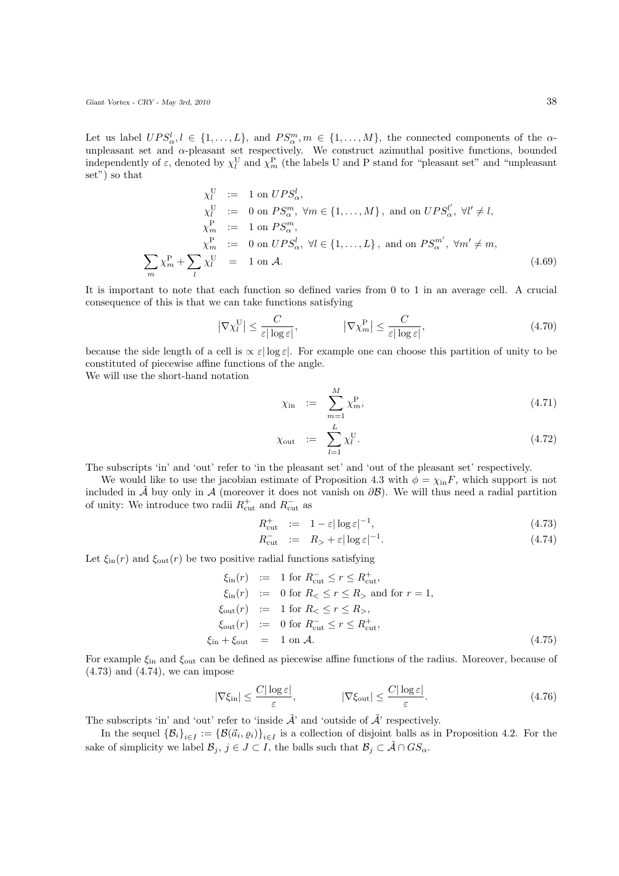Let us label  $UPS^l_{\alpha}, l \in \{1, ..., L\}$ , and  $PS^m_{\alpha}, m \in \{1, ..., M\}$ , the connected components of the  $\alpha$ unpleasant set and  $\alpha$ -pleasant set respectively. We construct azimuthal positive functions, bounded independently of  $\varepsilon$ , denoted by  $\chi_l^{\rm U}$  and  $\chi_m^{\rm P}$  (the labels U and P stand for "pleasant set" and "unpleasant set") so that

$$
\chi_l^U := 1 \text{ on } UPS_\alpha^l,
$$
  
\n
$$
\chi_l^U := 0 \text{ on } PS_\alpha^m, \forall m \in \{1, ..., M\}, \text{ and on } UPS_\alpha^{l'}, \forall l' \neq l,
$$
  
\n
$$
\chi_m^P := 1 \text{ on } PS_\alpha^m,
$$
  
\n
$$
\chi_m^P := 0 \text{ on } UPS_\alpha^l, \forall l \in \{1, ..., L\}, \text{ and on } PS_\alpha^{m'}, \forall m' \neq m,
$$
  
\n
$$
\sum_m \chi_m^P + \sum_l \chi_l^U = 1 \text{ on } \mathcal{A}.
$$
  
\n(4.69)

It is important to note that each function so defined varies from 0 to 1 in an average cell. A crucial consequence of this is that we can take functions satisfying

$$
\left|\nabla\chi_{l}^{\mathcal{U}}\right| \leq \frac{C}{\varepsilon|\log\varepsilon|}, \qquad \left|\nabla\chi_{m}^{\mathcal{P}}\right| \leq \frac{C}{\varepsilon|\log\varepsilon|}, \tag{4.70}
$$

because the side length of a cell is  $\propto \varepsilon |\log \varepsilon|$ . For example one can choose this partition of unity to be constituted of piecewise affine functions of the angle.

We will use the short-hand notation

$$
\chi_{\text{in}} := \sum_{m=1}^{M} \chi_m^{\text{P}}, \tag{4.71}
$$

$$
\chi_{\text{out}} := \sum_{l=1}^{L} \chi_{l}^{\text{U}}.
$$
\n(4.72)

The subscripts 'in' and 'out' refer to 'in the pleasant set' and 'out of the pleasant set' respectively.

We would like to use the jacobian estimate of Proposition 4.3 with  $\phi = \chi_{\rm in} F$ , which support is not included in  $\tilde{\mathcal{A}}$  buy only in  $\mathcal{A}$  (moreover it does not vanish on  $\partial \mathcal{B}$ ). We will thus need a radial partition of unity: We introduce two radii  $R_{\text{cut}}^{+}$  and  $R_{\text{cut}}^{-}$  as

$$
R_{\text{cut}}^+ := 1 - \varepsilon |\log \varepsilon|^{-1}, \tag{4.73}
$$

$$
R_{\text{cut}}^{-} \quad := \quad R_{>} + \varepsilon |\log \varepsilon|^{-1}.
$$
\n
$$
(4.74)
$$

Let  $\xi_{\rm in}(r)$  and  $\xi_{\rm out}(r)$  be two positive radial functions satisfying

$$
\xi_{\text{in}}(r) := 1 \text{ for } R_{\text{cut}}^{-} \le r \le R_{\text{cut}}^{+},
$$
\n
$$
\xi_{\text{in}}(r) := 0 \text{ for } R_{<} \le r \le R_{>} \text{ and for } r = 1,
$$
\n
$$
\xi_{\text{out}}(r) := 1 \text{ for } R_{<} \le r \le R_{>},
$$
\n
$$
\xi_{\text{out}}(r) := 0 \text{ for } R_{\text{cut}}^{-} \le r \le R_{\text{cut}}^{+},
$$
\n
$$
\xi_{\text{in}} + \xi_{\text{out}} = 1 \text{ on } \mathcal{A}.
$$
\n(4.75)

For example  $\xi_{\rm in}$  and  $\xi_{\rm out}$  can be defined as piecewise affine functions of the radius. Moreover, because of  $(4.73)$  and  $(4.74)$ , we can impose

$$
|\nabla \xi_{\rm in}| \le \frac{C|\log \varepsilon|}{\varepsilon}, \qquad |\nabla \xi_{\rm out}| \le \frac{C|\log \varepsilon|}{\varepsilon}.
$$
 (4.76)

The subscripts 'in' and 'out' refer to 'inside  $\tilde{A}$ ' and 'outside of  $\tilde{A}$ ' respectively.

In the sequel  $\{\mathcal{B}_i\}_{i\in I} := \{\mathcal{B}(\vec{a}_i, \varrho_i)\}_{i\in I}$  is a collection of disjoint balls as in Proposition 4.2. For the sake of simplicity we label  $\mathcal{B}_j, j \in J \subset I$ , the balls such that  $\mathcal{B}_j \subset \tilde{\mathcal{A}} \cap GS_{\alpha}$ .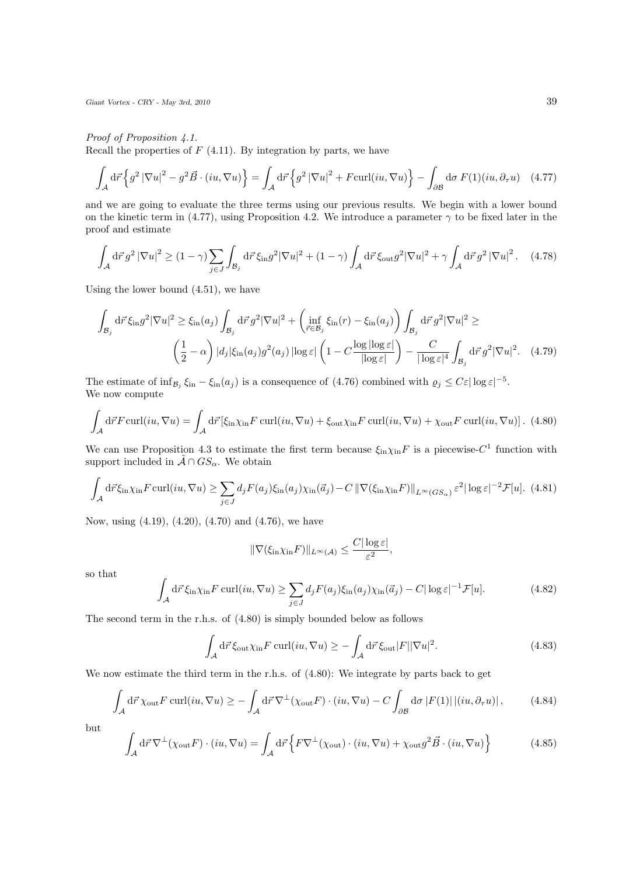Proof of Proposition 4.1.

Recall the properties of  $F(4.11)$ . By integration by parts, we have

$$
\int_{\mathcal{A}} d\vec{r} \left\{ g^2 \left| \nabla u \right|^2 - g^2 \vec{B} \cdot (iu, \nabla u) \right\} = \int_{\mathcal{A}} d\vec{r} \left\{ g^2 \left| \nabla u \right|^2 + F \operatorname{curl}(iu, \nabla u) \right\} - \int_{\partial \mathcal{B}} d\sigma \, F(1)(iu, \partial_\tau u) \tag{4.77}
$$

and we are going to evaluate the three terms using our previous results. We begin with a lower bound on the kinetic term in (4.77), using Proposition 4.2. We introduce a parameter  $\gamma$  to be fixed later in the proof and estimate

$$
\int_{\mathcal{A}} d\vec{r} \, g^2 \left| \nabla u \right|^2 \ge (1 - \gamma) \sum_{j \in J} \int_{\mathcal{B}_j} d\vec{r} \, \xi_{\text{in}} g^2 \left| \nabla u \right|^2 + (1 - \gamma) \int_{\mathcal{A}} d\vec{r} \, \xi_{\text{out}} g^2 \left| \nabla u \right|^2 + \gamma \int_{\mathcal{A}} d\vec{r} \, g^2 \left| \nabla u \right|^2. \tag{4.78}
$$

Using the lower bound (4.51), we have

$$
\int_{\mathcal{B}_j} d\vec{r} \xi_{\rm in} g^2 |\nabla u|^2 \geq \xi_{\rm in}(a_j) \int_{\mathcal{B}_j} d\vec{r} \, g^2 |\nabla u|^2 + \left( \inf_{\vec{r} \in \mathcal{B}_j} \xi_{\rm in}(r) - \xi_{\rm in}(a_j) \right) \int_{\mathcal{B}_j} d\vec{r} \, g^2 |\nabla u|^2 \geq
$$
\n
$$
\left( \frac{1}{2} - \alpha \right) |d_j| \xi_{\rm in}(a_j) g^2(a_j) |\log \varepsilon| \left( 1 - C \frac{\log |\log \varepsilon|}{|\log \varepsilon|} \right) - \frac{C}{|\log \varepsilon|^4} \int_{\mathcal{B}_j} d\vec{r} \, g^2 |\nabla u|^2. \tag{4.79}
$$

The estimate of  $\inf_{\mathcal{B}_j} \xi_{\text{in}} - \xi_{\text{in}}(a_j)$  is a consequence of  $(4.76)$  combined with  $\varrho_j \leq C \varepsilon |\log \varepsilon|^{-5}$ . We now compute

$$
\int_{\mathcal{A}} d\vec{r} F \operatorname{curl}(iu, \nabla u) = \int_{\mathcal{A}} d\vec{r} \left[ \xi_{\text{in}} \chi_{\text{in}} F \operatorname{curl}(iu, \nabla u) + \xi_{\text{out}} \chi_{\text{in}} F \operatorname{curl}(iu, \nabla u) + \chi_{\text{out}} F \operatorname{curl}(iu, \nabla u) \right]. \tag{4.80}
$$

We can use Proposition 4.3 to estimate the first term because  $\xi_{\text{in}}\chi_{\text{in}}F$  is a piecewise- $C^1$  function with support included in  $\tilde{\mathcal{A}} \cap GS_{\alpha}$ . We obtain

$$
\int_{\mathcal{A}} d\vec{r} \xi_{\text{in}} \chi_{\text{in}} F \operatorname{curl}(iu, \nabla u) \ge \sum_{j \in J} d_j F(a_j) \xi_{\text{in}}(a_j) \chi_{\text{in}}(\vec{a}_j) - C \left\| \nabla(\xi_{\text{in}} \chi_{\text{in}} F) \right\|_{L^{\infty}(GS_{\alpha})} \varepsilon^2 |\log \varepsilon|^{-2} \mathcal{F}[u]. \tag{4.81}
$$

Now, using (4.19), (4.20), (4.70) and (4.76), we have

$$
\|\nabla(\xi_{\rm in}\chi_{\rm in}F)\|_{L^{\infty}(\mathcal{A})}\leq \frac{C|\log \varepsilon|}{\varepsilon^2},
$$

so that

$$
\int_{\mathcal{A}} d\vec{r} \, \xi_{\text{in}} \chi_{\text{in}} F \, \text{curl}(iu, \nabla u) \ge \sum_{j \in J} d_j F(a_j) \xi_{\text{in}}(a_j) \chi_{\text{in}}(\vec{a}_j) - C |\log \varepsilon|^{-1} \mathcal{F}[u]. \tag{4.82}
$$

The second term in the r.h.s. of (4.80) is simply bounded below as follows

$$
\int_{\mathcal{A}} d\vec{r} \, \xi_{\text{out}} \chi_{\text{in}} F \, \text{curl}(iu, \nabla u) \ge -\int_{\mathcal{A}} d\vec{r} \, \xi_{\text{out}} |F| |\nabla u|^2. \tag{4.83}
$$

We now estimate the third term in the r.h.s. of (4.80): We integrate by parts back to get

$$
\int_{\mathcal{A}} d\vec{r} \,\chi_{\text{out}} F \,\text{curl}(iu, \nabla u) \ge -\int_{\mathcal{A}} d\vec{r} \,\nabla^{\perp}(\chi_{\text{out}} F) \cdot (iu, \nabla u) - C \int_{\partial \mathcal{B}} d\sigma \, |F(1)| \, |(iu, \partial_{\tau} u)| \,, \tag{4.84}
$$

but

$$
\int_{\mathcal{A}} d\vec{r} \nabla^{\perp} (\chi_{\text{out}} F) \cdot (iu, \nabla u) = \int_{\mathcal{A}} d\vec{r} \left\{ F \nabla^{\perp} (\chi_{\text{out}}) \cdot (iu, \nabla u) + \chi_{\text{out}} g^2 \vec{B} \cdot (iu, \nabla u) \right\}
$$
(4.85)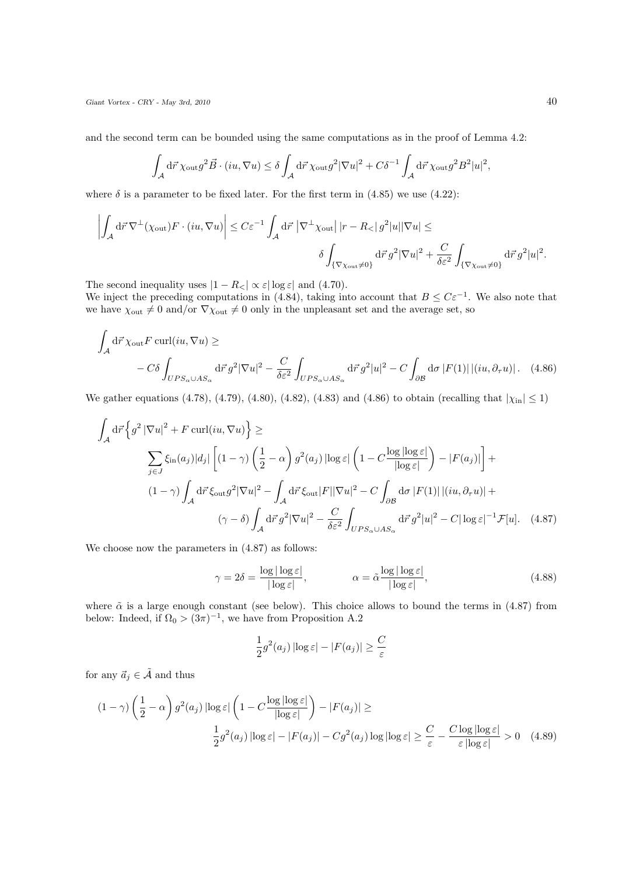and the second term can be bounded using the same computations as in the proof of Lemma 4.2:

$$
\int_{\mathcal{A}} d\vec{r} \,\chi_{\text{out}} g^2 \vec{B} \cdot (iu, \nabla u) \le \delta \int_{\mathcal{A}} d\vec{r} \,\chi_{\text{out}} g^2 |\nabla u|^2 + C\delta^{-1} \int_{\mathcal{A}} d\vec{r} \,\chi_{\text{out}} g^2 B^2 |u|^2,
$$

where  $\delta$  is a parameter to be fixed later. For the first term in (4.85) we use (4.22):

$$
\left| \int_{\mathcal{A}} \mathrm{d}\vec{r} \, \nabla^{\perp} (\chi_{\text{out}}) F \cdot (iu, \nabla u) \right| \leq C \varepsilon^{-1} \int_{\mathcal{A}} \mathrm{d}\vec{r} \, \left| \nabla^{\perp} \chi_{\text{out}} \right| \left| r - R_{<} \right| g^{2} |u| |\nabla u| \leq \delta \int_{\{\nabla \chi_{\text{out}} \neq 0\}} \mathrm{d}\vec{r} \, g^{2} |\nabla u|^{2} + \frac{C}{\delta \varepsilon^{2}} \int_{\{\nabla \chi_{\text{out}} \neq 0\}} \mathrm{d}\vec{r} \, g^{2} |u|^{2}.
$$

The second inequality uses  $|1 - R_{\leq}| \propto \varepsilon |\log \varepsilon|$  and (4.70).

We inject the preceding computations in (4.84), taking into account that  $B \leq C \varepsilon^{-1}$ . We also note that we have  $\chi_{\text{out}} \neq 0$  and/or  $\nabla \chi_{\text{out}} \neq 0$  only in the unpleasant set and the average set, so

$$
\int_{\mathcal{A}} d\vec{r} \chi_{\text{out}} F \operatorname{curl}(iu, \nabla u) \ge
$$
\n
$$
-C\delta \int_{UPS_{\alpha} \cup AS_{\alpha}} d\vec{r} \, g^{2} |\nabla u|^{2} - \frac{C}{\delta \varepsilon^{2}} \int_{UPS_{\alpha} \cup AS_{\alpha}} d\vec{r} \, g^{2} |u|^{2} - C \int_{\partial \mathcal{B}} d\sigma |F(1)| |(iu, \partial_{\tau} u)|. \tag{4.86}
$$

We gather equations (4.78), (4.79), (4.80), (4.82), (4.83) and (4.86) to obtain (recalling that  $|\chi_{\rm in}| \le 1$ )

$$
\int_{\mathcal{A}} d\vec{r} \left\{ g^{2} \left| \nabla u \right|^{2} + F \operatorname{curl}(iu, \nabla u) \right\} \ge
$$
\n
$$
\sum_{j \in J} \xi_{\text{in}}(a_{j}) |d_{j}| \left[ (1 - \gamma) \left( \frac{1}{2} - \alpha \right) g^{2}(a_{j}) \left| \log \varepsilon \right| \left( 1 - C \frac{\log |\log \varepsilon|}{|\log \varepsilon|} \right) - |F(a_{j})| \right] +
$$
\n
$$
(1 - \gamma) \int_{\mathcal{A}} d\vec{r} \, \xi_{\text{out}} g^{2} |\nabla u|^{2} - \int_{\mathcal{A}} d\vec{r} \, \xi_{\text{out}} |F| |\nabla u|^{2} - C \int_{\partial \mathcal{B}} d\sigma |F(1)| |(iu, \partial_{\tau} u)| +
$$
\n
$$
(\gamma - \delta) \int_{\mathcal{A}} d\vec{r} \, g^{2} |\nabla u|^{2} - \frac{C}{\delta \varepsilon^{2}} \int_{UPS_{\alpha} \cup AS_{\alpha}} d\vec{r} \, g^{2} |u|^{2} - C |\log \varepsilon|^{-1} \mathcal{F}[u]. \tag{4.87}
$$

We choose now the parameters in (4.87) as follows:

$$
\gamma = 2\delta = \frac{\log|\log \varepsilon|}{|\log \varepsilon|}, \qquad \alpha = \tilde{\alpha} \frac{\log|\log \varepsilon|}{|\log \varepsilon|}, \tag{4.88}
$$

where  $\tilde{\alpha}$  is a large enough constant (see below). This choice allows to bound the terms in (4.87) from below: Indeed, if  $\Omega_0 > (3\pi)^{-1}$ , we have from Proposition A.2

$$
\frac{1}{2}g^2(a_j)\left|\log \varepsilon\right| - |F(a_j)| \ge \frac{C}{\varepsilon}
$$

for any  $\vec{a}_j \in \tilde{\mathcal{A}}$  and thus

$$
(1 - \gamma) \left(\frac{1}{2} - \alpha\right) g^2(a_j) \left|\log \varepsilon\right| \left(1 - C \frac{\log|\log \varepsilon|}{|\log \varepsilon|}\right) - |F(a_j)| \ge
$$
  

$$
\frac{1}{2} g^2(a_j) \left|\log \varepsilon\right| - |F(a_j)| - C g^2(a_j) \log|\log \varepsilon| \ge \frac{C}{\varepsilon} - \frac{C \log|\log \varepsilon|}{\varepsilon |\log \varepsilon|} > 0 \quad (4.89)
$$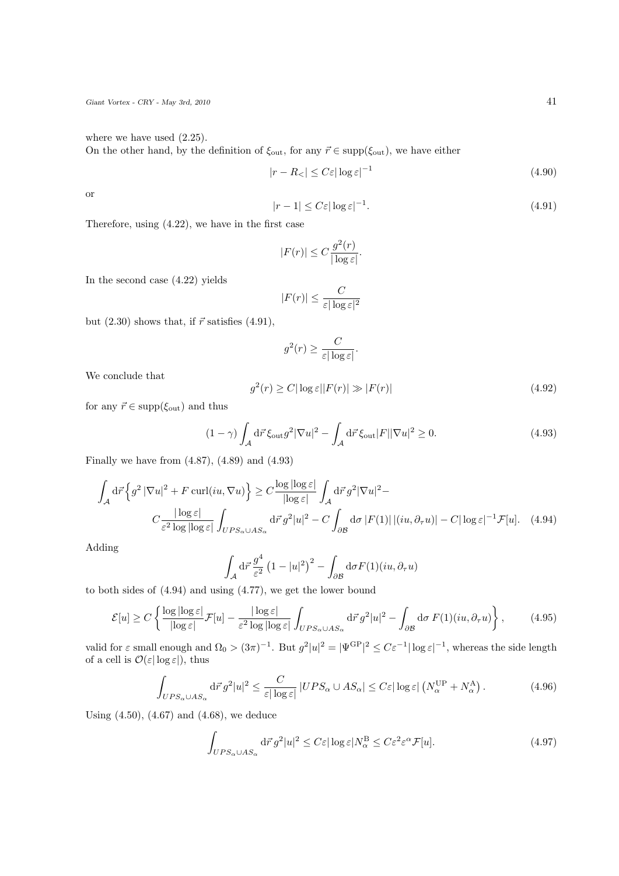where we have used  $(2.25)$ .

On the other hand, by the definition of  $\xi_{\text{out}}$ , for any  $\vec{r} \in \text{supp}(\xi_{\text{out}})$ , we have either

$$
|r - R_{\le}| \le C\varepsilon |\log \varepsilon|^{-1} \tag{4.90}
$$

or

$$
|r - 1| \le C\varepsilon |\log \varepsilon|^{-1}.\tag{4.91}
$$

Therefore, using (4.22), we have in the first case

$$
|F(r)| \le C \frac{g^2(r)}{|\log \varepsilon|}.
$$

In the second case (4.22) yields

$$
|F(r)| \leq \frac{C}{\varepsilon |\log \varepsilon|^2}
$$

but (2.30) shows that, if  $\vec{r}$  satisfies (4.91),

$$
g^2(r) \ge \frac{C}{\varepsilon |\log \varepsilon|}
$$

.

We conclude that

$$
g^{2}(r) \ge C |\log \varepsilon| |F(r)| \gg |F(r)| \tag{4.92}
$$

for any  $\vec{r} \in \text{supp}(\xi_{\text{out}})$  and thus

$$
(1 - \gamma) \int_{\mathcal{A}} d\vec{r} \, \xi_{\text{out}} g^2 |\nabla u|^2 - \int_{\mathcal{A}} d\vec{r} \, \xi_{\text{out}} |F| |\nabla u|^2 \ge 0. \tag{4.93}
$$

Finally we have from (4.87), (4.89) and (4.93)

$$
\int_{\mathcal{A}} d\vec{r} \left\{ g^2 \left| \nabla u \right|^2 + F \operatorname{curl}(iu, \nabla u) \right\} \ge C \frac{\log |\log \varepsilon|}{|\log \varepsilon|} \int_{\mathcal{A}} d\vec{r} \, g^2 |\nabla u|^2 -
$$
\n
$$
C \frac{|\log \varepsilon|}{\varepsilon^2 \log |\log \varepsilon|} \int_{UPS_{\alpha} \cup AS_{\alpha}} d\vec{r} \, g^2 |u|^2 - C \int_{\partial \mathcal{B}} d\sigma \, |F(1)| \, |(iu, \partial_\tau u)| - C |\log \varepsilon|^{-1} \mathcal{F}[u]. \tag{4.94}
$$

Adding

$$
\int_{\mathcal{A}} d\vec{r} \frac{g^4}{\varepsilon^2} \left(1 - |u|^2\right)^2 - \int_{\partial \mathcal{B}} d\sigma F(1)(iu, \partial_\tau u)
$$

to both sides of (4.94) and using (4.77), we get the lower bound

$$
\mathcal{E}[u] \ge C \left\{ \frac{\log |\log \varepsilon|}{|\log \varepsilon|} \mathcal{F}[u] - \frac{|\log \varepsilon|}{\varepsilon^2 \log |\log \varepsilon|} \int_{UPS_{\alpha} \cup AS_{\alpha}} d\vec{r} \, g^2 |u|^2 - \int_{\partial \mathcal{B}} d\sigma \, F(1)(iu, \partial_{\tau} u) \right\},\tag{4.95}
$$

valid for  $\varepsilon$  small enough and  $\Omega_0 > (3\pi)^{-1}$ . But  $g^2|u|^2 = |\Psi^{\text{GP}}|^2 \leq C\varepsilon^{-1}|\log \varepsilon|^{-1}$ , whereas the side length of a cell is  $\mathcal{O}(\varepsilon|\log \varepsilon|)$ , thus

$$
\int_{UPS_{\alpha}\cup AS_{\alpha}} d\vec{r} \, g^2 |u|^2 \leq \frac{C}{\varepsilon |\log \varepsilon|} |UPS_{\alpha}\cup AS_{\alpha}| \leq C\varepsilon |\log \varepsilon| \left(N_{\alpha}^{\text{UP}} + N_{\alpha}^{\text{A}}\right). \tag{4.96}
$$

Using (4.50), (4.67) and (4.68), we deduce

$$
\int_{UPS_{\alpha}\cup AS_{\alpha}} d\vec{r} \, g^2 |u|^2 \le C\varepsilon |\log \varepsilon| N_{\alpha}^{\mathcal{B}} \le C\varepsilon^2 \varepsilon^{\alpha} \mathcal{F}[u].\tag{4.97}
$$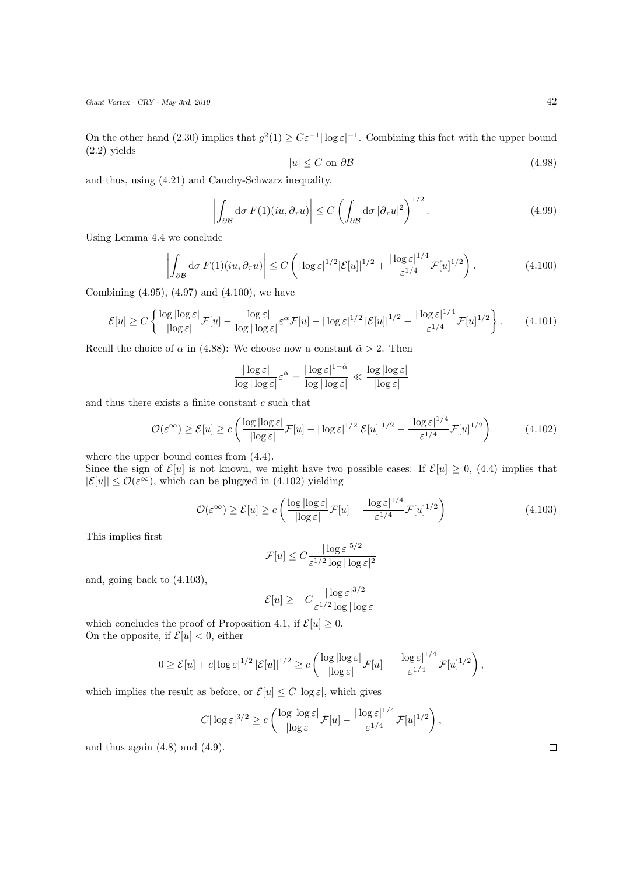On the other hand (2.30) implies that  $g^2(1) \geq C\varepsilon^{-1}|\log \varepsilon|^{-1}$ . Combining this fact with the upper bound (2.2) yields

$$
|u| \le C \text{ on } \partial \mathcal{B} \tag{4.98}
$$

and thus, using (4.21) and Cauchy-Schwarz inequality,

$$
\left| \int_{\partial \mathcal{B}} d\sigma F(1)(iu, \partial_{\tau} u) \right| \le C \left( \int_{\partial \mathcal{B}} d\sigma \, |\partial_{\tau} u|^2 \right)^{1/2}.
$$
 (4.99)

Using Lemma 4.4 we conclude

$$
\left| \int_{\partial \mathcal{B}} d\sigma \, F(1)(iu, \partial_{\tau} u) \right| \le C \left( |\log \varepsilon|^{1/2} |\mathcal{E}[u]|^{1/2} + \frac{|\log \varepsilon|^{1/4}}{\varepsilon^{1/4}} \mathcal{F}[u]^{1/2} \right). \tag{4.100}
$$

Combining (4.95), (4.97) and (4.100), we have

$$
\mathcal{E}[u] \ge C \left\{ \frac{\log |\log \varepsilon|}{|\log \varepsilon|} \mathcal{F}[u] - \frac{|\log \varepsilon|}{\log |\log \varepsilon|} \varepsilon^{\alpha} \mathcal{F}[u] - |\log \varepsilon|^{1/2} |\mathcal{E}[u]|^{1/2} - \frac{|\log \varepsilon|^{1/4}}{\varepsilon^{1/4}} \mathcal{F}[u]^{1/2} \right\}.
$$
 (4.101)

Recall the choice of  $\alpha$  in (4.88): We choose now a constant  $\tilde{\alpha} > 2$ . Then

$$
\frac{|\log \varepsilon|}{\log |\log \varepsilon|} \varepsilon^{\alpha} = \frac{|\log \varepsilon|^{1-\tilde{\alpha}}}{\log |\log \varepsilon|} \ll \frac{\log |\log \varepsilon|}{|\log \varepsilon|}
$$

and thus there exists a finite constant  $c$  such that

$$
\mathcal{O}(\varepsilon^{\infty}) \ge \mathcal{E}[u] \ge c \left( \frac{\log |\log \varepsilon|}{|\log \varepsilon|} \mathcal{F}[u] - |\log \varepsilon|^{1/2} |\mathcal{E}[u]|^{1/2} - \frac{|\log \varepsilon|^{1/4}}{\varepsilon^{1/4}} \mathcal{F}[u]^{1/2} \right) \tag{4.102}
$$

where the upper bound comes from  $(4.4)$ .

Since the sign of  $\mathcal{E}[u]$  is not known, we might have two possible cases: If  $\mathcal{E}[u] \geq 0$ , (4.4) implies that  $|\mathcal{E}[u]| \leq \mathcal{O}(\varepsilon^{\infty})$ , which can be plugged in (4.102) yielding

$$
\mathcal{O}(\varepsilon^{\infty}) \ge \mathcal{E}[u] \ge c \left( \frac{\log |\log \varepsilon|}{|\log \varepsilon|} \mathcal{F}[u] - \frac{|\log \varepsilon|^{1/4}}{\varepsilon^{1/4}} \mathcal{F}[u]^{1/2} \right) \tag{4.103}
$$

This implies first

$$
\mathcal{F}[u] \le C \frac{|\log \varepsilon|^{5/2}}{\varepsilon^{1/2} \log |\log \varepsilon|^2}
$$

and, going back to (4.103),

$$
\mathcal{E}[u] \ge -C \frac{|\log \varepsilon|^{3/2}}{\varepsilon^{1/2} \log |\log \varepsilon|}
$$

which concludes the proof of Proposition 4.1, if  $\mathcal{E}[u] \geq 0$ . On the opposite, if  $\mathcal{E}[u] < 0$ , either

$$
0 \geq \mathcal{E}[u] + c|\log \varepsilon|^{1/2} |\mathcal{E}[u]|^{1/2} \geq c\left(\frac{\log|\log \varepsilon|}{|\log \varepsilon|}\mathcal{F}[u] - \frac{|\log \varepsilon|^{1/4}}{\varepsilon^{1/4}}\mathcal{F}[u]^{1/2}\right),\,
$$

which implies the result as before, or  $\mathcal{E}[u] \leq C |\log \varepsilon|$ , which gives

$$
C|\log \varepsilon|^{3/2} \ge c\left(\frac{\log |\log \varepsilon|}{|\log \varepsilon|}\mathcal{F}[u] - \frac{|\log \varepsilon|^{1/4}}{\varepsilon^{1/4}}\mathcal{F}[u]^{1/2}\right),\,
$$

and thus again  $(4.8)$  and  $(4.9)$ .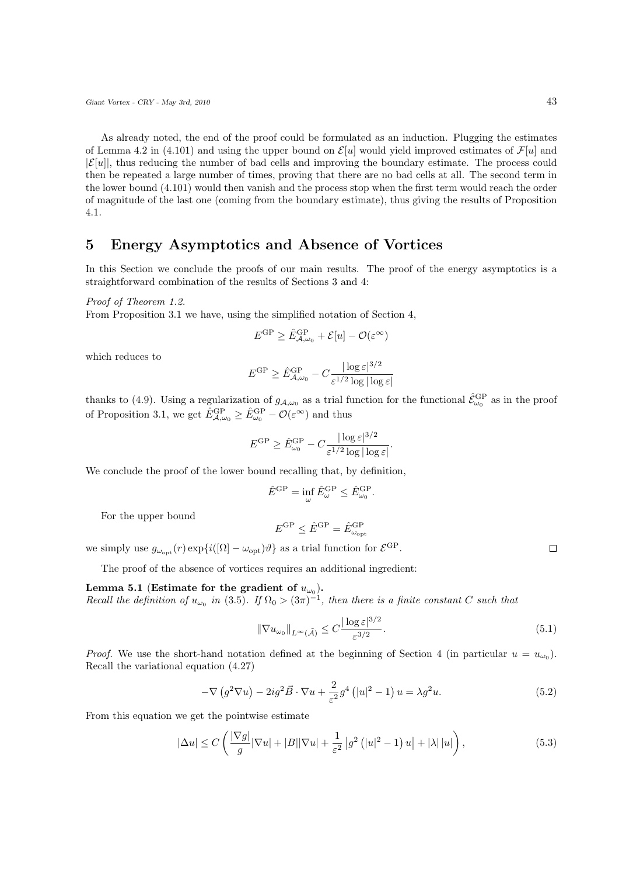As already noted, the end of the proof could be formulated as an induction. Plugging the estimates of Lemma 4.2 in (4.101) and using the upper bound on  $\mathcal{E}[u]$  would yield improved estimates of  $\mathcal{F}[u]$  and  $|\mathcal{E}[u]|$ , thus reducing the number of bad cells and improving the boundary estimate. The process could then be repeated a large number of times, proving that there are no bad cells at all. The second term in the lower bound (4.101) would then vanish and the process stop when the first term would reach the order of magnitude of the last one (coming from the boundary estimate), thus giving the results of Proposition 4.1.

# 5 Energy Asymptotics and Absence of Vortices

In this Section we conclude the proofs of our main results. The proof of the energy asymptotics is a straightforward combination of the results of Sections 3 and 4:

Proof of Theorem 1.2.

From Proposition 3.1 we have, using the simplified notation of Section 4,

$$
E^{\rm GP} \ge \hat{E}^{\rm GP}_{\mathcal{A},\omega_0} + \mathcal{E}[u] - \mathcal{O}(\varepsilon^\infty)
$$

which reduces to

$$
E^{\rm GP} \ge \hat{E}_{\mathcal{A},\omega_0}^{\rm GP} - C \frac{|\log \varepsilon|^{3/2}}{\varepsilon^{1/2} \log |\log \varepsilon|}
$$

thanks to (4.9). Using a regularization of  $g_{\mathcal{A},\omega_0}$  as a trial function for the functional  $\hat{\mathcal{E}}_{\omega_0}^{\text{GP}}$  as in the proof of Proposition 3.1, we get  $\hat{E}_{\mathcal{A},\omega_0}^{\text{GP}} \geq \hat{E}_{\omega_0}^{\text{GP}} - \mathcal{O}(\varepsilon^{\infty})$  and thus

$$
E^{\rm GP} \ge \hat{E}_{\omega_0}^{\rm GP} - C \frac{|\log \varepsilon|^{3/2}}{\varepsilon^{1/2} \log |\log \varepsilon|}.
$$

We conclude the proof of the lower bound recalling that, by definition,

$$
\hat{E}^{\rm GP} = \inf_{\omega} \hat{E}_{\omega}^{\rm GP} \leq \hat{E}_{\omega_0}^{\rm GP}.
$$

For the upper bound

$$
E^{\mathrm{GP}} \leq \hat{E}^{\mathrm{GP}} = \hat{E}^{\mathrm{GP}}_{\omega_{\mathrm{opt}}}
$$

we simply use  $g_{\omega_{\text{opt}}}(r) \exp\{i([\Omega] - \omega_{\text{opt}})\vartheta\}$  as a trial function for  $\mathcal{E}^{\text{GP}}$ .

The proof of the absence of vortices requires an additional ingredient:

### Lemma 5.1 (Estimate for the gradient of  $u_{\omega_0}$ ).

Recall the definition of  $u_{\omega_0}$  in (3.5). If  $\Omega_0 > (3\pi)^{-1}$ , then there is a finite constant C such that

$$
\|\nabla u_{\omega_0}\|_{L^{\infty}(\tilde{\mathcal{A}})} \le C \frac{|\log \varepsilon|^{3/2}}{\varepsilon^{3/2}}.
$$
\n(5.1)

*Proof.* We use the short-hand notation defined at the beginning of Section 4 (in particular  $u = u_{\omega_0}$ ). Recall the variational equation (4.27)

$$
-\nabla \left(g^2 \nabla u\right) - 2ig^2 \vec{B} \cdot \nabla u + \frac{2}{\varepsilon^2} g^4 \left(|u|^2 - 1\right) u = \lambda g^2 u. \tag{5.2}
$$

From this equation we get the pointwise estimate

$$
|\Delta u| \le C\left(\frac{|\nabla g|}{g}|\nabla u| + |B||\nabla u| + \frac{1}{\varepsilon^2}|g^2\left(|u|^2 - 1\right)u| + |\lambda| |u|\right),\tag{5.3}
$$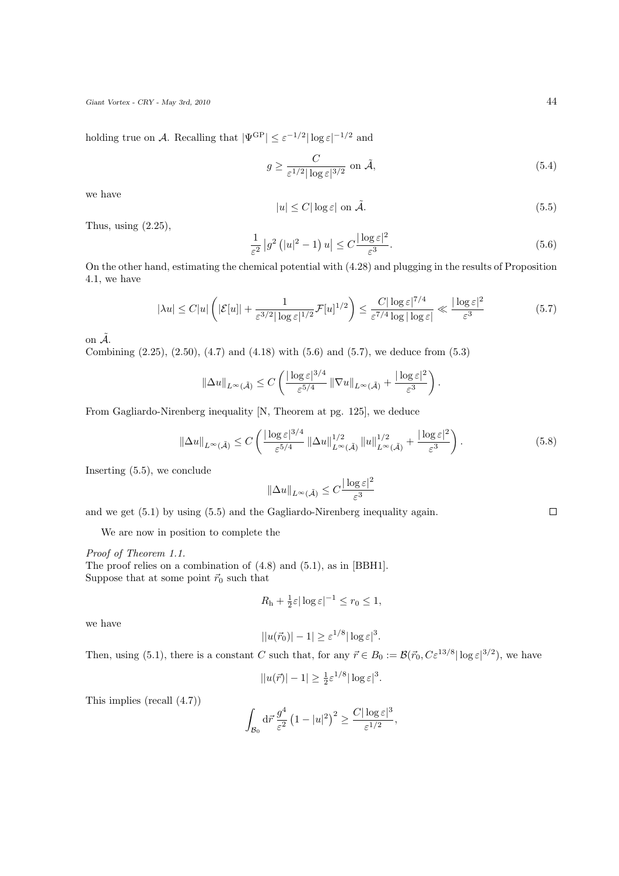holding true on A. Recalling that  $|\Psi^{\text{GP}}| \leq \varepsilon^{-1/2} |\log \varepsilon|^{-1/2}$  and

$$
g \ge \frac{C}{\varepsilon^{1/2} |\log \varepsilon|^{3/2}} \text{ on } \tilde{\mathcal{A}},\tag{5.4}
$$

we have

$$
|u| \le C|\log \varepsilon| \text{ on } \tilde{\mathcal{A}}.\tag{5.5}
$$

Thus, using  $(2.25)$ ,

$$
\frac{1}{\varepsilon^2} \left| g^2 \left( |u|^2 - 1 \right) u \right| \le C \frac{|\log \varepsilon|^2}{\varepsilon^3}.
$$
\n
$$
(5.6)
$$

On the other hand, estimating the chemical potential with (4.28) and plugging in the results of Proposition 4.1, we have

$$
|\lambda u| \le C|u| \left( |\mathcal{E}[u]| + \frac{1}{\varepsilon^{3/2} |\log \varepsilon|^{1/2}} \mathcal{F}[u]^{1/2} \right) \le \frac{C|\log \varepsilon|^{7/4}}{\varepsilon^{7/4} \log |\log \varepsilon|} \ll \frac{|\log \varepsilon|^2}{\varepsilon^3} \tag{5.7}
$$

on  $\tilde{\mathcal{A}}$ .

Combining (2.25), (2.50), (4.7) and (4.18) with (5.6) and (5.7), we deduce from (5.3)

$$
\|\Delta u\|_{L^{\infty}(\tilde{\mathcal{A}})} \leq C \left( \frac{|\log \varepsilon|^{3/4}}{\varepsilon^{5/4}} \|\nabla u\|_{L^{\infty}(\tilde{\mathcal{A}})} + \frac{|\log \varepsilon|^{2}}{\varepsilon^{3}} \right).
$$

From Gagliardo-Nirenberg inequality [N, Theorem at pg. 125], we deduce

$$
\|\Delta u\|_{L^{\infty}(\tilde{\mathcal{A}})} \le C\left(\frac{|\log \varepsilon|^{3/4}}{\varepsilon^{5/4}} \|\Delta u\|_{L^{\infty}(\tilde{\mathcal{A}})}^{1/2} \|u\|_{L^{\infty}(\tilde{\mathcal{A}})}^{1/2} + \frac{|\log \varepsilon|^{2}}{\varepsilon^{3}}\right). \tag{5.8}
$$

Inserting (5.5), we conclude

$$
\|\Delta u\|_{L^{\infty}(\tilde{\mathcal{A}})} \leq C \frac{|\log \varepsilon|^2}{\varepsilon^3}
$$

and we get (5.1) by using (5.5) and the Gagliardo-Nirenberg inequality again.

We are now in position to complete the

Proof of Theorem 1.1.

The proof relies on a combination of (4.8) and (5.1), as in [BBH1]. Suppose that at some point  $\vec{r}_0$  such that

$$
R_{\rm h} + \frac{1}{2}\varepsilon |\log \varepsilon|^{-1} \le r_0 \le 1,
$$

we have

$$
||u(\vec{r}_0)| - 1| \ge \varepsilon^{1/8} |\log \varepsilon|^3.
$$

Then, using (5.1), there is a constant C such that, for any  $\vec{r} \in B_0 := \mathcal{B}(\vec{r}_0, C\varepsilon^{13/8} |\log \varepsilon|^{3/2})$ , we have

$$
||u(\vec{r})|-1| \geq \frac{1}{2}\varepsilon^{1/8}|\log\varepsilon|^3.
$$

This implies (recall (4.7))

$$
\int_{\mathcal{B}_0} \mathrm{d} \vec{r} \, \frac{g^4}{\varepsilon^2} \left( 1 - |u|^2 \right)^2 \ge \frac{C |\log \varepsilon|^3}{\varepsilon^{1/2}},
$$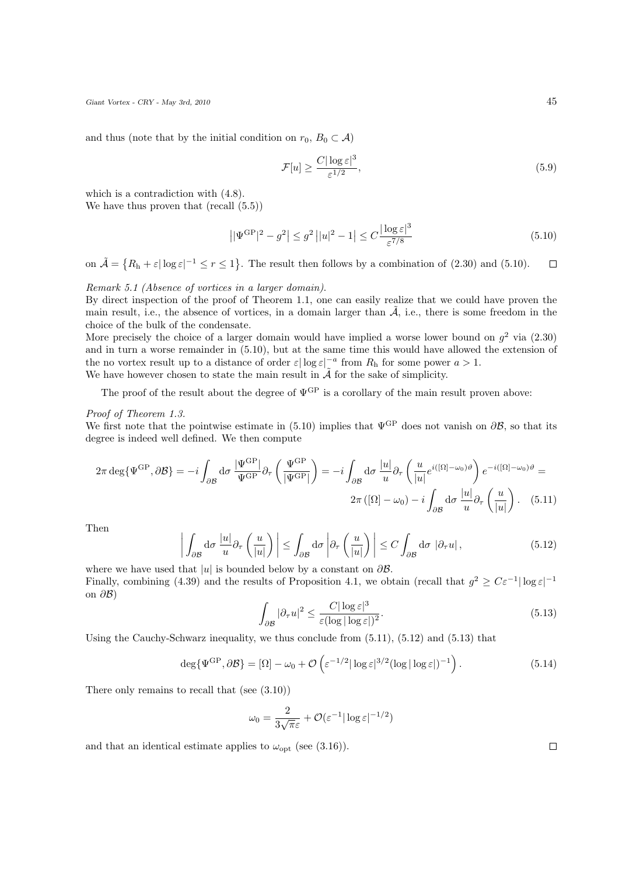and thus (note that by the initial condition on  $r_0, B_0 \subset \mathcal{A}$ )

$$
\mathcal{F}[u] \ge \frac{C|\log \varepsilon|^3}{\varepsilon^{1/2}},\tag{5.9}
$$

which is a contradiction with (4.8).

We have thus proven that (recall  $(5.5)$ )

$$
\left| |\Psi^{\rm GP}|^2 - g^2 \right| \le g^2 \left| |u|^2 - 1 \right| \le C \frac{|\log \varepsilon|^3}{\varepsilon^{7/8}} \tag{5.10}
$$

on  $\tilde{\mathcal{A}} = \{R_h + \varepsilon | \log \varepsilon |^{-1} \le r \le 1\}$ . The result then follows by a combination of (2.30) and (5.10).  $\Box$ 

Remark 5.1 (Absence of vortices in a larger domain).

By direct inspection of the proof of Theorem 1.1, one can easily realize that we could have proven the main result, i.e., the absence of vortices, in a domain larger than  $\tilde{A}$ , i.e., there is some freedom in the choice of the bulk of the condensate.

More precisely the choice of a larger domain would have implied a worse lower bound on  $g^2$  via  $(2.30)$ and in turn a worse remainder in (5.10), but at the same time this would have allowed the extension of the no vortex result up to a distance of order  $\varepsilon |\log \varepsilon|^{-a}$  from  $R_h$  for some power  $a > 1$ . We have however chosen to state the main result in  $\tilde{\mathcal{A}}$  for the sake of simplicity.

The proof of the result about the degree of  $\Psi$ <sup>GP</sup> is a corollary of the main result proven above:

#### Proof of Theorem 1.3.

We first note that the pointwise estimate in (5.10) implies that  $\Psi$ <sup>GP</sup> does not vanish on  $\partial \mathcal{B}$ , so that its degree is indeed well defined. We then compute

$$
2\pi \deg \{\Psi^{\rm GP}, \partial \mathcal{B}\} = -i \int_{\partial \mathcal{B}} d\sigma \, \frac{|\Psi^{\rm GP}|}{\Psi^{\rm GP}} \partial_{\tau} \left( \frac{\Psi^{\rm GP}}{|\Psi^{\rm GP}|} \right) = -i \int_{\partial \mathcal{B}} d\sigma \, \frac{|u|}{u} \partial_{\tau} \left( \frac{u}{|u|} e^{i([\Omega] - \omega_0)\vartheta} \right) e^{-i([\Omega] - \omega_0)\vartheta} =
$$

$$
2\pi \left( [\Omega] - \omega_0 \right) - i \int_{\partial \mathcal{B}} d\sigma \, \frac{|u|}{u} \partial_{\tau} \left( \frac{u}{|u|} \right). \tag{5.11}
$$

Then

$$
\left| \int_{\partial \mathcal{B}} d\sigma \, \frac{|u|}{u} \partial_{\tau} \left( \frac{u}{|u|} \right) \right| \leq \int_{\partial \mathcal{B}} d\sigma \left| \partial_{\tau} \left( \frac{u}{|u|} \right) \right| \leq C \int_{\partial \mathcal{B}} d\sigma \, \left| \partial_{\tau} u \right|,
$$
\n(5.12)

where we have used that |u| is bounded below by a constant on  $\partial \mathcal{B}$ . Finally, combining (4.39) and the results of Proposition 4.1, we obtain (recall that  $g^2 \geq C\varepsilon^{-1}|\log \varepsilon|^{-1}$ on  $\partial \mathcal{B}$ )

$$
\int_{\partial \mathcal{B}} |\partial_{\tau} u|^2 \le \frac{C |\log \varepsilon|^3}{\varepsilon (\log |\log \varepsilon|)^2}.
$$
\n(5.13)

Using the Cauchy-Schwarz inequality, we thus conclude from  $(5.11)$ ,  $(5.12)$  and  $(5.13)$  that

$$
\deg\{\Psi^{\rm GP},\partial\mathcal{B}\} = [\Omega] - \omega_0 + \mathcal{O}\left(\varepsilon^{-1/2}|\log\varepsilon|^{3/2}(\log|\log\varepsilon|)^{-1}\right). \tag{5.14}
$$

There only remains to recall that (see (3.10))

$$
\omega_0 = \frac{2}{3\sqrt{\pi}\varepsilon} + \mathcal{O}(\varepsilon^{-1}|\log \varepsilon|^{-1/2})
$$

and that an identical estimate applies to  $\omega_{\text{opt}}$  (see (3.16)).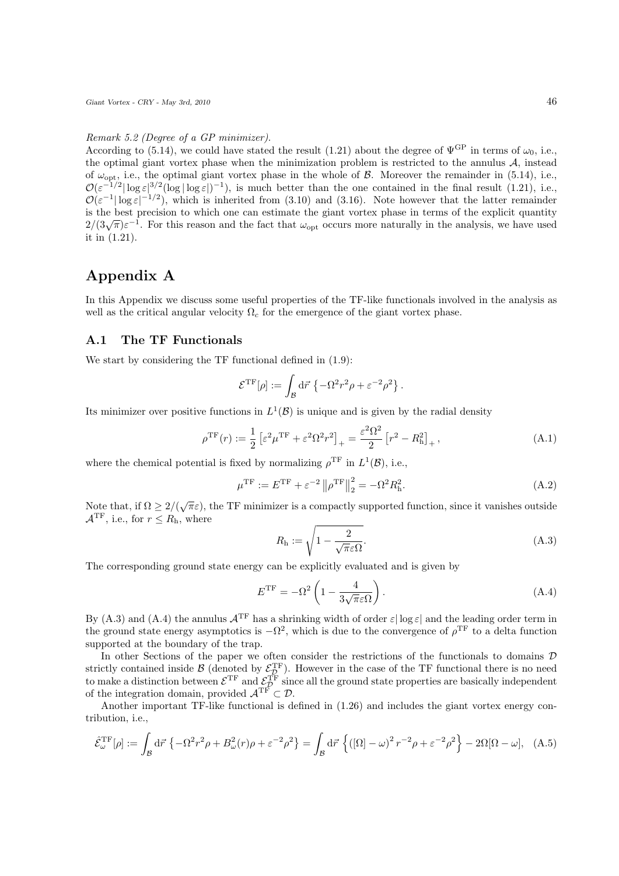#### Remark 5.2 (Degree of a GP minimizer).

According to (5.14), we could have stated the result (1.21) about the degree of  $\Psi^{\text{GP}}$  in terms of  $\omega_0$ , i.e., the optimal giant vortex phase when the minimization problem is restricted to the annulus  $A$ , instead of  $\omega_{\text{out}}$ , i.e., the optimal giant vortex phase in the whole of B. Moreover the remainder in (5.14), i.e.,  $\mathcal{O}(\varepsilon^{-1/2} |\log \varepsilon|^{3/2} (\log |\log \varepsilon|)^{-1})$ , is much better than the one contained in the final result (1.21), i.e.,  $\mathcal{O}(\varepsilon^{-1}|\log \varepsilon|^{-1/2})$ , which is inherited from (3.10) and (3.16). Note however that the latter remainder is the best precision to which one can estimate the giant vortex phase in terms of the explicit quantity s the best precision to which one can estimate the grant vortex phase in terms of the explicit quantity  $2/(3\sqrt{\pi})\varepsilon^{-1}$ . For this reason and the fact that  $\omega_{\text{opt}}$  occurs more naturally in the analysis, we have used it in (1.21).

# Appendix A

In this Appendix we discuss some useful properties of the TF-like functionals involved in the analysis as well as the critical angular velocity  $\Omega_c$  for the emergence of the giant vortex phase.

# A.1 The TF Functionals

We start by considering the TF functional defined in (1.9):

$$
\mathcal{E}^{\mathrm{TF}}[\rho] := \int_{\mathcal{B}} d\vec{r} \, \left\{ -\Omega^2 r^2 \rho + \varepsilon^{-2} \rho^2 \right\}
$$

Its minimizer over positive functions in  $L^1(\mathcal{B})$  is unique and is given by the radial density

$$
\rho^{\rm TF}(r) := \frac{1}{2} \left[ \varepsilon^2 \mu^{\rm TF} + \varepsilon^2 \Omega^2 r^2 \right]_+ = \frac{\varepsilon^2 \Omega^2}{2} \left[ r^2 - R_{\rm h}^2 \right]_+, \tag{A.1}
$$

where the chemical potential is fixed by normalizing  $\rho^{\text{TF}}$  in  $L^1(\mathcal{B})$ , i.e.,

$$
\mu^{\rm TF} := E^{\rm TF} + \varepsilon^{-2} \| \rho^{\rm TF} \|_2^2 = -\Omega^2 R_{\rm h}^2.
$$
\n(A.2)

.

Note that, if  $\Omega \geq 2/(\sqrt{\pi}\varepsilon)$ , the TF minimizer is a compactly supported function, since it vanishes outside  $\mathcal{A}^{\mathrm{TF}}$ , i.e., for  $r \leq R_h$ , where

$$
R_{\rm h} := \sqrt{1 - \frac{2}{\sqrt{\pi}\varepsilon\Omega}}.\tag{A.3}
$$

The corresponding ground state energy can be explicitly evaluated and is given by

$$
E^{\rm TF} = -\Omega^2 \left( 1 - \frac{4}{3\sqrt{\pi}\varepsilon\Omega} \right). \tag{A.4}
$$

By (A.3) and (A.4) the annulus  $A^{TF}$  has a shrinking width of order  $\varepsilon |\log \varepsilon|$  and the leading order term in the ground state energy asymptotics is  $-\Omega^2$ , which is due to the convergence of  $\rho^{\text{TF}}$  to a delta function supported at the boundary of the trap.

In other Sections of the paper we often consider the restrictions of the functionals to domains  $D$ strictly contained inside  $\mathcal{B}$  (denoted by  $\mathcal{E}_{\mathcal{D}}^{\text{TF}}$ ). However in the case of the TF functional there is no need to make a distinction between  $\mathcal{E}^{\text{TF}}$  and  $\mathcal{E}^{\text{TF}}_{\mathcal{D}}$  since all the ground state properties are basically independent of the integration domain, provided  $\mathcal{A}^{TF} \subset \mathcal{D}$ .

Another important TF-like functional is defined in (1.26) and includes the giant vortex energy contribution, i.e.,

$$
\hat{\mathcal{E}}_{\omega}^{\mathrm{TF}}[\rho] := \int_{\mathcal{B}} d\vec{r} \left\{ -\Omega^2 r^2 \rho + B_{\omega}^2(r) \rho + \varepsilon^{-2} \rho^2 \right\} = \int_{\mathcal{B}} d\vec{r} \left\{ \left( [\Omega] - \omega \right)^2 r^{-2} \rho + \varepsilon^{-2} \rho^2 \right\} - 2\Omega [\Omega - \omega], \quad (A.5)
$$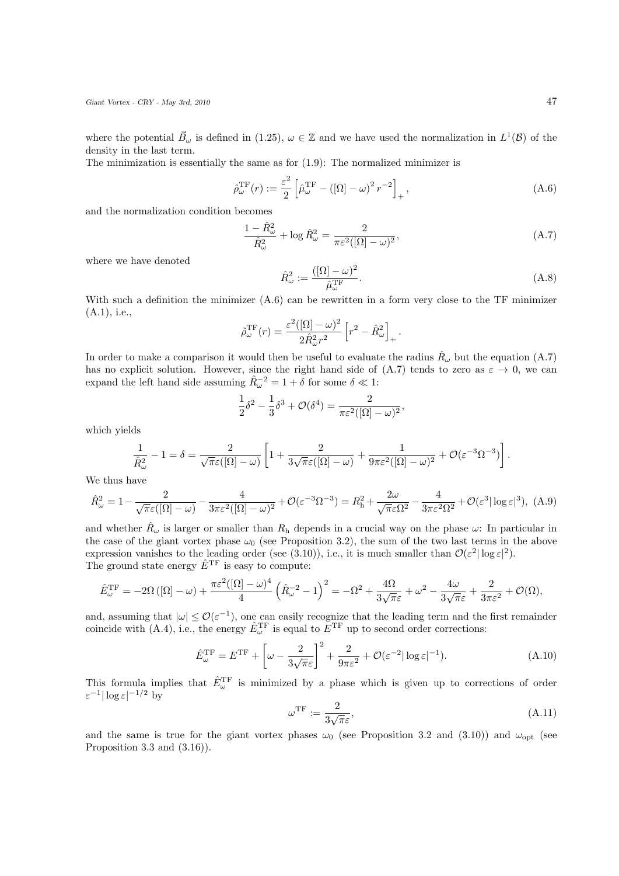where the potential  $\vec{B}_{\omega}$  is defined in (1.25),  $\omega \in \mathbb{Z}$  and we have used the normalization in  $L^1(\mathcal{B})$  of the density in the last term.

The minimization is essentially the same as for (1.9): The normalized minimizer is

$$
\hat{\rho}_{\omega}^{\mathrm{TF}}(r) := \frac{\varepsilon^2}{2} \left[ \hat{\mu}_{\omega}^{\mathrm{TF}} - \left( [\Omega] - \omega \right)^2 r^{-2} \right]_+, \tag{A.6}
$$

and the normalization condition becomes

$$
\frac{1-\hat{R}_{\omega}^2}{\hat{R}_{\omega}^2} + \log \hat{R}_{\omega}^2 = \frac{2}{\pi \varepsilon^2 ([\Omega] - \omega)^2},\tag{A.7}
$$

where we have denoted

$$
\hat{R}^2_{\omega} := \frac{([\Omega] - \omega)^2}{\hat{\mu}_{\omega}^{\mathrm{TF}}}.
$$
\n(A.8)

With such a definition the minimizer  $(A.6)$  can be rewritten in a form very close to the TF minimizer (A.1), i.e.,

$$
\tilde{\rho}_{\omega}^{\rm TF}(r) = \frac{\varepsilon^2 ([\Omega] - \omega)^2}{2 \hat{R}_{\omega}^2 r^2} \left[ r^2 - \hat{R}_{\omega}^2 \right]_+.
$$

In order to make a comparison it would then be useful to evaluate the radius  $\hat{R}_{\omega}$  but the equation (A.7) has no explicit solution. However, since the right hand side of  $(A.7)$  tends to zero as  $\varepsilon \to 0$ , we can expand the left hand side assuming  $\hat{R}_{\omega}^{-2} = 1 + \tilde{\delta}$  for some  $\delta \ll 1$ :

$$
\frac{1}{2}\delta^2 - \frac{1}{3}\delta^3 + \mathcal{O}(\delta^4) = \frac{2}{\pi\varepsilon^2([\Omega] - \omega)^2},
$$

which yields

$$
\frac{1}{\hat{R}_{\omega}^2} - 1 = \delta = \frac{2}{\sqrt{\pi}\varepsilon\left(\left[\Omega\right] - \omega\right)} \left[1 + \frac{2}{3\sqrt{\pi}\varepsilon\left(\left[\Omega\right] - \omega\right)} + \frac{1}{9\pi\varepsilon^2\left(\left[\Omega\right] - \omega\right)^2} + \mathcal{O}(\varepsilon^{-3}\Omega^{-3})\right].
$$

We thus have

$$
\hat{R}_{\omega}^2 = 1 - \frac{2}{\sqrt{\pi}\varepsilon\left(\left[\Omega\right] - \omega\right)} - \frac{4}{3\pi\varepsilon^2\left(\left[\Omega\right] - \omega\right)^2} + \mathcal{O}(\varepsilon^{-3}\Omega^{-3}) = R_h^2 + \frac{2\omega}{\sqrt{\pi}\varepsilon\Omega^2} - \frac{4}{3\pi\varepsilon^2\Omega^2} + \mathcal{O}(\varepsilon^3|\log\varepsilon|^3), \tag{A.9}
$$

and whether  $\hat{R}_{\omega}$  is larger or smaller than  $R_{h}$  depends in a crucial way on the phase  $\omega$ : In particular in the case of the giant vortex phase  $\omega_0$  (see Proposition 3.2), the sum of the two last terms in the above expression vanishes to the leading order (see (3.10)), i.e., it is much smaller than  $\mathcal{O}(\varepsilon^2 |\log \varepsilon|^2)$ . The ground state energy  $\hat{E}^{\text{TF}}$  is easy to compute:

$$
\hat{E}_{\omega}^{\text{TF}} = -2\Omega\left( \left[\Omega\right] - \omega \right) + \frac{\pi \varepsilon^2 \left( \left[\Omega\right] - \omega \right)^4}{4} \left( \hat{R}_{\omega}^{-2} - 1 \right)^2 = -\Omega^2 + \frac{4\Omega}{3\sqrt{\pi}\varepsilon} + \omega^2 - \frac{4\omega}{3\sqrt{\pi}\varepsilon} + \frac{2}{3\pi\varepsilon^2} + \mathcal{O}(\Omega),
$$

and, assuming that  $|\omega| \leq \mathcal{O}(\varepsilon^{-1})$ , one can easily recognize that the leading term and the first remainder coincide with (A.4), i.e., the energy  $\hat{E}_{\omega}^{\text{TF}}$  is equal to  $\tilde{E}^{\text{TF}}$  up to second order corrections:

$$
\hat{E}_{\omega}^{\text{TF}} = E^{\text{TF}} + \left[\omega - \frac{2}{3\sqrt{\pi}\varepsilon}\right]^2 + \frac{2}{9\pi\varepsilon^2} + \mathcal{O}(\varepsilon^{-2}|\log\varepsilon|^{-1}).\tag{A.10}
$$

This formula implies that  $\hat{E}_{\omega}^{\text{TF}}$  is minimized by a phase which is given up to corrections of order  $\varepsilon^{-1}|\log\varepsilon|^{-1/2}$  by

$$
\omega^{\rm TF} := \frac{2}{3\sqrt{\pi\varepsilon}},\tag{A.11}
$$

and the same is true for the giant vortex phases  $\omega_0$  (see Proposition 3.2 and (3.10)) and  $\omega_{opt}$  (see Proposition 3.3 and (3.16)).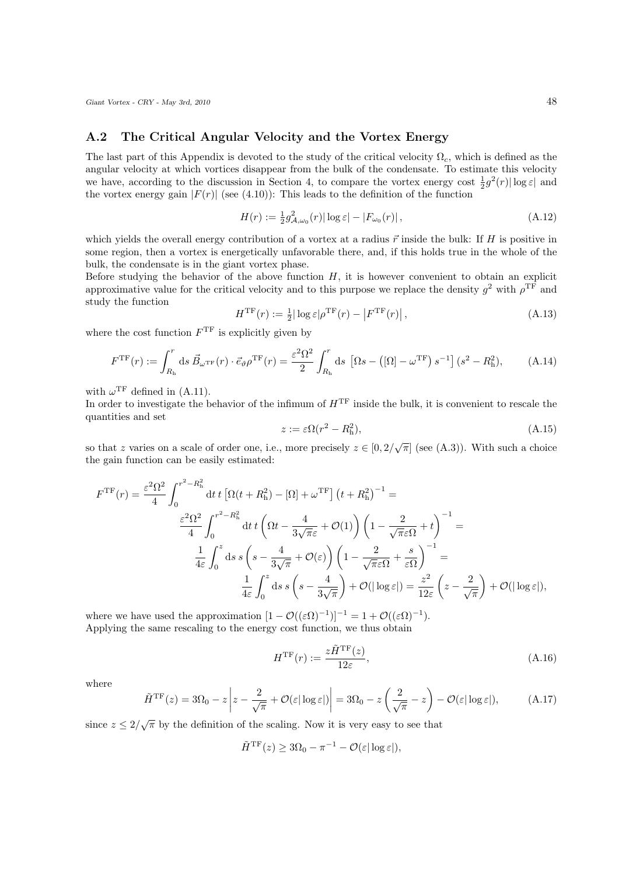# A.2 The Critical Angular Velocity and the Vortex Energy

The last part of this Appendix is devoted to the study of the critical velocity  $\Omega_c$ , which is defined as the angular velocity at which vortices disappear from the bulk of the condensate. To estimate this velocity we have, according to the discussion in Section 4, to compare the vortex energy cost  $\frac{1}{2}g^2(r)|\log \varepsilon|$  and the vortex energy gain  $|F(r)|$  (see (4.10)): This leads to the definition of the function

$$
H(r) := \frac{1}{2} g_{\mathcal{A},\omega_0}^2(r) |\log \varepsilon| - |F_{\omega_0}(r)| \,, \tag{A.12}
$$

which yields the overall energy contribution of a vortex at a radius  $\vec{r}$  inside the bulk: If H is positive in some region, then a vortex is energetically unfavorable there, and, if this holds true in the whole of the bulk, the condensate is in the giant vortex phase.

Before studying the behavior of the above function  $H$ , it is however convenient to obtain an explicit approximative value for the critical velocity and to this purpose we replace the density  $g^2$  with  $\rho^{\text{TF}}$  and study the function

$$
H^{\rm TF}(r) := \frac{1}{2} |\log \varepsilon| \rho^{\rm TF}(r) - \left| F^{\rm TF}(r) \right|,\tag{A.13}
$$

where the cost function  $F<sup>TF</sup>$  is explicitly given by

$$
F^{\rm TF}(r) := \int_{R_{\rm h}}^r ds \, \vec{B}_{\omega^{\rm TF}}(r) \cdot \vec{e}_{\vartheta} \rho^{\rm TF}(r) = \frac{\varepsilon^2 \Omega^2}{2} \int_{R_{\rm h}}^r ds \, \left[ \Omega s - \left( [\Omega] - \omega^{\rm TF} \right) s^{-1} \right] (s^2 - R_{\rm h}^2), \tag{A.14}
$$

with  $\omega^{\text{TF}}$  defined in (A.11).

In order to investigate the behavior of the infimum of  $H<sup>TF</sup>$  inside the bulk, it is convenient to rescale the quantities and set

$$
z := \varepsilon \Omega(r^2 - R_h^2),\tag{A.15}
$$

so that z varies on a scale of order one, i.e., more precisely  $z \in [0, 2/\sqrt{\pi}]$  (see (A.3)). With such a choice the gain function can be easily estimated:

$$
F^{\rm TF}(r) = \frac{\varepsilon^2 \Omega^2}{4} \int_0^{r^2 - R_h^2} dt \, t \left[ \Omega(t + R_h^2) - [\Omega] + \omega^{\rm TF} \right] \left( t + R_h^2 \right)^{-1} =
$$
  

$$
\frac{\varepsilon^2 \Omega^2}{4} \int_0^{r^2 - R_h^2} dt \, t \left( \Omega t - \frac{4}{3\sqrt{\pi}\varepsilon} + \mathcal{O}(1) \right) \left( 1 - \frac{2}{\sqrt{\pi}\varepsilon\Omega} + t \right)^{-1} =
$$
  

$$
\frac{1}{4\varepsilon} \int_0^z ds \, s \left( s - \frac{4}{3\sqrt{\pi}} + \mathcal{O}(\varepsilon) \right) \left( 1 - \frac{2}{\sqrt{\pi}\varepsilon\Omega} + \frac{s}{\varepsilon\Omega} \right)^{-1} =
$$
  

$$
\frac{1}{4\varepsilon} \int_0^z ds \, s \left( s - \frac{4}{3\sqrt{\pi}} \right) + \mathcal{O}(|\log \varepsilon|) = \frac{z^2}{12\varepsilon} \left( z - \frac{2}{\sqrt{\pi}} \right) + \mathcal{O}(|\log \varepsilon|),
$$

where we have used the approximation  $[1 - \mathcal{O}((\varepsilon \Omega)^{-1})]^{-1} = 1 + \mathcal{O}((\varepsilon \Omega)^{-1}).$ Applying the same rescaling to the energy cost function, we thus obtain

$$
H^{\rm TF}(r) := \frac{z\tilde{H}^{\rm TF}(z)}{12\varepsilon},\tag{A.16}
$$

where

$$
\tilde{H}^{\rm TF}(z) = 3\Omega_0 - z \left| z - \frac{2}{\sqrt{\pi}} + \mathcal{O}(\varepsilon |\log \varepsilon|) \right| = 3\Omega_0 - z \left( \frac{2}{\sqrt{\pi}} - z \right) - \mathcal{O}(\varepsilon |\log \varepsilon|),\tag{A.17}
$$

since  $z \leq 2/\sqrt{\pi}$  by the definition of the scaling. Now it is very easy to see that

$$
\tilde{H}^{\rm TF}(z) \ge 3\Omega_0 - \pi^{-1} - \mathcal{O}(\varepsilon |\log \varepsilon|),
$$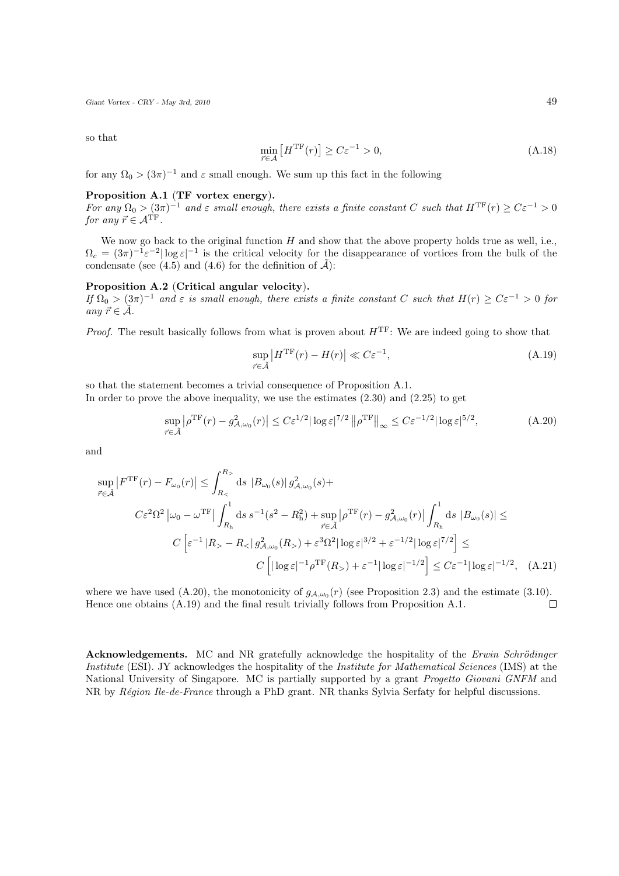so that

$$
\min_{\vec{r}\in\mathcal{A}} \left[ H^{\rm TF}(r) \right] \ge C\varepsilon^{-1} > 0,\tag{A.18}
$$

for any  $\Omega_0 > (3\pi)^{-1}$  and  $\varepsilon$  small enough. We sum up this fact in the following

# Proposition A.1 (TF vortex energy).

For any  $\Omega_0 > (3\pi)^{-1}$  and  $\varepsilon$  small enough, there exists a finite constant C such that  $H^{TF}(r) \ge C\varepsilon^{-1} > 0$ for any  $\vec{r} \in \mathcal{A}^{TF}$ .

We now go back to the original function  $H$  and show that the above property holds true as well, i.e.,  $\Omega_c = (3\pi)^{-1} \varepsilon^{-2} |\log \varepsilon|^{-1}$  is the critical velocity for the disappearance of vortices from the bulk of the condensate (see (4.5) and (4.6) for the definition of  $A$ ):

#### Proposition A.2 (Critical angular velocity).

If  $\Omega_0 > (3\pi)^{-1}$  and  $\varepsilon$  is small enough, there exists a finite constant C such that  $H(r) \ge C\varepsilon^{-1} > 0$  for any  $\vec{r} \in \vec{\mathcal{A}}$ .

*Proof.* The result basically follows from what is proven about  $H<sup>TF</sup>$ : We are indeed going to show that

$$
\sup_{\vec{r}\in\tilde{\mathcal{A}}} \left| H^{\mathrm{TF}}(r) - H(r) \right| \ll C\varepsilon^{-1},\tag{A.19}
$$

so that the statement becomes a trivial consequence of Proposition A.1. In order to prove the above inequality, we use the estimates  $(2.30)$  and  $(2.25)$  to get

$$
\sup_{\vec{r}\in\tilde{\mathcal{A}}} \left| \rho^{\mathrm{TF}}(r) - g_{\mathcal{A},\omega_0}^2(r) \right| \le C\varepsilon^{1/2} |\log \varepsilon|^{7/2} \left\| \rho^{\mathrm{TF}} \right\|_{\infty} \le C\varepsilon^{-1/2} |\log \varepsilon|^{5/2},\tag{A.20}
$$

and

$$
\sup_{\vec{r}\in\tilde{\mathcal{A}}} \left| F^{\text{TF}}(r) - F_{\omega_0}(r) \right| \leq \int_{R_<}^{R_>} \mathrm{d}s \, |B_{\omega_0}(s)| \, g_{\mathcal{A},\omega_0}^2(s) +
$$
\n
$$
C\varepsilon^2 \Omega^2 \left| \omega_0 - \omega^{\text{TF}} \right| \int_{R_{\text{h}}}^1 \mathrm{d}s \, s^{-1} (s^2 - R_{\text{h}}^2) + \sup_{\vec{r}\in\tilde{\mathcal{A}}} \left| \rho^{\text{TF}}(r) - g_{\mathcal{A},\omega_0}^2(r) \right| \int_{R_{\text{h}}}^1 \mathrm{d}s \, |B_{\omega_0}(s)| \leq
$$
\n
$$
C \left[ \varepsilon^{-1} |R_> - R_< | g_{\mathcal{A},\omega_0}^2(R_>) + \varepsilon^3 \Omega^2 |\log \varepsilon|^{3/2} + \varepsilon^{-1/2} |\log \varepsilon|^{7/2} \right] \leq
$$
\n
$$
C \left[ |\log \varepsilon|^{-1} \rho^{\text{TF}}(R_>) + \varepsilon^{-1} |\log \varepsilon|^{-1/2} \right] \leq C\varepsilon^{-1} |\log \varepsilon|^{-1/2}, \quad \text{(A.21)}
$$

where we have used (A.20), the monotonicity of  $g_{\mathcal{A},\omega_0}(r)$  (see Proposition 2.3) and the estimate (3.10). Hence one obtains (A.19) and the final result trivially follows from Proposition A.1.  $\Box$ 

Acknowledgements. MC and NR gratefully acknowledge the hospitality of the Erwin Schrödinger Institute (ESI). JY acknowledges the hospitality of the Institute for Mathematical Sciences (IMS) at the National University of Singapore. MC is partially supported by a grant Progetto Giovani GNFM and NR by Région Ile-de-France through a PhD grant. NR thanks Sylvia Serfaty for helpful discussions.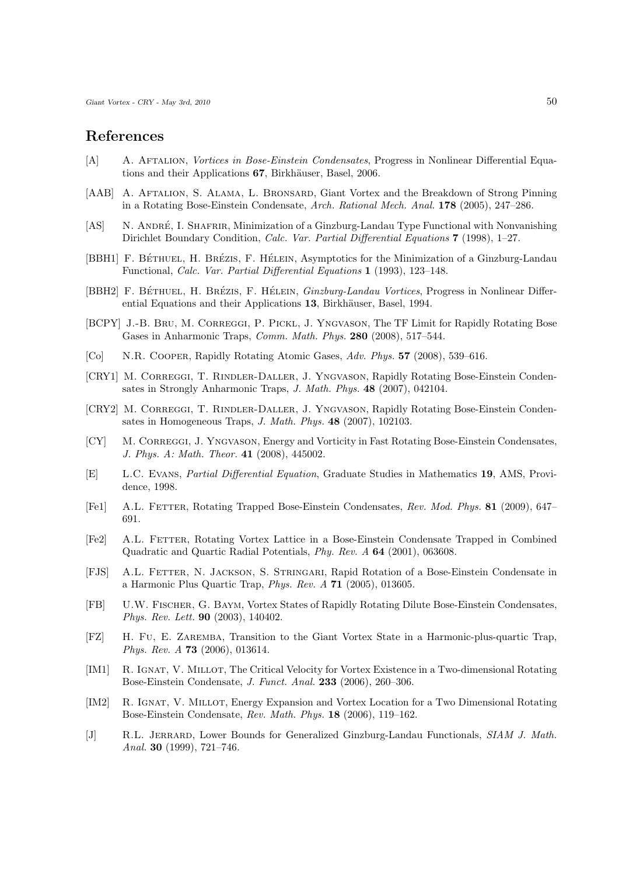# References

- [A] A. Aftalion, Vortices in Bose-Einstein Condensates, Progress in Nonlinear Differential Equations and their Applications 67, Birkhäuser, Basel, 2006.
- [AAB] A. AFTALION, S. ALAMA, L. BRONSARD, Giant Vortex and the Breakdown of Strong Pinning in a Rotating Bose-Einstein Condensate, Arch. Rational Mech. Anal. 178 (2005), 247–286.
- [AS] N. ANDRÉ, I. SHAFRIR, Minimization of a Ginzburg-Landau Type Functional with Nonvanishing Dirichlet Boundary Condition, Calc. Var. Partial Differential Equations 7 (1998), 1–27.
- [BBH1] F. BÉTHUEL, H. BRÉZIS, F. HÉLEIN, Asymptotics for the Minimization of a Ginzburg-Landau Functional, Calc. Var. Partial Differential Equations 1 (1993), 123–148.
- [BBH2] F. BÉTHUEL, H. BRÉZIS, F. HÉLEIN, *Ginzburg-Landau Vortices*, Progress in Nonlinear Differential Equations and their Applications 13, Birkhäuser, Basel, 1994.
- [BCPY] J.-B. Bru, M. Correggi, P. Pickl, J. Yngvason, The TF Limit for Rapidly Rotating Bose Gases in Anharmonic Traps, Comm. Math. Phys. 280 (2008), 517–544.
- [Co] N.R. Cooper, Rapidly Rotating Atomic Gases, Adv. Phys. 57 (2008), 539–616.
- [CRY1] M. CORREGGI, T. RINDLER-DALLER, J. YNGVASON, Rapidly Rotating Bose-Einstein Condensates in Strongly Anharmonic Traps, J. Math. Phys. 48 (2007), 042104.
- [CRY2] M. CORREGGI, T. RINDLER-DALLER, J. YNGVASON, Rapidly Rotating Bose-Einstein Condensates in Homogeneous Traps, J. Math. Phys. 48 (2007), 102103.
- [CY] M. CORREGGI, J. YNGVASON, Energy and Vorticity in Fast Rotating Bose-Einstein Condensates, J. Phys. A: Math. Theor. 41 (2008), 445002.
- [E] L.C. Evans, Partial Differential Equation, Graduate Studies in Mathematics 19, AMS, Providence, 1998.
- [Fe1] A.L. Fetter, Rotating Trapped Bose-Einstein Condensates, Rev. Mod. Phys. 81 (2009), 647– 691.
- [Fe2] A.L. Fetter, Rotating Vortex Lattice in a Bose-Einstein Condensate Trapped in Combined Quadratic and Quartic Radial Potentials, Phy. Rev. A 64 (2001), 063608.
- [FJS] A.L. Fetter, N. Jackson, S. Stringari, Rapid Rotation of a Bose-Einstein Condensate in a Harmonic Plus Quartic Trap, Phys. Rev. A 71 (2005), 013605.
- [FB] U.W. Fischer, G. Baym, Vortex States of Rapidly Rotating Dilute Bose-Einstein Condensates, Phys. Rev. Lett. 90 (2003), 140402.
- [FZ] H. Fu, E. Zaremba, Transition to the Giant Vortex State in a Harmonic-plus-quartic Trap, Phys. Rev. A 73 (2006), 013614.
- [IM1] R. IGNAT, V. MILLOT, The Critical Velocity for Vortex Existence in a Two-dimensional Rotating Bose-Einstein Condensate, J. Funct. Anal. 233 (2006), 260–306.
- [IM2] R. IGNAT, V. MILLOT, Energy Expansion and Vortex Location for a Two Dimensional Rotating Bose-Einstein Condensate, Rev. Math. Phys. 18 (2006), 119–162.
- [J] R.L. JERRARD, Lower Bounds for Generalized Ginzburg-Landau Functionals, SIAM J. Math. Anal. 30 (1999), 721–746.